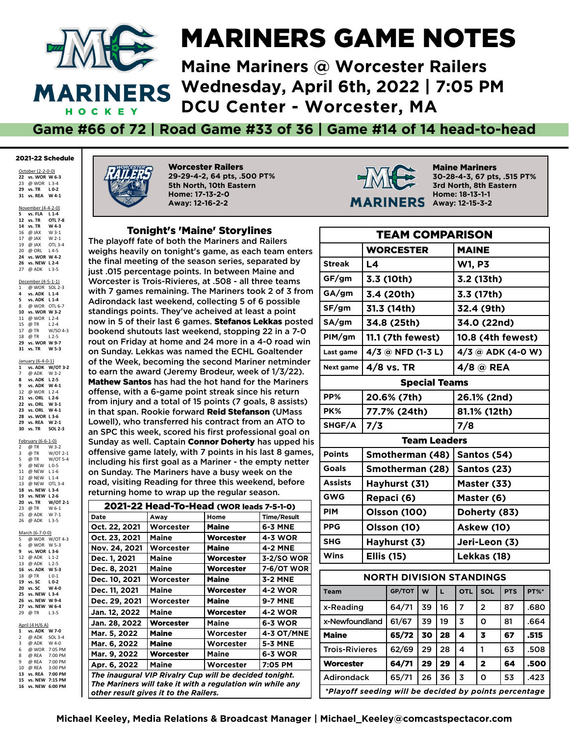

## MARINERS GAME NOTES

**Maine Mariners @ Worcester Railers Wednesday, April 6th, 2022 | 7:05 PM DCU Center - Worcester, MA**

#### **Game #66 of 72 | Road Game #33 of 36 | Game #14 of 14 head-to-head**

#### 2021-22 Schedule

October (2-2-0-0) **vs. WOR W 6-3** @ WOR L 3-4 **vs. TR L 0-2 vs. REA W 4-1**

November (4-4-2-0)

 **vs. FLA L 1-4 12 vs. TR vs. TR W 4-3** 16  $@$  JAX 17 @ JAX W 2-1<br>19 @ JAX OTL 3-4 19 @ JAX @ ORL L 4-5 **vs. WOR W 4-2 vs. NEW L 2-4** 27 @ ADK L 3-5 December (4-5-1-1) 1 @ WOR SOL 2-3 **vs. ADK L 1-4 vs. ADK L 1-4** @ WOR OTL 6-7 **vs. WOR W 3-2** 11 @ WOR L 2-4<br>15 @ TR L 2-4 15 @ TR L 2-4<br>17 @ TR W/SO 4-3  $\overline{\omega}$  TR @ TR L 2-5 **vs. WOR W 9-7 vs. WO**<br>**31 vs. TR** 

January (6-4-0-1)<br>1 vs. ADK W/  $\overrightarrow{W}$ /OT 3-2 7 @ ADK W 3-2<br>8 ys ADK 1.2-5 **vs. ADK L 2-5 vs. ADK W 4-1** @ WOR L 2-4 **vs. ORL L 2-6 vs. ORL W 3-1 23 vs. ORL W 4-1 vs. WOR L 3-6 vs. REA W 2-1 vs. TR SOL 2-3**

February (6-6-1-0)<br>2 @ TR W 3-2 2 @ TR W 3-2<br>3 @ TR W/OT 2-1  $\overline{\omega}$  TR @ TR W/OT 5-4 @ NEW L 0-5 11 @ NEW L 1-6 @ NEW L 1-4 @ NEW OTL 3-4 **vs. NEW L 3-4 vs. NEW L 2-6 vs. TR W/OT**<br>23 @ TR **W** 6-1 23 @ TR @ ADK W 7-1 @ ADK L 3-5 March (6-7-0-0) @ WOR W/OT 4-3 6 @ WOR W 5-3<br>9 vs. WOR L 3-6 **vs. WOR L 3-6** @ ADK L 1-2 @ ADK L 2-5

 **vs. ADK W 5-3** 18 @ TR **vs. SC L 0-2 vs. SC W 4-0 25 vs. NEW L 3-4 vs. NEW W 9-4 vs. NEW W 6-4** 29 @ TR April (4 H/6 A)

**1 vs. ADK W 7-0**  $@$  ADK 3 @ ADK W 4-0<br>6 @ WOR 7:05 Pl<br>8 @ REA 7:00 Pl 7:05 PM<br>7:00 PM 8 @ REA 7:00 PM<br>9 @ REA 7:00 PM  $@$  REA 10 @ REA 3:00 PM<br>13 vs. REA 7:00 PM **13 vs. REA 7:00 PM 15 vs. NEW 7:15 PM 16 vs. NEW 6:00 PM**



Worcester Railers **29-29-4-2, 64 pts, .500 PT% 5th North, 10th Eastern Home: 17-13-2-0 Away: 12-16-2-2**

#### Tonight's 'Maine' Storylines

The playoff fate of both the Mariners and Railers weighs heavily on tonight's game, as each team enters the final meeting of the season series, separated by just .015 percentage points. In between Maine and Worcester is Trois-Rivieres, at .508 - all three teams with 7 games remaining. The Mariners took 2 of 3 from Adirondack last weekend, collecting 5 of 6 possible standings points. They've acheived at least a point now in 5 of their last 6 games. Stefanos Lekkas posted bookend shutouts last weekend, stopping 22 in a 7-0 rout on Friday at home and 24 more in a 4-0 road win on Sunday. Lekkas was named the ECHL Goaltender of the Week, becoming the second Mariner netminder to earn the award (Jeremy Brodeur, week of 1/3/22). Mathew Santos has had the hot hand for the Mariners offense, with a 6-game point streak since his return from injury and a total of 15 points (7 goals, 8 assists) in that span. Rookie forward Reid Stefanson (UMass Lowell), who transferred his contract from an ATO to an SPC this week, scored his first professional goal on Sunday as well. Captain Connor Doherty has upped his offensive game lately, with 7 points in his last 8 games, including his frst goal as a Mariner - the empty netter on Sunday. The Mariners have a busy week on the road, visiting Reading for three this weekend, before returning home to wrap up the regular season.

| 2021-22 Head-To-Head (WOR leads 7-5-1-0)                                                                                                                     |              |                  |                    |  |  |  |  |  |
|--------------------------------------------------------------------------------------------------------------------------------------------------------------|--------------|------------------|--------------------|--|--|--|--|--|
| Date                                                                                                                                                         | Away         | Home             | <b>Time/Result</b> |  |  |  |  |  |
| Oct. 22, 2021                                                                                                                                                | Worcester    | <b>Maine</b>     | 6-3 MNE            |  |  |  |  |  |
| Oct. 23, 2021                                                                                                                                                | Maine        | <b>Worcester</b> | <b>4-3 WOR</b>     |  |  |  |  |  |
| Nov. 24, 2021                                                                                                                                                | Worcester    | <b>Maine</b>     | <b>4-2 MNE</b>     |  |  |  |  |  |
| Dec. 1, 2021                                                                                                                                                 | Maine        | Worcester        | 3-2/SO WOR         |  |  |  |  |  |
| Dec. 8, 2021                                                                                                                                                 | Maine        | Worcester        | 7-6/OT WOR         |  |  |  |  |  |
| Dec. 10, 2021                                                                                                                                                | Worcester    | <b>Maine</b>     | 3-2 MNE            |  |  |  |  |  |
| Dec. 11, 2021                                                                                                                                                | Maine        | Worcester        | <b>4-2 WOR</b>     |  |  |  |  |  |
| Dec. 29, 2021                                                                                                                                                | Worcester    | <b>Maine</b>     | <b>9-7 MNE</b>     |  |  |  |  |  |
| Jan. 12, 2022                                                                                                                                                | <b>Maine</b> | <b>Worcester</b> | <b>4-2 WOR</b>     |  |  |  |  |  |
| Jan. 28, 2022                                                                                                                                                | Worcester    | Maine            | 6-3 WOR            |  |  |  |  |  |
| Mar. 5, 2022                                                                                                                                                 | <b>Maine</b> | Worcester        | <b>4-3 OT/MNE</b>  |  |  |  |  |  |
| Mar. 6, 2022                                                                                                                                                 | <b>Maine</b> | Worcester        | <b>5-3 MNE</b>     |  |  |  |  |  |
| Mar. 9, 2022                                                                                                                                                 | Worcester    | Maine            | 6-3 WOR            |  |  |  |  |  |
| Apr. 6, 2022                                                                                                                                                 | Maine        | Worcester        | 7:05 PM            |  |  |  |  |  |
| The inaugural VIP Rivalry Cup will be decided tonight.<br>The Mariners will take it with a regulation win while any<br>other result gives it to the Railers. |              |                  |                    |  |  |  |  |  |



Maine Mariners **30-28-4-3, 67 pts, .515 PT% 3rd North, 8th Eastern Home: 18-13-1-1 Away: 12-15-3-2**

| <b>TEAM COMPARISON</b> |                   |                                 |                |                      |               |                   |            |      |  |  |
|------------------------|-------------------|---------------------------------|----------------|----------------------|---------------|-------------------|------------|------|--|--|
|                        |                   | <b>WORCESTER</b>                |                |                      | <b>MAINE</b>  |                   |            |      |  |  |
| <b>Streak</b>          | L4                |                                 |                |                      | <b>W1, P3</b> |                   |            |      |  |  |
| GF/gm                  |                   | 3.3 (10th)                      |                |                      |               | 3.2 (13th)        |            |      |  |  |
| GA/gm                  |                   | 3.4 (20th)                      |                |                      |               | 3.3 (17th)        |            |      |  |  |
| SF/gm                  |                   | 31.3 (14th)                     |                |                      |               | 32.4 (9th)        |            |      |  |  |
| SA/gm                  |                   | 34.8 (25th)                     |                |                      |               | 34.0 (22nd)       |            |      |  |  |
| PIM/gm                 |                   | 11.1 (7th fewest)               |                |                      |               | 10.8 (4th fewest) |            |      |  |  |
| Last game              |                   | $4/3$ @ NFD (1-3 L)             |                |                      |               | 4/3 @ ADK (4-0 W) |            |      |  |  |
| Next game              |                   | 4/8 vs. TR                      |                |                      |               | $4/8$ @ REA       |            |      |  |  |
|                        |                   |                                 |                | <b>Special Teams</b> |               |                   |            |      |  |  |
| PP%                    |                   | 20.6% (7th)                     |                |                      |               | 26.1% (2nd)       |            |      |  |  |
| PK%                    |                   | 77.7% (24th)                    |                |                      | 81.1% (12th)  |                   |            |      |  |  |
| SHGF/A                 | 7/3               |                                 |                |                      | 7/8           |                   |            |      |  |  |
|                        |                   |                                 |                | <b>Team Leaders</b>  |               |                   |            |      |  |  |
| <b>Points</b>          |                   | Smotherman (48)                 |                |                      |               | Santos (54)       |            |      |  |  |
| <b>Goals</b>           |                   | Smotherman (28)                 |                |                      | Santos (23)   |                   |            |      |  |  |
| <b>Assists</b>         |                   | Hayhurst (31)                   |                |                      | Master (33)   |                   |            |      |  |  |
| <b>GWG</b>             |                   | Repaci (6)                      |                |                      | Master (6)    |                   |            |      |  |  |
| <b>PIM</b>             |                   | <b>Olsson (100)</b>             |                |                      | Doherty (83)  |                   |            |      |  |  |
| <b>PPG</b>             |                   | Olsson (10)                     |                |                      | Askew (10)    |                   |            |      |  |  |
| <b>SHG</b>             |                   | Hayhurst (3)                    |                |                      | Jeri-Leon (3) |                   |            |      |  |  |
| <b>Wins</b>            | <b>Ellis (15)</b> |                                 |                |                      |               | Lekkas (18)       |            |      |  |  |
|                        |                   | <b>NORTH DIVISION STANDINGS</b> |                |                      |               |                   |            |      |  |  |
| <b>Team</b>            |                   | GP/TOT                          | W              | L.                   | <b>OTL</b>    | SOL               | <b>PTS</b> | PT%* |  |  |
| x-Reading              |                   | 64/71                           | 39             | 16                   | 7             | $\overline{2}$    | 87         | .680 |  |  |
| x-Newfoundland         |                   | 61/67                           | 39             | 19                   | 3             | O                 | 81         | .664 |  |  |
| <b>Maine</b>           |                   | 65/72                           | 30             | 28                   | 4             | 3                 | 67         | .515 |  |  |
| <b>Trois-Rivieres</b>  |                   | 62/69                           | 29             | 28                   | 4             | 1                 | 63         | .508 |  |  |
| Worcester              | 29                | 4                               | $\overline{2}$ | 64                   | 500           |                   |            |      |  |  |

Adirondack 165/71 26 36 3 10 53 1.423 *\*Playoff seeding will be decided by points percentage*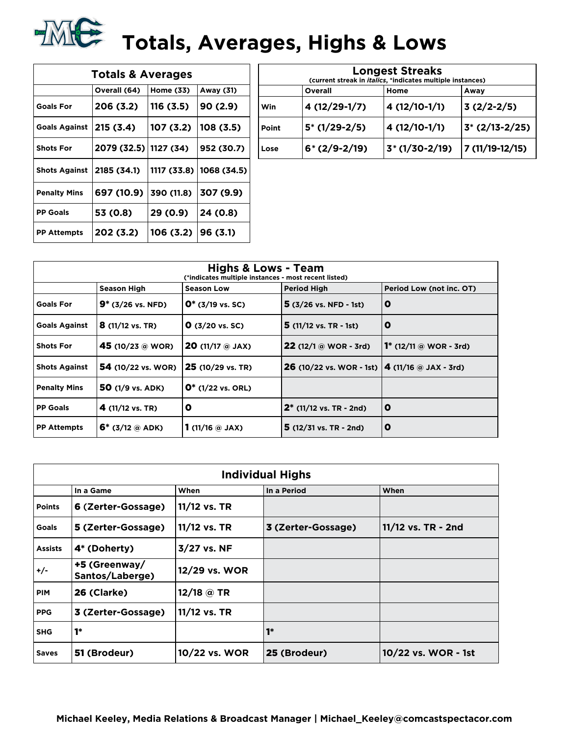

| <b>Totals &amp; Averages</b> |             |            |                           |  |  |  |  |  |  |
|------------------------------|-------------|------------|---------------------------|--|--|--|--|--|--|
|                              | Away (31)   |            |                           |  |  |  |  |  |  |
| <b>Goals For</b>             | 206 (3.2)   | 116 (3.5)  | 90(2.9)                   |  |  |  |  |  |  |
| <b>Goals Against</b>         | 215 (3.4)   | 107 (3.2)  | 108 (3.5)                 |  |  |  |  |  |  |
| <b>Shots For</b>             | 2079 (32.5) | 1127 (34)  | 952 (30.7)                |  |  |  |  |  |  |
| <b>Shots Against</b>         | 2185 (34.1) |            | 1117 (33.8)   1068 (34.5) |  |  |  |  |  |  |
| <b>Penalty Mins</b>          | 697 (10.9)  | 390 (11.8) | 307 (9.9)                 |  |  |  |  |  |  |
| <b>PP Goals</b>              | 53 (0.8)    | 29 (0.9)   | 24 (0.8)                  |  |  |  |  |  |  |
| <b>PP Attempts</b>           | 202 (3.2)   | 106 (3.2)  | 96(3.1)                   |  |  |  |  |  |  |

| <b>Longest Streaks</b>                                             |                |                 |                 |  |  |  |  |  |  |
|--------------------------------------------------------------------|----------------|-----------------|-----------------|--|--|--|--|--|--|
| (current streak in <i>italics</i> , *indicates multiple instances) |                |                 |                 |  |  |  |  |  |  |
| Overall<br>Home<br>Away                                            |                |                 |                 |  |  |  |  |  |  |
| Win                                                                | 4 (12/29-1/7)  | 4 (12/10-1/1)   | $3(2/2-2/5)$    |  |  |  |  |  |  |
| Point                                                              | $5*(1/29-2/5)$ | 4 (12/10-1/1)   | $3*(2/13-2/25)$ |  |  |  |  |  |  |
| Lose                                                               | $6*(2/9-2/19)$ | $3*(1/30-2/19)$ | 7 (11/19-12/15) |  |  |  |  |  |  |

| <b>Highs &amp; Lows - Team</b><br>(*indicates multiple instances - most recent listed) |                            |                                     |                                                                      |                               |  |  |  |  |  |
|----------------------------------------------------------------------------------------|----------------------------|-------------------------------------|----------------------------------------------------------------------|-------------------------------|--|--|--|--|--|
|                                                                                        | Season High                | <b>Season Low</b>                   | <b>Period High</b>                                                   | Period Low (not inc. OT)      |  |  |  |  |  |
| <b>Goals For</b>                                                                       | $9*(3/26 \text{ vs. NFD})$ | $0^*$ (3/19 vs. SC)                 | $5(3/26 \text{ vs. NFD} - 1 \text{ st})$                             | O                             |  |  |  |  |  |
| <b>Goals Against</b>                                                                   | $8(11/12 \text{ vs. TR})$  | $Q(3/20 \text{ vs. } SC)$           | $5(11/12 \text{ vs. TR} - 1st)$                                      | O                             |  |  |  |  |  |
| <b>Shots For</b>                                                                       | $45(10/23)$ @ WOR)         | <b>20</b> (11/17 $@$ JAX)           | <b>22</b> (12/1 @ WOR - 3rd)                                         | <b>1*</b> (12/11 @ WOR - 3rd) |  |  |  |  |  |
| <b>Shots Against</b>                                                                   | <b>54</b> (10/22 vs. WOR)  | 25 (10/29 vs. TR)                   | <b>26</b> (10/22 vs. WOR - 1st) $\vert$ <b>4</b> (11/16 @ JAX - 3rd) |                               |  |  |  |  |  |
| <b>Penalty Mins</b>                                                                    | 50 (1/9 vs. ADK)           | $0^*$ (1/22 vs. ORL)                |                                                                      |                               |  |  |  |  |  |
| <b>PP Goals</b>                                                                        | 4 (11/12 vs. TR)           | O                                   | $2^*$ (11/12 vs. TR - 2nd)                                           | O                             |  |  |  |  |  |
| <b>PP Attempts</b>                                                                     | $6^*$ (3/12 @ ADK)         | <b>1</b> (11/16 $\circledcirc$ JAX) | $5(12/31 \text{ vs. TR} - 2nd)$                                      | O                             |  |  |  |  |  |

|                | <b>Individual Highs</b>          |               |                    |                     |  |  |  |  |  |  |
|----------------|----------------------------------|---------------|--------------------|---------------------|--|--|--|--|--|--|
|                | In a Game                        | When          | In a Period        | When                |  |  |  |  |  |  |
| <b>Points</b>  | 6 (Zerter-Gossage)               | 11/12 vs. TR  |                    |                     |  |  |  |  |  |  |
| <b>Goals</b>   | 5 (Zerter-Gossage)               | 11/12 vs. TR  | 3 (Zerter-Gossage) | 11/12 vs. TR - 2nd  |  |  |  |  |  |  |
| <b>Assists</b> | 4* (Doherty)                     | 3/27 vs. NF   |                    |                     |  |  |  |  |  |  |
| +/-            | +5 (Greenway/<br>Santos/Laberge) | 12/29 vs. WOR |                    |                     |  |  |  |  |  |  |
| <b>PIM</b>     | 26 (Clarke)                      | 12/18 @ TR    |                    |                     |  |  |  |  |  |  |
| <b>PPG</b>     | 3 (Zerter-Gossage)               | 11/12 vs. TR  |                    |                     |  |  |  |  |  |  |
| <b>SHG</b>     | $1*$                             |               | $1*$               |                     |  |  |  |  |  |  |
| <b>Saves</b>   | 51 (Brodeur)                     | 10/22 vs. WOR | 25 (Brodeur)       | 10/22 vs. WOR - 1st |  |  |  |  |  |  |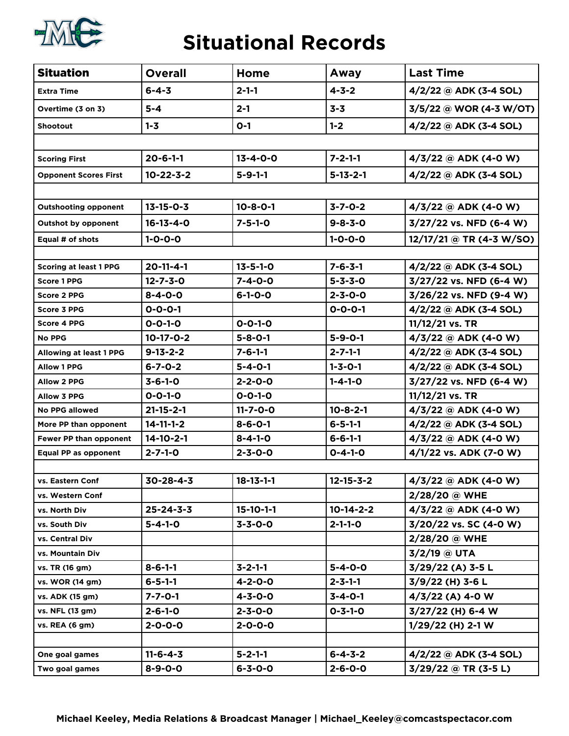

#### **Situational Records**

| <b>Situation</b>              | <b>Overall</b>    | Home              | Away              | <b>Last Time</b>         |  |
|-------------------------------|-------------------|-------------------|-------------------|--------------------------|--|
| <b>Extra Time</b>             | $6 - 4 - 3$       | $2 - 1 - 1$       | $4 - 3 - 2$       | $4/2/22$ @ ADK (3-4 SOL) |  |
| Overtime (3 on 3)             | $5-4$             | $2 - 1$           | $3 - 3$           | 3/5/22 @ WOR (4-3 W/OT)  |  |
| <b>Shootout</b>               | $1 - 3$           | $O-1$             | $1 - 2$           | $4/2/22$ @ ADK (3-4 SOL) |  |
|                               |                   |                   |                   |                          |  |
| <b>Scoring First</b>          | $20 - 6 - 1 - 1$  | $13 - 4 - 0 - 0$  | $7 - 2 - 1 - 1$   | $4/3/22$ @ ADK (4-0 W)   |  |
| <b>Opponent Scores First</b>  | $10 - 22 - 3 - 2$ | $5 - 9 - 1 - 1$   | $5 - 13 - 2 - 1$  | $4/2/22$ @ ADK (3-4 SOL) |  |
|                               |                   |                   |                   |                          |  |
| <b>Outshooting opponent</b>   | $13 - 15 - 0 - 3$ | $10 - 8 - 0 - 1$  | $3 - 7 - 0 - 2$   | $4/3/22$ @ ADK (4-0 W)   |  |
| <b>Outshot by opponent</b>    | $16 - 13 - 4 - 0$ | $7 - 5 - 1 - 0$   | $9 - 8 - 3 - 0$   | 3/27/22 vs. NFD (6-4 W)  |  |
| Equal # of shots              | $1 - 0 - 0 - 0$   |                   | $1 - 0 - 0 - 0$   | 12/17/21 @ TR (4-3 W/SO) |  |
|                               |                   |                   |                   |                          |  |
| <b>Scoring at least 1 PPG</b> | $20 - 11 - 4 - 1$ | $13 - 5 - 1 - 0$  | $7 - 6 - 3 - 1$   | $4/2/22$ @ ADK (3-4 SOL) |  |
| <b>Score 1 PPG</b>            | $12 - 7 - 3 - 0$  | $7 - 4 - 0 - 0$   | $5 - 3 - 3 - 0$   | 3/27/22 vs. NFD (6-4 W)  |  |
| <b>Score 2 PPG</b>            | $8 - 4 - 0 - 0$   | $6 - 1 - 0 - 0$   | $2 - 3 - 0 - 0$   | 3/26/22 vs. NFD (9-4 W)  |  |
| <b>Score 3 PPG</b>            | $0 - 0 - 0 - 1$   |                   | $0 - 0 - 0 - 1$   | 4/2/22 @ ADK (3-4 SOL)   |  |
| <b>Score 4 PPG</b>            | $0 - 0 - 1 - 0$   | $0 - 0 - 1 - 0$   |                   | 11/12/21 vs. TR          |  |
| <b>No PPG</b>                 | $10-17-0-2$       | $5 - 8 - 0 - 1$   | $5 - 9 - 0 - 1$   | $4/3/22$ @ ADK (4-0 W)   |  |
| Allowing at least 1 PPG       | $9 - 13 - 2 - 2$  | $7 - 6 - 1 - 1$   | $2 - 7 - 1 - 1$   | $4/2/22$ @ ADK (3-4 SOL) |  |
| <b>Allow 1 PPG</b>            | $6 - 7 - 0 - 2$   | $5 - 4 - 0 - 1$   | $1 - 3 - 0 - 1$   | $4/2/22$ @ ADK (3-4 SOL) |  |
| <b>Allow 2 PPG</b>            | $3 - 6 - 1 - 0$   | $2 - 2 - 0 - 0$   | $1 - 4 - 1 - 0$   | 3/27/22 vs. NFD (6-4 W)  |  |
| <b>Allow 3 PPG</b>            | $0 - 0 - 1 - 0$   | $0 - 0 - 1 - 0$   |                   | 11/12/21 vs. TR          |  |
| <b>No PPG allowed</b>         | $21 - 15 - 2 - 1$ | $11 - 7 - 0 - 0$  | $10 - 8 - 2 - 1$  | 4/3/22 @ ADK (4-0 W)     |  |
| More PP than opponent         | $14 - 11 - 1 - 2$ | $8 - 6 - 0 - 1$   | $6 - 5 - 1 - 1$   | $4/2/22$ @ ADK (3-4 SOL) |  |
| Fewer PP than opponent        | $14 - 10 - 2 - 1$ | $8 - 4 - 1 - 0$   | $6 - 6 - 1 - 1$   | $4/3/22$ @ ADK (4-0 W)   |  |
| Equal PP as opponent          | $2 - 7 - 1 - 0$   | $2 - 3 - 0 - 0$   | $0 - 4 - 1 - 0$   | 4/1/22 vs. ADK (7-0 W)   |  |
|                               |                   |                   |                   |                          |  |
| vs. Eastern Conf              | $30 - 28 - 4 - 3$ | $18 - 13 - 1 - 1$ | $12 - 15 - 3 - 2$ | $4/3/22$ @ ADK (4-0 W)   |  |
| vs. Western Conf              |                   |                   |                   | 2/28/20 @ WHE            |  |
| vs. North Div                 | $25 - 24 - 3 - 3$ | $15-10-1-1$       | $10-14-2-2$       | $4/3/22$ @ ADK (4-0 W)   |  |
| vs. South Div                 | $5 - 4 - 1 - 0$   | $3 - 3 - 0 - 0$   | $2 - 1 - 1 - 0$   | 3/20/22 vs. SC (4-0 W)   |  |
| vs. Central Div               |                   |                   |                   | 2/28/20 @ WHE            |  |
| vs. Mountain Div              |                   |                   |                   | $3/2/19$ @ UTA           |  |
| vs. TR (16 gm)                | $8 - 6 - 1 - 1$   | $3 - 2 - 1 - 1$   | $5 - 4 - 0 - 0$   | $3/29/22$ (A) 3-5 L      |  |
| vs. WOR (14 gm)               | $6 - 5 - 1 - 1$   | $4 - 2 - 0 - 0$   | $2 - 3 - 1 - 1$   | $3/9/22$ (H) 3-6 L       |  |
| vs. ADK (15 gm)               | $7 - 7 - 0 - 1$   | $4 - 3 - 0 - 0$   | $3 - 4 - 0 - 1$   | $4/3/22$ (A) 4-0 W       |  |
| vs. NFL (13 gm)               | $2 - 6 - 1 - 0$   | $2 - 3 - 0 - 0$   | $0 - 3 - 1 - 0$   | 3/27/22 (H) 6-4 W        |  |
| vs. REA (6 gm)                | $2 - 0 - 0 - 0$   | $2 - 0 - 0 - 0$   |                   | $1/29/22$ (H) 2-1 W      |  |
|                               |                   |                   |                   |                          |  |
| One goal games                | $11 - 6 - 4 - 3$  | $5 - 2 - 1 - 1$   | $6 - 4 - 3 - 2$   | $4/2/22$ @ ADK (3-4 SOL) |  |
| Two goal games                | $8 - 9 - 0 - 0$   | $6 - 3 - 0 - 0$   | $2 - 6 - 0 - 0$   | $3/29/22$ @ TR (3-5 L)   |  |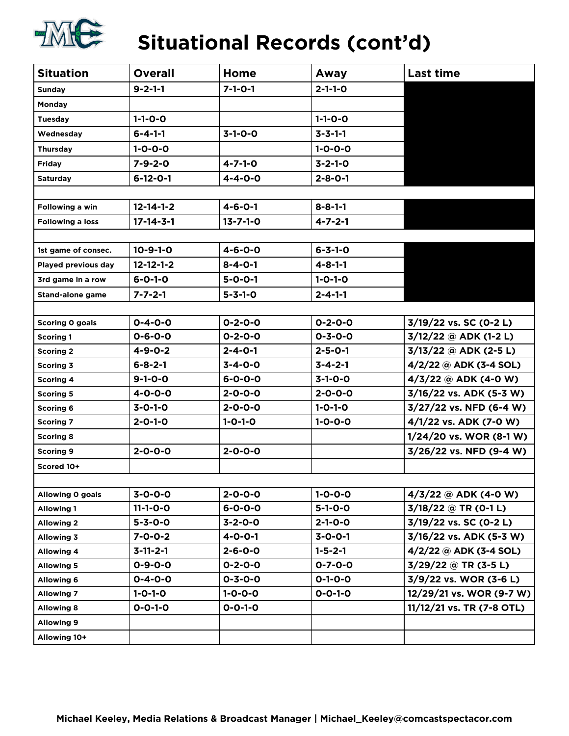

# **Situational Records (cont'd)**

| <b>Situation</b>        | <b>Overall</b>    | Home             | Away            | <b>Last time</b>          |
|-------------------------|-------------------|------------------|-----------------|---------------------------|
| <b>Sunday</b>           | $9 - 2 - 1 - 1$   | $7 - 1 - 0 - 1$  | $2 - 1 - 1 - 0$ |                           |
| Monday                  |                   |                  |                 |                           |
| <b>Tuesday</b>          | $1 - 1 - 0 - 0$   |                  | $1 - 1 - 0 - 0$ |                           |
| Wednesday               | $6 - 4 - 1 - 1$   | $3-1-0-0$        | $3 - 3 - 1 - 1$ |                           |
| Thursday                | $1 - 0 - 0 - 0$   |                  | $1 - 0 - 0 - 0$ |                           |
| Friday                  | $7 - 9 - 2 - 0$   | $4 - 7 - 1 - 0$  | $3 - 2 - 1 - 0$ |                           |
| <b>Saturday</b>         | $6 - 12 - 0 - 1$  | $4 - 4 - 0 - 0$  | $2 - 8 - 0 - 1$ |                           |
|                         |                   |                  |                 |                           |
| Following a win         | $12 - 14 - 1 - 2$ | $4 - 6 - 0 - 1$  | $8 - 8 - 1 - 1$ |                           |
| <b>Following a loss</b> | $17 - 14 - 3 - 1$ | $13 - 7 - 1 - 0$ | $4 - 7 - 2 - 1$ |                           |
|                         |                   |                  |                 |                           |
| 1st game of consec.     | $10 - 9 - 1 - 0$  | $4 - 6 - 0 - 0$  | $6 - 3 - 1 - 0$ |                           |
| Played previous day     | $12 - 12 - 1 - 2$ | $8 - 4 - 0 - 1$  | $4 - 8 - 1 - 1$ |                           |
| 3rd game in a row       | $6 - 0 - 1 - 0$   | $5 - 0 - 0 - 1$  | $1 - 0 - 1 - 0$ |                           |
| <b>Stand-alone game</b> | $7 - 7 - 2 - 1$   | $5 - 3 - 1 - 0$  | $2 - 4 - 1 - 1$ |                           |
|                         |                   |                  |                 |                           |
| Scoring 0 goals         | $0 - 4 - 0 - 0$   | $0 - 2 - 0 - 0$  | $0 - 2 - 0 - 0$ | 3/19/22 vs. SC (0-2 L)    |
| <b>Scoring 1</b>        | $0 - 6 - 0 - 0$   | $0 - 2 - 0 - 0$  | $0 - 3 - 0 - 0$ | $3/12/22$ @ ADK (1-2 L)   |
| <b>Scoring 2</b>        | $4 - 9 - 0 - 2$   | $2 - 4 - 0 - 1$  | $2 - 5 - 0 - 1$ | $3/13/22$ @ ADK (2-5 L)   |
| <b>Scoring 3</b>        | $6 - 8 - 2 - 1$   | $3 - 4 - 0 - 0$  | $3 - 4 - 2 - 1$ | $4/2/22$ @ ADK (3-4 SOL)  |
| <b>Scoring 4</b>        | $9 - 1 - 0 - 0$   | $6 - 0 - 0 - 0$  | $3-1-0-0$       | $4/3/22$ @ ADK (4-0 W)    |
| <b>Scoring 5</b>        | $4 - 0 - 0 - 0$   | $2 - 0 - 0 - 0$  | $2 - 0 - 0 - 0$ | 3/16/22 vs. ADK (5-3 W)   |
| <b>Scoring 6</b>        | $3 - 0 - 1 - 0$   | $2 - 0 - 0 - 0$  | $1 - 0 - 1 - 0$ | 3/27/22 vs. NFD (6-4 W)   |
| <b>Scoring 7</b>        | $2 - 0 - 1 - 0$   | $1 - 0 - 1 - 0$  | $1 - 0 - 0 - 0$ | 4/1/22 vs. ADK (7-0 W)    |
| <b>Scoring 8</b>        |                   |                  |                 | 1/24/20 vs. WOR (8-1 W)   |
| <b>Scoring 9</b>        | $2 - 0 - 0 - 0$   | $2 - 0 - 0 - 0$  |                 | 3/26/22 vs. NFD (9-4 W)   |
| Scored 10+              |                   |                  |                 |                           |
|                         |                   |                  |                 |                           |
| Allowing O goals        | $3 - 0 - 0 - 0$   | $2 - 0 - 0 - 0$  | $1 - 0 - 0 - 0$ | $4/3/22$ @ ADK (4-0 W)    |
| <b>Allowing 1</b>       | $11 - 1 - 0 - 0$  | $6 - 0 - 0 - 0$  | $5 - 1 - 0 - 0$ | $3/18/22$ @ TR (0-1 L)    |
| <b>Allowing 2</b>       | $5 - 3 - 0 - 0$   | $3 - 2 - 0 - 0$  | $2 - 1 - 0 - 0$ | 3/19/22 vs. SC (0-2 L)    |
| Allowing 3              | $7 - 0 - 0 - 2$   | $4 - 0 - 0 - 1$  | $3 - 0 - 0 - 1$ | 3/16/22 vs. ADK (5-3 W)   |
| <b>Allowing 4</b>       | $3 - 11 - 2 - 1$  | $2 - 6 - 0 - 0$  | $1 - 5 - 2 - 1$ | $4/2/22$ @ ADK (3-4 SOL)  |
| <b>Allowing 5</b>       | $0 - 9 - 0 - 0$   | $0 - 2 - 0 - 0$  | $0 - 7 - 0 - 0$ | $3/29/22$ @ TR (3-5 L)    |
| <b>Allowing 6</b>       | $0 - 4 - 0 - 0$   | $0 - 3 - 0 - 0$  | $0 - 1 - 0 - 0$ | 3/9/22 vs. WOR (3-6 L)    |
| <b>Allowing 7</b>       | $1 - 0 - 1 - 0$   | $1 - 0 - 0 - 0$  | $0 - 0 - 1 - 0$ | 12/29/21 vs. WOR (9-7 W)  |
| <b>Allowing 8</b>       | $0 - 0 - 1 - 0$   | $0 - 0 - 1 - 0$  |                 | 11/12/21 vs. TR (7-8 OTL) |
| <b>Allowing 9</b>       |                   |                  |                 |                           |
| Allowing 10+            |                   |                  |                 |                           |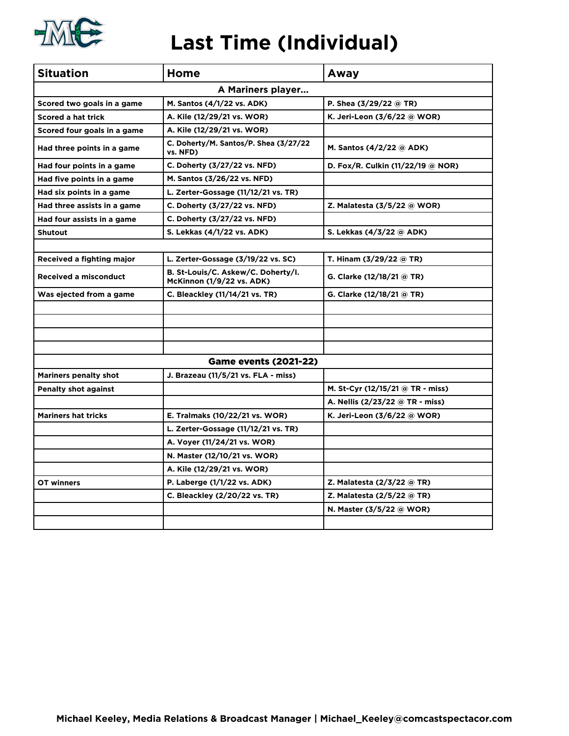

#### **Last Time (Individual)**

| <b>Situation</b>             | Home                                                                   | Away                              |  |  |  |  |  |  |  |  |
|------------------------------|------------------------------------------------------------------------|-----------------------------------|--|--|--|--|--|--|--|--|
| A Mariners player            |                                                                        |                                   |  |  |  |  |  |  |  |  |
| Scored two goals in a game   | M. Santos (4/1/22 vs. ADK)                                             | P. Shea $(3/29/22 \text{ @ TR})$  |  |  |  |  |  |  |  |  |
| <b>Scored a hat trick</b>    | A. Kile (12/29/21 vs. WOR)                                             | K. Jeri-Leon (3/6/22 @ WOR)       |  |  |  |  |  |  |  |  |
| Scored four goals in a game  | A. Kile (12/29/21 vs. WOR)                                             |                                   |  |  |  |  |  |  |  |  |
| Had three points in a game   | C. Doherty/M. Santos/P. Shea (3/27/22)<br>vs. NFD)                     | M. Santos (4/2/22 @ ADK)          |  |  |  |  |  |  |  |  |
| Had four points in a game    | C. Doherty (3/27/22 vs. NFD)                                           | D. Fox/R. Culkin (11/22/19 @ NOR) |  |  |  |  |  |  |  |  |
| Had five points in a game    | M. Santos (3/26/22 vs. NFD)                                            |                                   |  |  |  |  |  |  |  |  |
| Had six points in a game     | L. Zerter-Gossage (11/12/21 vs. TR)                                    |                                   |  |  |  |  |  |  |  |  |
| Had three assists in a game  | C. Doherty (3/27/22 vs. NFD)                                           | Z. Malatesta (3/5/22 @ WOR)       |  |  |  |  |  |  |  |  |
| Had four assists in a game   | C. Doherty (3/27/22 vs. NFD)                                           |                                   |  |  |  |  |  |  |  |  |
| <b>Shutout</b>               | S. Lekkas (4/1/22 vs. ADK)                                             | S. Lekkas (4/3/22 @ ADK)          |  |  |  |  |  |  |  |  |
|                              |                                                                        |                                   |  |  |  |  |  |  |  |  |
| Received a fighting major    | L. Zerter-Gossage (3/19/22 vs. SC)                                     | T. Hinam (3/29/22 @ TR)           |  |  |  |  |  |  |  |  |
| <b>Received a misconduct</b> | B. St-Louis/C. Askew/C. Doherty/I.<br><b>McKinnon (1/9/22 vs. ADK)</b> | <b>G. Clarke (12/18/21 @ TR)</b>  |  |  |  |  |  |  |  |  |
| Was ejected from a game      | C. Bleackley (11/14/21 vs. TR)                                         | G. Clarke (12/18/21 @ TR)         |  |  |  |  |  |  |  |  |
|                              |                                                                        |                                   |  |  |  |  |  |  |  |  |
|                              |                                                                        |                                   |  |  |  |  |  |  |  |  |
|                              |                                                                        |                                   |  |  |  |  |  |  |  |  |
|                              |                                                                        |                                   |  |  |  |  |  |  |  |  |
|                              | <b>Game events (2021-22)</b>                                           |                                   |  |  |  |  |  |  |  |  |
| <b>Mariners penalty shot</b> | J. Brazeau (11/5/21 vs. FLA - miss)                                    |                                   |  |  |  |  |  |  |  |  |
| <b>Penalty shot against</b>  |                                                                        | M. St-Cyr (12/15/21 @ TR - miss)  |  |  |  |  |  |  |  |  |
|                              |                                                                        | A. Nellis (2/23/22 @ TR - miss)   |  |  |  |  |  |  |  |  |
| <b>Mariners hat tricks</b>   | E. Tralmaks (10/22/21 vs. WOR)                                         | K. Jeri-Leon (3/6/22 @ WOR)       |  |  |  |  |  |  |  |  |
|                              | L. Zerter-Gossage (11/12/21 vs. TR)                                    |                                   |  |  |  |  |  |  |  |  |
|                              | A. Voyer (11/24/21 vs. WOR)                                            |                                   |  |  |  |  |  |  |  |  |
|                              | N. Master (12/10/21 vs. WOR)                                           |                                   |  |  |  |  |  |  |  |  |
|                              | A. Kile (12/29/21 vs. WOR)                                             |                                   |  |  |  |  |  |  |  |  |
| OT winners                   | P. Laberge (1/1/22 vs. ADK)                                            | Z. Malatesta (2/3/22 @ TR)        |  |  |  |  |  |  |  |  |
|                              | C. Bleackley (2/20/22 vs. TR)                                          | Z. Malatesta (2/5/22 @ TR)        |  |  |  |  |  |  |  |  |
|                              |                                                                        | N. Master (3/5/22 @ WOR)          |  |  |  |  |  |  |  |  |
|                              |                                                                        |                                   |  |  |  |  |  |  |  |  |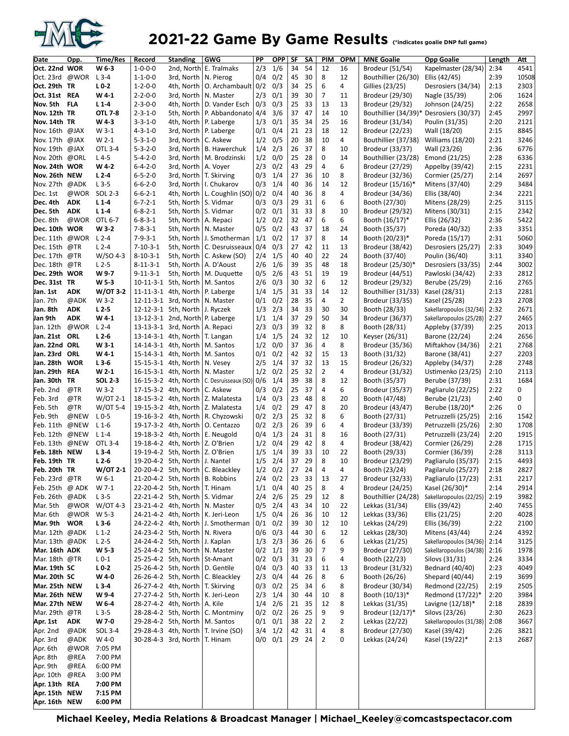

### 2021-22 Game By Game Results (\*indicates goalie DNP full game)

| Date                             | Opp.               | Time/Res              | Record                               | <b>Standing</b>                              | <b>GWG</b>                                                                | PP                 | OPP.        | SF       | SΑ       | PIM            | <b>OPM</b>     | <b>MNE Goalie</b>                      | <b>Opp Goalie</b>                          | Length       | Att          |
|----------------------------------|--------------------|-----------------------|--------------------------------------|----------------------------------------------|---------------------------------------------------------------------------|--------------------|-------------|----------|----------|----------------|----------------|----------------------------------------|--------------------------------------------|--------------|--------------|
| Oct. 22nd WOR                    |                    | W 6-3                 | $1 - 0 - 0 - 0$                      |                                              | 2nd, North E. Tralmaks                                                    | 2/3                | 1/6         | 34       | 54       | 12             | 16             | Brodeur (51/54)                        | Kapelmaster (28/34)                        | 2:34         | 4541         |
| Oct. 23rd @WOR                   |                    | $L$ 3-4               | $1 - 1 - 0 - 0$                      | 3rd, North                                   | N. Pierog                                                                 | 0/4                | 0/2         | 45       | 30       | 8              | 12             | Bouthillier (26/30)                    | Ellis (42/45)                              | 2:39         | 10508        |
| Oct. 29th TR                     |                    | $L0-2$                | $1 - 2 - 0 - 0$                      | 4th, North                                   | O. Archambault   0/2                                                      |                    | 0/3         | 34       | 25       | 6              | 4              | Gillies (23/25)                        | Desrosiers (34/34)                         | 2:13         | 2303         |
| Oct. 31st REA                    |                    | W4-1                  | $2 - 2 - 0 - 0$                      | 3rd, North                                   | N. Master                                                                 | 2/3                | 0/1         | 39       | 30       | $\overline{7}$ | 11             | Brodeur (29/30)                        | Nagle (35/39)                              | 2:06         | 1624         |
| Nov. 5th FLA                     |                    | $L1-4$                | $2 - 3 - 0 - 0$                      | 4th, North                                   | D. Vander Esch                                                            | 0/3                | 0/3         | 25       | 33       | 13             | 13             | Brodeur (29/32)                        | Johnson (24/25)                            | 2:22         | 2658         |
| Nov. 12th TR                     |                    | <b>OTL 7-8</b>        | $2 - 3 - 1 - 0$                      | 5th, North                                   | P. Abbandonato 4/4                                                        |                    | 3/6         | 37       | 47       | 14             | 10             | Bouthillier (34/39)*                   | Desrosiers (30/37)                         | 2:45         | 2997         |
| Nov. 14th TR                     |                    | W4-3                  | $3 - 3 - 1 - 0$                      | 4th, North                                   | P. Laberge                                                                | 1/3                | 0/1         | 35       | 34       | 25             | 16             | Brodeur (31/34)                        | Poulin (31/35)                             | 2:20         | 2121         |
| Nov. 16th @JAX                   |                    | W 3-1                 | $4 - 3 - 1 - 0$                      | 3rd, North                                   | P. Laberge                                                                | 0/1                | 0/4         | 21       | 23<br>38 | 18<br>10       | 12             | Brodeur (22/23)                        | Wall (18/20)                               | 2:15         | 8845         |
| Nov. 17th @JAX<br>Nov. 19th @JAX |                    | $W 2-1$<br>OTL 3-4    | $5 - 3 - 1 - 0$<br>$5 - 3 - 2 - 0$   | 3rd, North<br>3rd, North                     | C. Askew<br>B. Hawerchuk                                                  | 1/2<br>1/4         | 0/5<br>2/3  | 20<br>26 | 37       | 8              | 4<br>10        | Bouthillier (37/38)<br>Brodeur (33/37) | Williams (18/20)<br>Wall (23/26)           | 2:21<br>2:36 | 3246<br>6776 |
| Nov. 20th @ORL                   |                    | $L4-5$                | $5 - 4 - 2 - 0$                      | 3rd, North                                   | M. Brodzinski                                                             | 1/2                | 0/0         | 25       | 28       | 0              | 14             | Bouthillier (23/28)                    | Emond (21/25)                              | 2:28         | 6336         |
| Nov. 24th WOR                    |                    | $W4-2$                | $6 - 4 - 2 - 0$                      | 3rd, North                                   | A. Voyer                                                                  | 2/3                | 0/2         | 43       | 29       | 4              | 6              | Brodeur (27/29)                        | Appelby (39/42)                            | 2:15         | 2231         |
| Nov. 26th NEW                    |                    | $L2-4$                | $6 - 5 - 2 - 0$                      | 3rd, North                                   | T. Skirving                                                               | 0/3                | 1/4         | 27       | 36       | 10             | 8              | Brodeur (32/36)                        | Cormier (25/27)                            | 2:14         | 2697         |
| Nov. 27th @ADK                   |                    | $L3-5$                | $6 - 6 - 2 - 0$                      | 3rd, North                                   | I. Chukarov                                                               | 0/3                | 1/4         | 40       | 36       | 14             | 12             | Brodeur (15/16)*                       | Mitens (37/40)                             | 2:29         | 3484         |
| Dec. 1st                         | @WOR               | SOL 2-3               | $6 - 6 - 2 - 1$                      | 4th, North                                   | L. Coughlin $(SO)$ 0/2                                                    |                    | 0/4         | 40       | 36       | 8              | 4              | Brodeur (34/36)                        | Ellis (38/40)                              | 2:34         | 2221         |
| Dec. 4th                         | <b>ADK</b>         | $L1-4$                | $6 - 7 - 2 - 1$                      | 5th, North                                   | S. Vidmar                                                                 | 0/3                | 0/3         | 29       | 31       | 6              | 6              | Booth (27/30)                          | Mitens (28/29)                             | 2:25         | 3115         |
| Dec. 5th                         | <b>ADK</b>         | $L1-4$                | $6 - 8 - 2 - 1$                      | 5th, North                                   | S. Vidmar                                                                 | 0/2                | 0/1         | 31       | 33       | 8              | 10             | Brodeur (29/32)                        | Mitens (30/31)                             | 2:15         | 2342         |
| Dec. 8th                         | @WOR               | OTL 6-7               | $6 - 8 - 3 - 1$                      | 5th, North                                   | A. Repaci                                                                 | 1/2                | 0/2         | 32       | 47       | 6              | 6              | Booth (16/17)*                         | Ellis (26/32)                              | 2:36         | 5422         |
| Dec. 10th WOR                    |                    | $W3-2$                | $7 - 8 - 3 - 1$                      | 5th, North                                   | N. Master                                                                 | 0/5                | 0/2         | 43       | 37       | 18             | 24             | Booth (35/37)                          | Poreda (40/32)                             | 2:33         | 3351         |
| Dec. 11th @WOR                   |                    | L 2-4                 | $7 - 9 - 3 - 1$                      | 5th, North                                   | J. Smotherman                                                             | 1/1                | 0/2         | 17       | 37       | 8              | 14             | Booth (20/23)*                         | Poreda (15/17)                             | 2:31         | 5060         |
| Dec. 15th<br>Dec. 17th           | @TR<br>@TR         | $L2-4$<br>$W/SO$ 4-3  | $7 - 10 - 3 - 1$<br>$8 - 10 - 3 - 1$ | 5th, North<br>5th, North                     | C. Desruisseaux<br>C. Askew (SO)                                          | 0/4<br>2/4         | 0/3<br>1/5  | 27<br>40 | 42<br>40 | 11<br>22       | 13<br>24       | Brodeur (38/42)<br>Booth (37/40)       | Desrosiers (25/27)<br>Poulin (36/40)       | 2:33<br>3:11 | 3049<br>3340 |
| Dec. 18th                        | @TR                | $L2-5$                | $8 - 11 - 3 - 1$                     | 5th, North                                   | A. D'Aoust                                                                | 2/6                | 1/6         | 39       | 35       | 48             | 18             | Brodeur (25/30)*                       | Desrosiers (33/35)                         | 2:44         | 3002         |
| Dec. 29th WOR                    |                    | W97                   | $9 - 11 - 3 - 1$                     | 5th, North                                   | M. Duquette                                                               | 0/5                | 2/6         | 43       | 51       | 19             | 19             | Brodeur (44/51)                        | Pawloski (34/42)                           | 2:33         | 2812         |
| Dec. 31st TR                     |                    | W <sub>5</sub> -3     |                                      | 10-11-3-1 5th, North                         | M. Santos                                                                 | 2/6                | 0/3         | 30       | 32       | 6              | 12             | Brodeur (29/32)                        | Berube (25/29)                             | 2:16         | 2765         |
| Jan. 1st                         | <b>ADK</b>         | $W/OT$ 3-2            |                                      | 11-11-3-1 4th, North                         | P. Laberge                                                                | 1/4                | 1/5         | 31       | 33       | 14             | 12             | Bouthillier (31/33)                    | Kasel (28/31)                              | 2:13         | 2281         |
| Jan. 7th                         | @ADK               | W 3-2                 |                                      | 12-11-3-1 3rd, North                         | N. Master                                                                 | 0/1                | 0/2         | 28       | 35       | 4              | 2              | Brodeur (33/35)                        | Kasel (25/28)                              | 2:23         | 2708         |
| Jan. 8th                         | <b>ADK</b>         | L <sub>2</sub> -5     |                                      | 12-12-3-1 5th, North                         | J. Ryczek                                                                 | 1/3                | 2/3         | 34       | 33       | 30             | 30             | Booth (28/33)                          | Sakellaropoulos (32/34)                    | 2:32         | 2671         |
| Jan 9th                          | <b>ADK</b>         | W4-1                  |                                      | 13-12-3-1 2nd, North P. Laberge              |                                                                           | 1/1                | 1/4         | 37       | 29       | 50             | 34             | Brodeur (36/37)                        | Sakellaropoulos (25/28)                    | 2:27         | 2465         |
| Jan. 12th                        | @WOR               | $L$ 2-4               |                                      | 13-13-3-1 3rd, North                         | A. Repaci                                                                 | 2/3                | 0/3         | 39       | 32       | 8              | 8              | Booth (28/31)                          | Appleby (37/39)                            | 2:25         | 2013         |
| Jan. 21st ORL<br>Jan. 22nd ORL   |                    | $L2-6$<br>$W3-1$      |                                      | 13-14-3-1 4th, North                         | T. Langan                                                                 | 1/4<br>1/2         | 1/5<br>0/0  | 24       | 32<br>36 | 12<br>4        | 10<br>8        | Keyser (26/31)                         | Barone (22/24)                             | 2:24         | 2656<br>2768 |
| Jan. 23rd                        | ORL                | W4-1                  |                                      | 14-14-3-1 4th, North<br>15-14-3-1 4th, North | M. Santos<br>M. Santos                                                    | 0/1                | 0/2         | 37<br>42 | 32       | 15             | 13             | Brodeur (35/36)<br>Booth (31/32)       | Miftakhov (34/36)<br>Barone (38/41)        | 2:21<br>2:27 | 2203         |
| Jan. 28th                        | <b>WOR</b>         | $L3-6$                |                                      | 15-15-3-1 4th, North                         | N. Vesey                                                                  | 2/5                | 1/4         | 37       | 32       | 13             | 15             | Brodeur (26/32)                        | Appleby (34/37)                            | 2:28         | 2748         |
| Jan. 29th REA                    |                    | $W 2-1$               |                                      | 16-15-3-1 4th, North                         | N. Master                                                                 | 1/2                | 0/2         | 25       | 32       | 2              | 4              | Brodeur (31/32)                        | Ustimenko (23/25)                          | 2:10         | 2113         |
| Jan. 30th TR                     |                    | <b>SOL 2-3</b>        |                                      | 16-15-3-2 4th, North                         | C. Desruisseaux (SO) 0/6                                                  |                    | 1/4         | 39       | 38       | 8              | 12             | Booth (35/37)                          | Berube (37/39)                             | 2:31         | 1684         |
| Feb. 2nd                         | @TR                | W 3-2                 |                                      | 17-15-3-2 4th, North                         | C. Askew                                                                  | 0/3                | 0/2         | 25       | 37       | 4              | 6              | Brodeur (35/37)                        | Pagliarulo (22/25)                         | 2:22         | 0            |
| Feb. 3rd                         | @TR                | $W$ /OT 2-1           |                                      | 18-15-3-2 4th, North                         | Z. Malatesta                                                              | 1/4                | 0/3         | 23       | 48       | 8              | 20             | Booth (47/48)                          | Berube (21/23)                             | 2:40         | 0            |
| Feb. 5th                         | @TR                | $W$ /OT 5-4           |                                      | 19-15-3-2 4th, North                         | Z. Malatesta                                                              | 1/4                | 0/2         | 29       | 47       | 8              | 20             | Brodeur (43/47)                        | Berube (18/20)*                            | 2:26         | 0            |
| Feb. 9th                         | @NEW               | $L0-5$                |                                      | 19-16-3-2 4th, North                         | R. Chyzowski                                                              | 0/2                | 2/3         | 25       | 32       | 8              | 6              | Booth (27/31)                          | Petruzzelli (25/25)                        | 2:16         | 1542         |
| Feb. 11th<br>Feb. 12th           | @NEW<br>@NEW       | $L_1$ -6<br>$L_1 - 4$ |                                      | 19-17-3-2 4th, North<br>19-18-3-2 4th, North | O. Centazzo<br>E. Neugold                                                 | 0/2<br>0/4         | 2/3<br>1/3  | 26<br>24 | 39<br>31 | 6<br>8         | 4<br>16        | Brodeur (33/39)                        | Petruzzelli (25/26)<br>Petruzzelli (23/24) | 2:30<br>2:20 | 1708<br>1915 |
| Feb. 13th                        | @NEW               | OTL 3-4               |                                      | 19-18-4-2 4th, North                         | Z. O'Brien                                                                | 1/2                | 0/4         | 29       | 42       | 8              | 4              | Booth (27/31)<br>Brodeur (38/42)       | Cormier (26/29)                            | 2:28         | 1715         |
| Feb. 18th NEW                    |                    | $L3-4$                |                                      | 19-19-4-2 5th, North                         | Z. O'Brien                                                                | 1/5                | 1/4         | 39       | 33       | 10             | 22             | Booth (29/33)                          | Cormier (36/39)                            | 2:28         | 3113         |
| Feb. 19th TR                     |                    | $L2-6$                |                                      | 19-20-4-2 5th, North                         | J. Nantel                                                                 | 1/5                | 2/4         | 37       | 29       | 8              | 10             | Brodeur (23/29)                        | Pagliarulo (35/37)                         | 2:15         | 4493         |
| Feb. 20th TR                     |                    | W/OT 2-1              |                                      |                                              | 20-20-4-2 5th, North   C. Bleackley                                       |                    | $1/2$ 0/2   | 27       | 24       | 4              | 4              | Booth (23/24)                          | Pagilarulo (25/27)                         | 2:18         | 2827         |
| Feb. 23rd @TR                    |                    | W 6-1                 |                                      | 21-20-4-2 5th, North   B. Robbins            |                                                                           |                    | $2/4$ 0/2   | 23       | 33       | 13             | 27             | Brodeur (32/33)                        | Pagliarulo (17/23)                         | 2:31         | 2217         |
| Feb. 25th @ ADK                  |                    | W 7-1                 |                                      | 22-20-4-2 5th, North   T. Hinam              |                                                                           | 1/1                | 0/4         | 40       | 25       | 8              | 4              | Brodeur (24/25)                        | Kasel (26/30)*                             | 2:14         | 2914         |
| Feb. 26th @ADK                   |                    | $L$ 3-5               |                                      | 22-21-4-2 5th, North   S. Vidmar             |                                                                           | 2/4                | 2/6         | 25       | 29       | 12             | 8              | Bouthillier (24/28)                    | Sakellaropoulos (22/25)                    | 2:19         | 3982         |
| Mar. 5th                         | @WOR               | $W$ /OT 4-3           |                                      | 23-21-4-2 4th, North                         | N. Master                                                                 | $0/5$ 2/4          |             | 43       | 34       | 10             | 22             | Lekkas (31/34)                         | Ellis (39/42)                              | 2:40         | 7455         |
| Mar. 6th<br>Mar. 9th             | @WOR<br><b>WOR</b> | W 5-3<br>$L3-6$       |                                      |                                              | 24-21-4-2 4th, North   K. Jeri-Leon<br>24-22-4-2 4th, North J. Smotherman | 1/5<br>0/1         | 0/4<br>0/2  | 26<br>39 | 36<br>30 | 10<br>12       | 12<br>10       | Lekkas (33/36)<br>Lekkas (24/29)       | Ellis (21/25)<br>Ellis (36/39)             | 2:20<br>2:22 | 4028<br>2100 |
| Mar. 12th @ADK                   |                    | $L_1-2$               |                                      | 24-23-4-2 5th, North   N. Rivera             |                                                                           | $0/6$ 0/3          |             | 44       | 30       | 6              | 12             | Lekkas (28/30)                         | Mitens (43/44)                             | 2:24         | 4392         |
| Mar. 13th @ADK                   |                    | $L2-5$                |                                      | 24-24-4-2 5th, North   J. Kaplan             |                                                                           | $1/3$ $2/3$        |             | 36       | 26       | 6              | 6              | Lekkas (21/25)                         | Sakellaropoulos (34/36)                    | 2:14         | 3125         |
| Mar. 16th ADK                    |                    | W 5-3                 |                                      | 25-24-4-2 5th, North                         | N. Master                                                                 | $0/2$ $1/1$        |             | 39       | 30       | 7              | 9              | Brodeur (27/30)                        | Sakellaropoulos (34/38)                    | 2:16         | 1978         |
| Mar. 18th @TR                    |                    | $L_{0-1}$             |                                      | 25-25-4-2 5th, North   St-Amant              |                                                                           | $0/2$ $0/3$        |             | 31       | 23       | 6              | 4              | Booth (22/23)                          | Silovs (31/31)                             | 2:24         | 3334         |
| Mar. 19th SC                     |                    | $L0-2$                |                                      | 25-26-4-2 5th, North   D. Gentile            |                                                                           | 0/4                | 0/3         | 40 33    |          | 11             | 13             | Brodeur (31/32)                        | Bednard (40/40)                            | 2:23         | 4049         |
| Mar. 20th SC                     |                    | W 40                  |                                      | 26-26-4-2 5th, North                         | C. Bleackley                                                              | $2/3$ 0/4          |             | 44       | 26       | 8              | 6              | Booth (26/26)                          | Shepard (40/44)                            | 2:19         | 3699         |
| Mar. 25th NEW                    |                    | $L3-4$                |                                      | 26-27-4-2 4th, North   T. Skirving           |                                                                           | 0/3                | 0/2         | 25       | 34       | 6              | 8              | Brodeur (30/34)                        | Redmond (22/25)                            | 2:19         | 2505         |
| Mar. 26th NEW<br>Mar. 27th NEW   |                    | W 9-4<br>W 6-4        |                                      | 27-27-4-2 5th, North<br>28-27-4-2 4th, North | K. Jeri-Leon<br>A. Kile                                                   | $2/3$ $1/4$<br>1/4 | 2/6         | 30<br>21 | 44<br>35 | 10<br>12       | 8<br>8         | Booth (10/13)*<br>Lekkas (31/35)       | Redmond (17/22)*<br>Lavigne $(12/18)^*$    | 2:20<br>2:18 | 3984<br>2839 |
| Mar. 29th @TR                    |                    | $L3-5$                |                                      | 28-28-4-2 5th, North                         | C. Montminy                                                               | $0/2$ $0/2$        |             | 26 25    |          | 9              | 9              | Brodeur (12/17)*                       | Silovs (23/26)                             | 2:30         | 2623         |
| Apr. 1st                         | ADK                | W 7-0                 |                                      | 29-28-4-2 5th, North   M. Santos             |                                                                           | 0/1                | 0/1         | 38       | -22      | 2              | $\overline{2}$ | Lekkas (22/22)                         | Sakellaropoulos (31/38)                    | 2:08         | 3667         |
| Apr. 2nd                         | @ADK               | SOL 3-4               |                                      |                                              | 29-28-4-3 4th, North   T. Irvine (SO)                                     | $3/4$ $1/2$        |             |          | 42 31    | 4              | 8              | Brodeur (27/30)                        | Kasel (39/42)                              | 2:26         | 3821         |
| Apr. 3rd                         | @ADK               | W 4-0                 |                                      | 30-28-4-3 3rd, North                         | T. Hinam                                                                  |                    | $0/0$ $0/1$ | 29 24    |          | $\overline{2}$ | 0              | Lekkas (24/24)                         | Kasel (19/22)*                             | 2:13         | 2687         |
| Apr. 6th                         | @WOR               | 7:05 PM               |                                      |                                              |                                                                           |                    |             |          |          |                |                |                                        |                                            |              |              |
| Apr. 8th                         | @REA               | 7:00 PM               |                                      |                                              |                                                                           |                    |             |          |          |                |                |                                        |                                            |              |              |
| Apr. 9th                         | @REA               | 6:00 PM               |                                      |                                              |                                                                           |                    |             |          |          |                |                |                                        |                                            |              |              |
| Apr. 10th @REA                   |                    | 3:00 PM               |                                      |                                              |                                                                           |                    |             |          |          |                |                |                                        |                                            |              |              |
| Apr. 13th REA<br>Apr. 15th NEW   |                    | 7:00 PM<br>7:15 PM    |                                      |                                              |                                                                           |                    |             |          |          |                |                |                                        |                                            |              |              |
| Apr. 16th NEW                    |                    | 6:00 PM               |                                      |                                              |                                                                           |                    |             |          |          |                |                |                                        |                                            |              |              |
|                                  |                    |                       |                                      |                                              |                                                                           |                    |             |          |          |                |                |                                        |                                            |              |              |

**Michael Keeley, Media Relations & Broadcast Manager | Michael\_Keeley@comcastspectacor.com**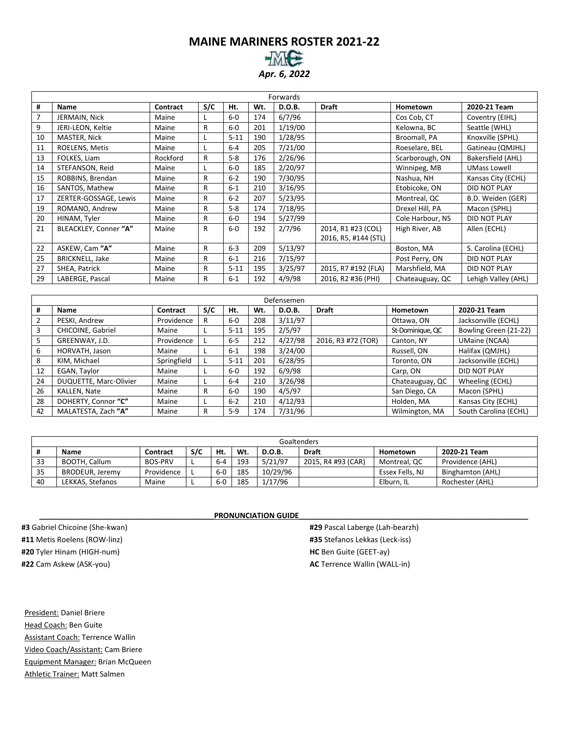# **MAINE MARINERS ROSTER 2021-22**

*Apr. 6, 2022*

|    | Forwards               |          |              |          |     |         |                      |                  |                     |  |  |  |
|----|------------------------|----------|--------------|----------|-----|---------|----------------------|------------------|---------------------|--|--|--|
| #  | Name                   | Contract | S/C          | Ht.      | Wt. | D.O.B.  | <b>Draft</b>         | Hometown         | 2020-21 Team        |  |  |  |
| 7  | JERMAIN, Nick          | Maine    |              | $6-0$    | 174 | 6/7/96  |                      | Cos Cob, CT      | Coventry (EIHL)     |  |  |  |
| 9  | JERI-LEON, Keltie      | Maine    | R            | $6-0$    | 201 | 1/19/00 |                      | Kelowna, BC      | Seattle (WHL)       |  |  |  |
| 10 | MASTER, Nick           | Maine    | L            | $5 - 11$ | 190 | 1/28/95 |                      | Broomall, PA     | Knoxville (SPHL)    |  |  |  |
| 11 | ROELENS, Metis         | Maine    |              | $6-4$    | 205 | 7/21/00 |                      | Roeselare, BEL   | Gatineau (QMJHL)    |  |  |  |
| 13 | FOLKES, Liam           | Rockford | R            | $5-8$    | 176 | 2/26/96 |                      | Scarborough, ON  | Bakersfield (AHL)   |  |  |  |
| 14 | STEFANSON, Reid        | Maine    |              | $6-0$    | 185 | 2/20/97 |                      | Winnipeg, MB     | <b>UMass Lowell</b> |  |  |  |
| 15 | ROBBINS, Brendan       | Maine    | R            | $6 - 2$  | 190 | 7/30/95 |                      | Nashua, NH       | Kansas City (ECHL)  |  |  |  |
| 16 | SANTOS, Mathew         | Maine    | R            | $6 - 1$  | 210 | 3/16/95 |                      | Etobicoke, ON    | DID NOT PLAY        |  |  |  |
| 17 | ZERTER-GOSSAGE, Lewis  | Maine    | R            | $6 - 2$  | 207 | 5/23/95 |                      | Montreal, QC     | B.D. Weiden (GER)   |  |  |  |
| 19 | ROMANO, Andrew         | Maine    | R            | $5-8$    | 174 | 7/18/95 |                      | Drexel Hill, PA  | Macon (SPHL)        |  |  |  |
| 20 | HINAM, Tyler           | Maine    | R            | $6-0$    | 194 | 5/27/99 |                      | Cole Harbour, NS | DID NOT PLAY        |  |  |  |
| 21 | BLEACKLEY, Conner "A"  | Maine    | R            | $6-0$    | 192 | 2/7/96  | 2014, R1 #23 (COL)   | High River, AB   | Allen (ECHL)        |  |  |  |
|    |                        |          |              |          |     |         | 2016, R5, #144 (STL) |                  |                     |  |  |  |
| 22 | ASKEW, Cam "A"         | Maine    | R            | $6 - 3$  | 209 | 5/13/97 |                      | Boston, MA       | S. Carolina (ECHL)  |  |  |  |
| 25 | <b>BRICKNELL, Jake</b> | Maine    | R            | $6 - 1$  | 216 | 7/15/97 |                      | Post Perry, ON   | <b>DID NOT PLAY</b> |  |  |  |
| 27 | SHEA, Patrick          | Maine    | R            | $5 - 11$ | 195 | 3/25/97 | 2015, R7 #192 (FLA)  | Marshfield, MA   | <b>DID NOT PLAY</b> |  |  |  |
| 29 | LABERGE, Pascal        | Maine    | $\mathsf{R}$ | $6 - 1$  | 192 | 4/9/98  | 2016, R2 #36 (PHI)   | Chateauguay, QC  | Lehigh Valley (AHL) |  |  |  |

|    | Defensemen             |             |     |          |     |         |                    |                  |                       |  |  |  |  |
|----|------------------------|-------------|-----|----------|-----|---------|--------------------|------------------|-----------------------|--|--|--|--|
| #  | <b>Name</b>            | Contract    | S/C | Ht.      | Wt. | D.O.B.  | <b>Draft</b>       | Hometown         | 2020-21 Team          |  |  |  |  |
|    | PESKI, Andrew          | Providence  | R   | $6-0$    | 208 | 3/11/97 |                    | Ottawa, ON       | Jacksonville (ECHL)   |  |  |  |  |
| 3  | CHICOINE, Gabriel      | Maine       |     | $5 - 11$ | 195 | 2/5/97  |                    | St-Dominique, QC | Bowling Green (21-22) |  |  |  |  |
| 5  | GREENWAY, J.D.         | Providence  |     | $6 - 5$  | 212 | 4/27/98 | 2016, R3 #72 (TOR) | Canton, NY       | <b>UMaine (NCAA)</b>  |  |  |  |  |
| 6  | HORVATH, Jason         | Maine       |     | $6 - 1$  | 198 | 3/24/00 |                    | Russell, ON      | Halifax (QMJHL)       |  |  |  |  |
| 8  | KIM, Michael           | Springfield |     | $5 - 11$ | 201 | 6/28/95 |                    | Toronto, ON      | Jacksonville (ECHL)   |  |  |  |  |
| 12 | EGAN, Taylor           | Maine       |     | $6-0$    | 192 | 6/9/98  |                    | Carp, ON         | <b>DID NOT PLAY</b>   |  |  |  |  |
| 24 | DUQUETTE, Marc-Olivier | Maine       |     | $6 - 4$  | 210 | 3/26/98 |                    | Chateauguay, QC  | Wheeling (ECHL)       |  |  |  |  |
| 26 | KALLEN, Nate           | Maine       | R   | $6-0$    | 190 | 4/5/97  |                    | San Diego, CA    | Macon (SPHL)          |  |  |  |  |
| 28 | DOHERTY, Connor "C"    | Maine       |     | $6 - 2$  | 210 | 4/12/93 |                    | Holden, MA       | Kansas City (ECHL)    |  |  |  |  |
| 42 | MALATESTA, Zach "A"    | Maine       | R   | $5-9$    | 174 | 7/31/96 |                    | Wilmington, MA   | South Carolina (ECHL) |  |  |  |  |

|    |                  |            |     |         |     |               | Goaltenders        |                 |                  |
|----|------------------|------------|-----|---------|-----|---------------|--------------------|-----------------|------------------|
|    | Name             | Contract   | S/C | Ht.     | Wt. | <b>D.O.B.</b> | <b>Draft</b>       | Hometown        | 2020-21 Team     |
| 33 | BOOTH, Callum    | BOS-PRV    |     | $6 - 4$ | 193 | 5/21/97       | 2015, R4 #93 (CAR) | Montreal, QC    | Providence (AHL) |
| 35 | BRODEUR. Jeremy  | Providence |     | $6-0$   | 185 | 10/29/96      |                    | Essex Fells, NJ | Binghamton (AHL) |
| 40 | LEKKAS. Stefanos | Maine      |     | $6-0$   | 185 | 1/17/96       |                    | Elburn. IL      | Rochester (AHL)  |

#### PRONUNCIATION GUIDE

**#3** Gabriel Chicoine (She-kwan) **#11** Metis Roelens (ROW-linz) **#20** Tyler Hinam (HIGH-num) **#22** Cam Askew (ASK-you)

President: Daniel Briere Head Coach: Ben Guite Assistant Coach: Terrence Wallin Video Coach/Assistant: Cam Briere Equipment Manager: Brian McQueen Athletic Trainer: Matt Salmen

**#29** Pascal Laberge (Lah-bearzh) **#35** Stefanos Lekkas (Leck-iss) **HC** Ben Guite (GEET-ay) **AC** Terrence Wallin (WALL-in)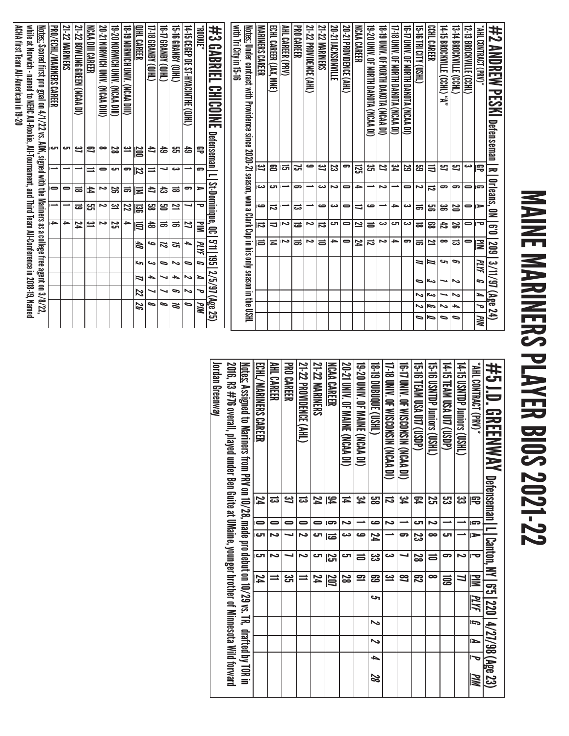# MAINE MARINERS PLAYER BIOS 2021-22 MAINE MARINERS PLAYER BIOS 2021-22

| with Tri City in 15-16<br>21-22 PROVIDENCE (AHL)<br><b>21-22 MARINERS</b><br>20-21 PROVIDENCE (AHL)<br>"AHL CONTRACT (PRV),<br>悲<br>AHL CAREER (PRV)<br>PRO CAREER<br>20-21 JACKSONVILLE<br>NCAA CAREER<br>19-YO DININ OF MORTH DAKOTA (NCAA DI)<br><b>18-19 DINIX OF ROKEH DAKOTH ON STAR DINIX</b><br>17-18 DNIV. OF NORTH DAKOTA (NCAA DI)<br>14-15 CEGEP DE ST-HYACINTHE (QJHL)<br>JINOO4.<br>ECHL CAREER (JAX,<br><b>10 PINIX OF ROKIH DAKOTH OF STAR DIS-11</b><br>CCHL CAREER<br>"N" (CHI.) 31JIVYOOR8 21-14"<br>13-14 BROCKVILLE (CCHL)<br>#2 ANDREW<br><b>Notes:</b><br><b>MARINERS CAREER</b><br><b>ALC BL BL 91-51</b><br>I2-13 BROCKVILLE (CCHL)<br>Under contract with Providence since 2020-21 season, won a Clark Cup in his only season in the USHL<br><b>CABRIEL</b><br>$\widehat{H}$<br><b>MME</b><br><b>CHICOIKE</b><br><b>PESKI</b> Defenseman R<br>Defenseman   L  <br>숩<br>宅<br>ص<br><b>يو</b><br>31<br>ಜ<br>77<br>29<br>Ľ<br>Ľ<br>دى<br>3<br>18<br>lch<br>ౚ<br>ы | జ<br>ន្លា<br>ස<br>宅<br>ミ<br>ణ | Orleans, ON<br>St-Dominique, QC<br>∸<br>lm<br>دى<br>⊩ு<br>∸<br>دى<br>$\rightarrow$<br>ح<br>$\bullet$<br>ౚ<br>൳<br>$\bullet$<br>ణ<br>ىم<br>$\bullet$<br>دە<br>ド<br>ౚ<br>⋼ | ⊫<br>ص<br>ص<br>ص<br>⇒<br>دى<br>ౢ<br>局<br>دى<br>$\bullet$<br>⇉<br>ಹ<br>န္တ<br>25<br>$\bullet$<br>ದ | $\overline{\mathbf{e}}$<br>77<br>Z<br>C<br>宝<br>≧<br>ವ<br>دى<br>دى<br>ى<br>ى<br>0<br>$\bullet$<br><b>las</b><br>12<br>ᇹ<br>ၼ<br>42<br>55<br>ನ<br>$\overline{\phantom{a}}$<br>ಹ | $2.11$ 1.3<br>→<br>مہ<br>ح<br>9<br>~<br>$\equiv$<br>≏<br>$\bullet$<br>14<br>ನ<br>$\bullet$<br>$\bullet$<br>≧<br>60Z<br>ᇹ<br>厅<br>15<br>ಹ<br>12<br>ಪ<br>┶<br>PLYF | حہ<br>G<br>PLYF<br>⇒<br>⇒<br>G<br>٥ | 3/11/97 (Age 24)<br>12/5/97<br>Ĺ<br>$\sim$<br>J<br>دى<br>๑<br>ゝ | $\tilde{}$<br>ſ<br>ىئ<br>N<br>∾ | (Age 25)<br>∍<br>ИM<br>ত<br>Ģ<br>┶<br>∾<br>∾ | WМ<br>0<br>٥<br>∍<br>∍ |
|-----------------------------------------------------------------------------------------------------------------------------------------------------------------------------------------------------------------------------------------------------------------------------------------------------------------------------------------------------------------------------------------------------------------------------------------------------------------------------------------------------------------------------------------------------------------------------------------------------------------------------------------------------------------------------------------------------------------------------------------------------------------------------------------------------------------------------------------------------------------------------------------------------------------------------------------------------------------------------------------|-------------------------------|--------------------------------------------------------------------------------------------------------------------------------------------------------------------------|---------------------------------------------------------------------------------------------------|--------------------------------------------------------------------------------------------------------------------------------------------------------------------------------|------------------------------------------------------------------------------------------------------------------------------------------------------------------|-------------------------------------|-----------------------------------------------------------------|---------------------------------|----------------------------------------------|------------------------|
|                                                                                                                                                                                                                                                                                                                                                                                                                                                                                                                                                                                                                                                                                                                                                                                                                                                                                                                                                                                         |                               |                                                                                                                                                                          |                                                                                                   |                                                                                                                                                                                |                                                                                                                                                                  |                                     |                                                                 |                                 |                                              |                        |
|                                                                                                                                                                                                                                                                                                                                                                                                                                                                                                                                                                                                                                                                                                                                                                                                                                                                                                                                                                                         |                               |                                                                                                                                                                          |                                                                                                   |                                                                                                                                                                                |                                                                                                                                                                  |                                     |                                                                 |                                 |                                              |                        |
|                                                                                                                                                                                                                                                                                                                                                                                                                                                                                                                                                                                                                                                                                                                                                                                                                                                                                                                                                                                         |                               |                                                                                                                                                                          |                                                                                                   |                                                                                                                                                                                |                                                                                                                                                                  |                                     |                                                                 |                                 |                                              |                        |
| <b>CHID) ASING 91-51</b><br>띩                                                                                                                                                                                                                                                                                                                                                                                                                                                                                                                                                                                                                                                                                                                                                                                                                                                                                                                                                           | دى                            | ಹ                                                                                                                                                                        | 2                                                                                                 | ಹ                                                                                                                                                                              | ল                                                                                                                                                                | ∾                                   | ┶                                                               | c                               | ă                                            |                        |
| <b>17-18 GRANBY (QIHL)</b><br>(THID) ARNABI (J)HI)<br>4<br>숩                                                                                                                                                                                                                                                                                                                                                                                                                                                                                                                                                                                                                                                                                                                                                                                                                                                                                                                            | ┙<br>⋍                        | 4<br>ದಿ                                                                                                                                                                  | င <b>္ထ</b><br>ප                                                                                  | ಹ<br>ㅎ                                                                                                                                                                         | ص<br>72                                                                                                                                                          | ىئ<br>∍                             | ┶                                                               |                                 | ∞<br>∞                                       |                        |
| 18-T9 Norwich Univ. (NCAA DIII)<br><b>OHL CAREER</b><br>یے<br>DOO                                                                                                                                                                                                                                                                                                                                                                                                                                                                                                                                                                                                                                                                                                                                                                                                                                                                                                                       | ႜ<br>72                       | ಹ<br>其                                                                                                                                                                   | 22<br>ឌ្ញ                                                                                         | $\rightarrow$<br>弖                                                                                                                                                             | tð                                                                                                                                                               | حہ                                  | ٦                                                               | 22                              | 92                                           |                        |
| 19-20 MORMICH DINN. (NCAR DIL)<br>2g                                                                                                                                                                                                                                                                                                                                                                                                                                                                                                                                                                                                                                                                                                                                                                                                                                                                                                                                                    | ال                            | 52                                                                                                                                                                       | یے                                                                                                | 52                                                                                                                                                                             |                                                                                                                                                                  |                                     |                                                                 |                                 |                                              |                        |
| 20-21 Norwich Univ.<br>NCAA DIII CAREER<br>(IIIO MAN)<br>œ<br>s                                                                                                                                                                                                                                                                                                                                                                                                                                                                                                                                                                                                                                                                                                                                                                                                                                                                                                                         | $\bullet$<br>⋿                | ى<br>₩                                                                                                                                                                   | ∾<br>∥੪ਸ਼                                                                                         | د<br><u>س</u>                                                                                                                                                                  |                                                                                                                                                                  |                                     |                                                                 |                                 |                                              |                        |
| 21-22 BOWLING GREEN (NCAA DI)<br>ఆ                                                                                                                                                                                                                                                                                                                                                                                                                                                                                                                                                                                                                                                                                                                                                                                                                                                                                                                                                      |                               | ಹ                                                                                                                                                                        | ಹ                                                                                                 | 24                                                                                                                                                                             |                                                                                                                                                                  |                                     |                                                                 |                                 |                                              |                        |
| <b>PRO/ECHL/MARINERS CAREER</b><br><b>21-22 MARINERS</b><br>cл<br>cл                                                                                                                                                                                                                                                                                                                                                                                                                                                                                                                                                                                                                                                                                                                                                                                                                                                                                                                    |                               | 0<br>$\blacksquare$                                                                                                                                                      | ∸                                                                                                 | $\rightarrow$<br>$\rightarrow$                                                                                                                                                 |                                                                                                                                                                  |                                     |                                                                 |                                 |                                              |                        |
| <u>Notes:</u> Scored first pro goal on 4/1/22 vs. ADK, signed with the Mariners as a college free agent on 3/8/22,                                                                                                                                                                                                                                                                                                                                                                                                                                                                                                                                                                                                                                                                                                                                                                                                                                                                      |                               |                                                                                                                                                                          |                                                                                                   |                                                                                                                                                                                |                                                                                                                                                                  |                                     |                                                                 |                                 |                                              |                        |
| ACHA first Team All-American in 19-20<br>while at Norwich - named to NEHC All-Rookie, All-Tournament, and Third Team All-Conference in 2018-19, Named                                                                                                                                                                                                                                                                                                                                                                                                                                                                                                                                                                                                                                                                                                                                                                                                                                   |                               |                                                                                                                                                                          |                                                                                                   |                                                                                                                                                                                |                                                                                                                                                                  |                                     |                                                                 |                                 |                                              |                        |

| 井5 J.D. GREENWAY Defenseman Ll Canton, NY 165122014/27/98 (Age 23)                                                             |                 |                |                          |           |              |      |        |        |   |    |
|--------------------------------------------------------------------------------------------------------------------------------|-----------------|----------------|--------------------------|-----------|--------------|------|--------|--------|---|----|
| "AHL CONTRACT (PR)"                                                                                                            | 雩               | l gra          | $\blacktriangleright$    |           | $\geq$       | PLYF | G      | N      | J | WМ |
| 14-15 USMTDP Juniors (USHL)                                                                                                    | دە<br>دى        |                |                          | Ñ         | Ц            |      |        |        |   |    |
| 14-15 TEAM USA U17 (USDP)                                                                                                      | <mark>ین</mark> |                | ى                        | 5         | ਛੁ           |      |        |        |   |    |
| 15-16 USNIDP Juniors (USHL)                                                                                                    | <u>ي</u>        | Z              | œ                        | 5         | œ            |      |        |        |   |    |
| 15-18 ILAM USA UTT (USDP)                                                                                                      | 54              | లా             | ಜ                        | 2g        | ౘె           |      |        |        |   |    |
| 16-17 UNIV. OF WISCONSIN (NCAA DI)                                                                                             | ین<br>4         |                | 5                        |           | 3            |      |        |        |   |    |
| 17-18 DNIV. OF WISCONSIN (NCAA DI)                                                                                             | ವ               | N              |                          | دے        | <u>جي</u>    |      |        |        |   |    |
| <b>(THST) 30006 (CRHT)</b>                                                                                                     | မ္မာ            | صه             | 74                       | دى<br>د   | ဥ္မ          | حہ   | $\sim$ | $\sim$ | 4 | 28 |
| 19-20 DNIV. OF MAINE (NCAA DI)                                                                                                 | ین<br>4         |                | ص                        | ᇹ         | $\mathbf{r}$ |      |        |        |   |    |
| <b>20-21 DNN: OF MAINE (NCAA DI)</b>                                                                                           | Ħ               | N              | دت                       | ى         | 2g           |      |        |        |   |    |
| <b>NCAA CAREER</b>                                                                                                             | 54              | G              | ౹ౚ                       | <u>ភ្</u> | 207          |      |        |        |   |    |
| <b>21-22 MARINERS</b>                                                                                                          | 74              |                | cл                       | లా        | 74           |      |        |        |   |    |
| 21-22 PROVIDENCE (AHL)                                                                                                         | ದ               | $\blacksquare$ | $\overline{\phantom{a}}$ | Ñ         |              |      |        |        |   |    |
| <b>PRO CAREER</b>                                                                                                              | یے              | 0              |                          |           | دى<br>آل     |      |        |        |   |    |
| AHL CAREER                                                                                                                     | ದ               | 0              | N                        | N         | ⋍            |      |        |        |   |    |
| ECHL/MARINERS CAREER                                                                                                           | 74              | $\blacksquare$ | $\overline{\mathbf{c}}$  | cл        | 74           |      |        |        |   |    |
| Notes: Assigned to Manual Pays of 10,729 ass 10,709 and the product of 10,799 vs. TR, drated to Mars Assigned to Hatted by Tom |                 |                |                          |           |              |      |        |        |   |    |
| 2016, R3 #76 overall, played under Ben Guite at UMaine, younger brother of Minnesota Wild forward                              |                 |                |                          |           |              |      |        |        |   |    |
| Jordan Greenway                                                                                                                |                 |                |                          |           |              |      |        |        |   |    |
|                                                                                                                                |                 |                |                          |           |              |      |        |        |   |    |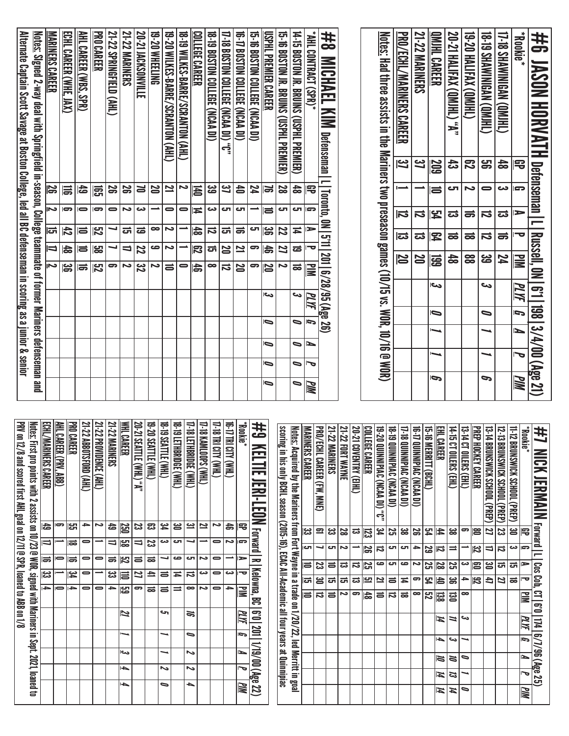| <b>PRV on 12/8 and s</b>                    |     |                     |   |   |      |                                          |                          |                         |                         |                         | Alternate Captain Scott Savage at Boston College, led all BC defenseman in scoring as a junior & senior              |
|---------------------------------------------|-----|---------------------|---|---|------|------------------------------------------|--------------------------|-------------------------|-------------------------|-------------------------|----------------------------------------------------------------------------------------------------------------------|
| Notes: First pro p                          |     |                     |   |   |      |                                          |                          |                         |                         |                         | <u>Notes:</u> Signed 2-way deal with Springfield in-season, College teammate of former Mariners defenseman and       |
| <b>ECHL/MARINERS</b>                        |     |                     |   |   |      | N                                        | ₹                        | <del>ದ</del>            | د                       | <b>25</b>               | <b>MARINERS CAREER</b>                                                                                               |
| <b>PRO CAREER</b><br>AHL CAREER (PRV        |     |                     |   |   |      | မ္ဟ                                      | $\frac{4}{5}$            | $\overline{t}$          | $\overline{\mathbf{c}}$ | 冨                       | ECHL CAREER (WHE,<br><b>IAX)</b>                                                                                     |
| 21-22 ABBOTSFOR                             |     |                     |   |   |      | <b>ISP</b>                               | ᇹ                        | IS                      | -                       | 49                      | AHL CAREER (WBS, SPR)                                                                                                |
| <b>21-22 PROVIDENC</b>                      |     |                     |   |   |      | $\overline{\mathbf{5}}$                  | မ္ထာ                     | $\overline{\mathbf{z}}$ | $\overline{ }$          | 冨                       | <b>PRO CAREER</b>                                                                                                    |
| <b>21-22 MARINERS</b>                       |     |                     |   |   |      | 5                                        |                          |                         | 0                       | χ                       | 21-22 SPRINGFIELD (AHL)                                                                                              |
| WHL CAREER                                  |     |                     |   |   |      | دە                                       | ゠                        | ಹ                       | د                       | ΩŚ                      | <b>21-22 MARINERS</b>                                                                                                |
| 20-21 SEATTLE (W                            |     |                     |   |   |      | స్త                                      | 22                       | ಹ                       | دى                      | N                       | 20-21 JACKSONVILLE                                                                                                   |
| 19-20 SEATTLE (W                            |     |                     |   |   |      | N                                        | ص                        | œ                       |                         | N                       | 19-20 WHEELING                                                                                                       |
| 18-19 SEATTLE (W                            |     |                     |   |   |      | ᇹ                                        | Ζ                        | دە                      | 0                       | 2                       | 19-20 WILKES-BARRE/SCRANTON (AHL)                                                                                    |
| 17-18 LETHBRIDGE<br><b>18-19 LETHBRIDGE</b> |     |                     |   |   |      |                                          |                          |                         | 0                       | 2                       | 18-19 WILKES-BARRE/SCRANTON (AHL)                                                                                    |
| <b>T-18 KAMLOOPS (</b>                      |     |                     |   |   |      | 145                                      | $\overline{\mathcal{R}}$ | $\frac{4}{5}$           | ≖                       | 局                       | <u>COLLEGE CAREER</u>                                                                                                |
| <b>IV) YTIS IRI SITY</b>                    |     |                     |   |   |      | ∞                                        | ᇘ                        | $\vec{v}$               | دى                      | <u>မ</u>                | 18-19 BOSTON COLLEGE (NCAA DI)                                                                                       |
| IN) AUCINI (W                               |     |                     |   |   |      | ವ                                        | N                        | <u>ਰ</u>                | cл                      | 37                      | 17-18 BOSTON COLLEGE (NCAA DI) "C"                                                                                   |
| "Rookie"                                    |     |                     |   |   |      | N                                        | 21                       | $\Rightarrow$           | cл                      | 合                       | 16-17 BOSTON COLLEGE (NCAA DI)                                                                                       |
| #<br>KELT                                   |     |                     |   |   |      | 5                                        | 9                        | cл                      |                         | 74                      | 15-16 BOSTON COLLEGE (NCAA DI)                                                                                       |
|                                             | ∍   | ∍                   | ∍ | ⋼ | دے   | 20                                       | お                        | )မွှ                    |                         | IJ                      | USPHL PREMIER CAREER                                                                                                 |
| scoring in his o                            |     |                     |   |   |      | Ν                                        | 77                       | 22                      | Ċ                       | 29                      | 15-16 BOSTON JR. BRUINS (USPHL PREMIER)                                                                              |
| Notes: Acquire                              | ∍   | ∍                   | 。 | 0 | دى   | $\vec{=}$                                | ಹ                        | Ħ                       | C                       | $\frac{4}{5}$           | 14-15 BOSTON JR. BRUINS (USPHIL PREMIER)                                                                             |
| <b>MARINERS CAR</b>                         | PIM | ত                   | ∍ | G | PLYF | $\mathbf{u}$                             |                          | $\blacktriangleright$   | G                       | 吊                       | *AHL CONTRACT (SPR)                                                                                                  |
| <b>PRO/ECHL CAR</b><br><b>21-22 MARINER</b> |     |                     |   |   |      | 201   6/28/95 (Age 26                    | $\frac{1}{2}$            |                         |                         |                         | #<br>MICHAEL KIM<br>Defenseman   L   Toronto, ON                                                                     |
| 21-22 FORT WA                               |     |                     |   |   |      |                                          |                          |                         |                         |                         |                                                                                                                      |
| 20-21 COVENTR                               |     |                     |   |   |      |                                          |                          |                         |                         |                         |                                                                                                                      |
| <b>COLLEGE CAREE</b>                        |     |                     |   |   |      |                                          |                          |                         |                         |                         |                                                                                                                      |
| 18-19 QUNNING<br>IS-20 QUINNIPI             |     |                     |   |   |      |                                          |                          |                         |                         |                         | <u>Notes:</u> Had three assists in the Mariners two preseason games (10/15 vs. WOR, 10/16 $\mathop{\rm \oplus}$ WOR) |
| 17-18 QUINNIPLI                             |     |                     |   |   |      | N                                        |                          | ವ                       | 订                       | $\overline{\mathbf{3}}$ | PRO/ECHL/MARINERS CAREER                                                                                             |
| <b>16-T2 QUINNIPL</b>                       |     |                     |   |   |      | N                                        | ದ                        |                         | IJ                      | <u>ی</u><br>ا           | 21-22 MARINERS                                                                                                       |
| EHL CAREER<br>15-16 MERRITT                 | Ģ   |                     |   | Ō | اور  | 區                                        | 早                        | 멓                       |                         | <b>SOZ</b><br>ᇹ         | <u>IMIHL CAREER</u>                                                                                                  |
| 14-15 CT OILERS                             |     |                     |   |   |      | $\frac{4}{5}$                            |                          | ಹ                       | ಪ                       | ಚ<br>ص                  | 20-21 HALIFAX (QMJHL) "A"                                                                                            |
| <b>PREP HOCKEY C</b><br>13-14 CT OILERS     |     |                     |   |   |      | 88                                       | ಹ                        |                         | ಹ                       | 忍<br>د                  | 19-20 HALIFAX (QMJHL)                                                                                                |
| <b>IS-14 BRUNSWI</b>                        | G   |                     |   | ∍ | دى   | <u>ය</u>                                 | ನ                        |                         | ನ                       | ဌာ<br>0                 | <b>GMININERY (OMIHL)</b>                                                                                             |
| 12-13 BRUNSWI                               |     |                     |   |   |      | 74                                       | ಹ                        |                         | ದ                       | 숢<br>دے                 | [JHIMD) NPSINIMAN (OMIHL)                                                                                            |
| <b>11-12 BRUNSWI</b><br><b>Rookie</b> *     | PM  | $\bar{\phantom{a}}$ | N | G | PLYF | <u>Mid</u>                               |                          | च                       | ⋗                       | 号<br>G                  | *Bookie*                                                                                                             |
| #1<br><b>MIC</b>                            |     | 13/4/00 (Age 21)    |   |   |      | <b>Rangell, 0N   6°11</b><br>Russell, 0N |                          |                         |                         |                         | #6<br><b>UASON HORVATH Defenseman   L</b>                                                                            |

| 书<br>NGK JERMAN                                                                                             | <b>Forward</b>   L |                          |                | Cos Coh,                | CT   6'0   174   6/7/96 (Age 25) |           |                             |    |     |                              |                         |  |
|-------------------------------------------------------------------------------------------------------------|--------------------|--------------------------|----------------|-------------------------|----------------------------------|-----------|-----------------------------|----|-----|------------------------------|-------------------------|--|
| "Rookie"                                                                                                    | B                  | lm                       | ⋗              | ᅮ                       | 冒                                |           | $\overline{\overline{\mu}}$ | l= | ►   | J                            | $\overline{\mathbb{W}}$ |  |
| 11-12 BRUNSWICK SCHOOL (PREP)                                                                               | ఆ                  | دى                       | ವ್             | ಹ                       |                                  |           |                             |    |     |                              |                         |  |
| 12-13 BRUNSWICK SCHOOL (PREP)                                                                               | ಜ                  | ದ                        | ದ              | 21                      |                                  |           |                             |    |     |                              |                         |  |
| 13-14 BRUNSMICK SCHOOL (PREP)                                                                               | 27                 | $\overline{\phantom{0}}$ | ຮ              | đ                       |                                  |           |                             |    |     |                              |                         |  |
| <b>PREP HOCKEY CAREER</b>                                                                                   | 12                 | $\overline{\mathbf{z}}$  | 123            | $\overline{\mathbb{Z}}$ |                                  |           |                             |    |     |                              |                         |  |
| 13-14 CT OILERS (EHL)                                                                                       | ခာ                 | ∸                        | دى             | ᡨ                       | ∞                                | ص         |                             | ∼  | 0   | ┙                            | ∍                       |  |
| 14-15 CT OILERS (EHL)                                                                                       | జ                  | $\equiv$                 | 25             | ၼ                       | $\Xi$                            | ≒         |                             | دى | Ø   | 13                           | И                       |  |
| EHL CAREER                                                                                                  | 4                  | 局                        | 20             | 占                       | <u>ន្ល</u>                       | И         |                             | ▲  | 1Z  | И                            | $\boldsymbol{\mu}$      |  |
| 15-16 MERRITT (BCHL)                                                                                        | F2                 | 29                       | 25             | ኳ                       | ដូ                               |           |                             |    |     |                              |                         |  |
| <b>16-17 QUINNIPIAC (NCAA DI)</b>                                                                           | 26                 | $\rightarrow$            | دە             | G                       | $\infty$                         |           |                             |    |     |                              |                         |  |
| 17-18 QUINNIPIAC (NCAA DI)                                                                                  | æ                  | ŢΩ                       | ص              | Ħ                       | ಹ                                |           |                             |    |     |                              |                         |  |
| <b>18-19 QUINNIPIAC (NCAA DI)</b>                                                                           | 25                 | гJ                       | ال             | $\equiv$                | ನ                                |           |                             |    |     |                              |                         |  |
| 19-20 QUINNIPIAC (NCAA DI) "C"                                                                              | 34                 | $\vec{a}$                | ص              | 21                      | 5                                |           |                             |    |     |                              |                         |  |
| COLLEGE CAREER                                                                                              | 123                | ပ္က                      | 25             | יִם∥                    | 品                                |           |                             |    |     |                              |                         |  |
| 20-21 COVENTRY (EIHL)                                                                                       | ಪ                  |                          | ನ              | ದ                       | မ                                |           |                             |    |     |                              |                         |  |
| 21-22 FORT WAYNE                                                                                            | 28                 | $\sim$                   | ಪ              | ਨ                       | Ζ                                |           |                             |    |     |                              |                         |  |
| 21-22 MARINERS                                                                                              | జ                  | cл                       | $\equiv$       | ದ                       | $\equiv$                         |           |                             |    |     |                              |                         |  |
| PRO/ECHL CAREER (FW, MNE)                                                                                   | $\mathbf{r}$       | ┙                        | 33             | ఆ                       | ವ                                |           |                             |    |     |                              |                         |  |
| MARINERS CAREER                                                                                             | ಜ                  | cл                       | ᇹ              | ಕ                       | 5                                |           |                             |    |     |                              |                         |  |
| <u>Notes:</u> Acquired by the Mariners from Fort Wayne in a trade on 1/20/22, led Merritt in goal           |                    |                          |                |                         |                                  |           |                             |    |     |                              |                         |  |
| scoring in his only BCHL season (2015-16), ECAC All-Academic all four years at Quinnipiac                   |                    |                          |                |                         |                                  |           |                             |    |     |                              |                         |  |
| 书<br>WELTIE<br><b>RRI-LEON</b>                                                                              | <b>Forward</b>     |                          | ᇰ              | Kelowna, I              | 呂                                |           |                             |    |     | 6'0   201   1/19/00 (Age 22) |                         |  |
| "aixloost"                                                                                                  | 宅<br>G             |                          | ►              | ᅮ                       | 呈                                | <u>РИ</u> | G                           |    | ►   | 宝                            | PМ                      |  |
| OHM) ALC BILLA (WHL)                                                                                        | 45<br>Z            | ⊸                        |                | دى                      | $\rightarrow$                    |           |                             |    |     |                              |                         |  |
| 1-18 TRI CITY (WHL)<br>Z                                                                                    | 0                  |                          | 0              | $\Rightarrow$           | $\Rightarrow$                    |           |                             |    |     |                              |                         |  |
| 17-18 KAMLOOPS (WHL)                                                                                        | 21                 |                          | ىم             | دى                      | ىم                               |           |                             |    |     |                              |                         |  |
| 17-18 LETHBRIDGE (WHL)                                                                                      | یے<br>┙            | Ċ                        |                | ವ                       | $\bullet$                        | æ         |                             | ∍  | ∾   | Ν                            | ┶                       |  |
| 18-19 LETHBRIDGE (WHL)                                                                                      | జ<br>ای            | صه                       |                | ≖                       | ≕                                |           |                             |    |     |                              |                         |  |
| <b>18-19 SEATTLE (WHL)</b>                                                                                  | 34<br>دى           |                          | ┙              | $\equiv$                | ᇹ                                | حە        |                             |    |     | ゝ                            | ∍                       |  |
| 19-20 SEATTLE (WHL)                                                                                         | ස                  | 33                       | ಹ              | ≞                       | $\equiv$                         |           |                             |    |     |                              |                         |  |
| 20-21 SEATTLE (WHL) "A"                                                                                     | 33                 | $\overline{a}$           | ᇹ              | Z                       | 9                                |           |                             |    |     |                              |                         |  |
| <b>WHL CAREER</b>                                                                                           | <b>S20</b>         | 63                       | ౹న             | 旨                       | မာ                               | 2         |                             |    | احد | ┶                            | ↳                       |  |
| <b>21-22 MARINERS</b>                                                                                       | 숩                  | ⋼                        | ಹ              | జ                       | ∸                                |           |                             |    |     |                              |                         |  |
| 21-22 PROVIDENCE<br>(HH)                                                                                    | ~                  |                          | $\Rightarrow$  |                         | 0                                |           |                             |    |     |                              |                         |  |
| 21-22 ABBOTSFORD (AHL)                                                                                      | ᡨ                  | 0                        | $\bullet$      | $\bullet$               | $\bullet$                        |           |                             |    |     |                              |                         |  |
| PRO CAREER                                                                                                  | ပြာ                | ಹ                        | ⊫              | 1g<br>14                | Ē                                |           |                             |    |     |                              |                         |  |
| AHL CAREER (PRV, ABB)<br>ణ                                                                                  | ∸                  |                          | $\blacksquare$ | ∸                       | $\overline{\phantom{0}}$         |           |                             |    |     |                              |                         |  |
| ECHL/MARINERS CAREER                                                                                        | 숩                  | 1                        | ᇹ              | జ                       | ÷.                               |           |                             |    |     |                              |                         |  |
| <u>Notes:</u> First pro points with 2 assists on 10/23 @ WOR, signed with Mariners in Sept. 2021, loaned to |                    |                          |                |                         |                                  |           |                             |    |     |                              |                         |  |
| PRV on 12/8 and scored first AHL goal on 12/11 @ SPR, Ioaned to ABB on 1/8                                  |                    |                          |                |                         |                                  |           |                             |    |     |                              |                         |  |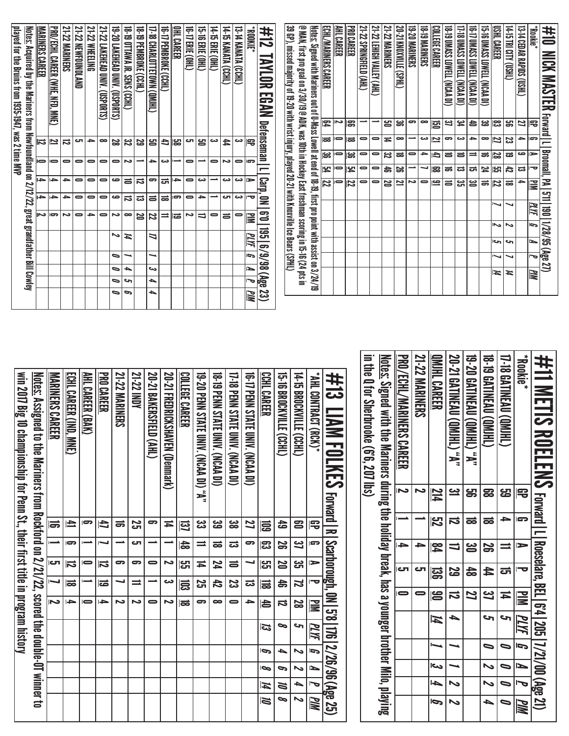| 39 GP), missed majority of 19-20 with wrist injury, played 20-21 with Knoxville Ice Bears (SPHL)<br>14-15 TRI CITY (USHL)<br>@ MAN, first pro goal on 3/30/19 @ ADK, was 10th in Hockey East freshman scoring in 15-16 (24 pts in<br><u>Notes:</u> Signed with Mariners out of U-Mass Lowell at end of 18-19, first pro point with assist on 3/24/19<br>ECHL/MARINERS CAREER<br><b>PRO CAREER</b><br>21-22 LEHIGH VALLEY (AHL)<br>20-21 KNOXVILLE<br><b>18-19 MARINERS</b><br>17-18 UMASS LOWELL (NCAA DI)<br>(IQ VYON) TIERNOT SSY WO <i>li-</i> 91<br><b>IS-16 UMASS LOWELL (NCAA DI)</b><br><b>USHL CAREER</b><br>AHL CAREER<br>21-22 SPRINGFIELD (AHL)<br>21-22 MARINERS<br>19-20 MARINERS<br>COLLEGE CAREER<br>18-T9 UMASS LOWELL (NCAA DI)<br>13-14 CEDAR RAPIDS (USHL)<br>Nookie<br><b>21-22 MARINERS</b><br>21-22 NEWFOUNDLAND<br><b>21-22 WHEELING</b><br>21-22 LAKEHEAD UNIV. (USPORTS)<br><b>TG-TZ ERIE (OHL)</b><br><u>PRO/ECHL CAREER (WHE, NFD, MNE)</u><br>19-20 LAKEHEAD UNIV. (USPORTS)<br>19-19 OTTAWA JR. SENS (CCHL)<br>18-19 PEMBROKE (CCHL)<br>17-18 CHARLOTTETOWN (QMJHL)<br><b>IG-IT PEMBROKE (CCHL)</b><br>OHL CAREER<br>15-16 ERIE (OHL)<br>14-15 ERIE (OHL)<br>14-15 KANATA (CCHL)<br>13-14 KANATA (CCHL)<br>#12<br><b>ADOKE*</b><br><b>ANLOR</b><br>$\widetilde{\mathbb{H}}$<br><b>POAN</b><br><b>Forward</b>   L<br>ዌ<br>Z<br>∸<br>ຮ<br>ခ<br>$\infty$<br>یے<br>183<br>ၼ<br>జ<br>ఞ<br>21<br>Defenseman<br>g<br><u>پہ</u><br>合<br> ಜ<br>宅<br>ಹ<br>$\bullet$<br>دے<br>9<br>دے<br>$\bullet$<br>$\overline{a}$<br>$\bar{ }$<br>0<br>$\bullet$<br>≖<br>∸<br>ᆋ<br>12<br>జ<br> ಹ<br>یـ<br>)}<br>cл<br>دى<br>12<br>)}<br>$\bullet$<br>22<br>జ<br>53<br>ප<br>8<br>C<br>吕<br>دى<br>ٰ<br>đ<br>宅<br>ನ<br>Broomall,<br>ఴ<br>)မွှ<br>$\bullet$<br>జ<br>$\rightarrow$<br>ص<br>►<br>$\blacksquare$<br>$\bullet$<br>ಹ<br>$\Rightarrow$<br>€<br>$\equiv$<br>ಹ<br>ᇹ<br>⋍<br>ಹ<br>52<br>$\bar{ }$<br>$\bullet$<br>$\bullet$<br>$\bullet$<br>∸<br>≏<br>دى<br>∸<br>$\bullet$<br>∸<br>0<br>0<br>$\bullet$<br>0<br>ىم<br>ىم<br>cə<br>54<br>$\overline{=}$<br>띻<br>$\bullet$<br>$\bullet$<br>24<br>4<br>29<br>┙<br>జె<br>ᇘ<br>ပ္ပြာ<br>42<br>ಹ<br>ಪ<br>ಪ<br>ᄝ<br>Carp,<br>PA   511   190   1/28/95 (Age 27)<br>÷<br>→<br>$\bullet$<br>ص<br>౼<br>$\overline{\phantom{0}}$<br>$\bullet$<br>دى<br>دى<br>دى<br>$\bullet$<br>0<br>2<br>ᇘ<br>∸<br>$\Rightarrow$<br>$\equiv$<br>22<br>0<br>$\bullet$<br>$\Rightarrow$<br>د<br>$\Rightarrow$<br>3<br>ఆ<br>2<br> ಜ<br>ಹ<br>12<br>20<br>ᇹ<br>ᇹ<br>≧<br>12<br>t.<br>∸<br>$\bullet$<br>ص<br>$\bullet$<br>دى<br>$\bullet$<br>0<br>ವ<br>ವ<br>$\equiv$<br>ಹ<br>9<br>→<br>ى<br>ᅮ<br>W<br>↘<br>MЫ<br>3<br>$\overline{c}$<br>د<br>$\bullet$<br>)}<br>$\bullet$<br>د٦<br>$\infty$<br>Ζ<br>$\bullet$<br>N<br>22<br>⋍<br> ಹ<br>1<br>$\bullet$<br>$\equiv$<br>≣<br>G<br>$\tilde{}$<br>∾<br>ទ្ឆ<br>$\tilde{}$<br>コ<br>$\overline{d}$<br>Ħ<br>حہ<br>≃<br>c<br>$\frac{6}{9}$<br>G<br>∍<br>⊸<br>-<br>ত<br>↘<br>↘<br>ਛ<br>$\blacksquare$<br>دے<br>P<br>┶<br>MМ<br>И<br>И<br>(Age<br>┶<br>$\bullet$<br>حە<br>᠊ᢦ<br>23) |    |  |  | great grandfather Bill Cowley |    |   |           |   | played for the Bruins from 1935-1947, was 2 time MVP<br><u>Notes:</u> Acquired by the Mariners from Newfoundland on $2/12/22$ , |
|-----------------------------------------------------------------------------------------------------------------------------------------------------------------------------------------------------------------------------------------------------------------------------------------------------------------------------------------------------------------------------------------------------------------------------------------------------------------------------------------------------------------------------------------------------------------------------------------------------------------------------------------------------------------------------------------------------------------------------------------------------------------------------------------------------------------------------------------------------------------------------------------------------------------------------------------------------------------------------------------------------------------------------------------------------------------------------------------------------------------------------------------------------------------------------------------------------------------------------------------------------------------------------------------------------------------------------------------------------------------------------------------------------------------------------------------------------------------------------------------------------------------------------------------------------------------------------------------------------------------------------------------------------------------------------------------------------------------------------------------------------------------------------------------------------------------------------------------------------------------------------------------------------------------------------------------------------------------------------------------------------------------------------------------------------------------------------------------------------------------------------------------------------------------------------------------------------------------------------------------------------------------------------------------------------------------------------------------------------------------------------------------------------------------------------------------------------------------------------------------------------------------------------------------------------------------------------------------------------------------------------------------------------------------------------------------------------------------------------------------------------------------------------------------------------------------------------------------------------------------------------------------------------------------------------------------------------------------------------------------------------------------------------------------------|----|--|--|-------------------------------|----|---|-----------|---|---------------------------------------------------------------------------------------------------------------------------------|
|                                                                                                                                                                                                                                                                                                                                                                                                                                                                                                                                                                                                                                                                                                                                                                                                                                                                                                                                                                                                                                                                                                                                                                                                                                                                                                                                                                                                                                                                                                                                                                                                                                                                                                                                                                                                                                                                                                                                                                                                                                                                                                                                                                                                                                                                                                                                                                                                                                                                                                                                                                                                                                                                                                                                                                                                                                                                                                                                                                                                                                               |    |  |  | Z                             | )} | → | $\bullet$ | ぃ | <b>MARINERS CAREER</b>                                                                                                          |
|                                                                                                                                                                                                                                                                                                                                                                                                                                                                                                                                                                                                                                                                                                                                                                                                                                                                                                                                                                                                                                                                                                                                                                                                                                                                                                                                                                                                                                                                                                                                                                                                                                                                                                                                                                                                                                                                                                                                                                                                                                                                                                                                                                                                                                                                                                                                                                                                                                                                                                                                                                                                                                                                                                                                                                                                                                                                                                                                                                                                                                               |    |  |  |                               |    |   |           |   |                                                                                                                                 |
|                                                                                                                                                                                                                                                                                                                                                                                                                                                                                                                                                                                                                                                                                                                                                                                                                                                                                                                                                                                                                                                                                                                                                                                                                                                                                                                                                                                                                                                                                                                                                                                                                                                                                                                                                                                                                                                                                                                                                                                                                                                                                                                                                                                                                                                                                                                                                                                                                                                                                                                                                                                                                                                                                                                                                                                                                                                                                                                                                                                                                                               |    |  |  |                               |    |   |           |   |                                                                                                                                 |
|                                                                                                                                                                                                                                                                                                                                                                                                                                                                                                                                                                                                                                                                                                                                                                                                                                                                                                                                                                                                                                                                                                                                                                                                                                                                                                                                                                                                                                                                                                                                                                                                                                                                                                                                                                                                                                                                                                                                                                                                                                                                                                                                                                                                                                                                                                                                                                                                                                                                                                                                                                                                                                                                                                                                                                                                                                                                                                                                                                                                                                               |    |  |  |                               |    |   |           |   |                                                                                                                                 |
|                                                                                                                                                                                                                                                                                                                                                                                                                                                                                                                                                                                                                                                                                                                                                                                                                                                                                                                                                                                                                                                                                                                                                                                                                                                                                                                                                                                                                                                                                                                                                                                                                                                                                                                                                                                                                                                                                                                                                                                                                                                                                                                                                                                                                                                                                                                                                                                                                                                                                                                                                                                                                                                                                                                                                                                                                                                                                                                                                                                                                                               |    |  |  |                               |    |   |           |   |                                                                                                                                 |
|                                                                                                                                                                                                                                                                                                                                                                                                                                                                                                                                                                                                                                                                                                                                                                                                                                                                                                                                                                                                                                                                                                                                                                                                                                                                                                                                                                                                                                                                                                                                                                                                                                                                                                                                                                                                                                                                                                                                                                                                                                                                                                                                                                                                                                                                                                                                                                                                                                                                                                                                                                                                                                                                                                                                                                                                                                                                                                                                                                                                                                               |    |  |  |                               |    |   |           |   |                                                                                                                                 |
|                                                                                                                                                                                                                                                                                                                                                                                                                                                                                                                                                                                                                                                                                                                                                                                                                                                                                                                                                                                                                                                                                                                                                                                                                                                                                                                                                                                                                                                                                                                                                                                                                                                                                                                                                                                                                                                                                                                                                                                                                                                                                                                                                                                                                                                                                                                                                                                                                                                                                                                                                                                                                                                                                                                                                                                                                                                                                                                                                                                                                                               | P  |  |  |                               |    |   |           |   |                                                                                                                                 |
|                                                                                                                                                                                                                                                                                                                                                                                                                                                                                                                                                                                                                                                                                                                                                                                                                                                                                                                                                                                                                                                                                                                                                                                                                                                                                                                                                                                                                                                                                                                                                                                                                                                                                                                                                                                                                                                                                                                                                                                                                                                                                                                                                                                                                                                                                                                                                                                                                                                                                                                                                                                                                                                                                                                                                                                                                                                                                                                                                                                                                                               | G  |  |  |                               |    |   |           |   |                                                                                                                                 |
|                                                                                                                                                                                                                                                                                                                                                                                                                                                                                                                                                                                                                                                                                                                                                                                                                                                                                                                                                                                                                                                                                                                                                                                                                                                                                                                                                                                                                                                                                                                                                                                                                                                                                                                                                                                                                                                                                                                                                                                                                                                                                                                                                                                                                                                                                                                                                                                                                                                                                                                                                                                                                                                                                                                                                                                                                                                                                                                                                                                                                                               |    |  |  |                               |    |   |           |   |                                                                                                                                 |
|                                                                                                                                                                                                                                                                                                                                                                                                                                                                                                                                                                                                                                                                                                                                                                                                                                                                                                                                                                                                                                                                                                                                                                                                                                                                                                                                                                                                                                                                                                                                                                                                                                                                                                                                                                                                                                                                                                                                                                                                                                                                                                                                                                                                                                                                                                                                                                                                                                                                                                                                                                                                                                                                                                                                                                                                                                                                                                                                                                                                                                               | ┶  |  |  |                               |    |   |           |   |                                                                                                                                 |
|                                                                                                                                                                                                                                                                                                                                                                                                                                                                                                                                                                                                                                                                                                                                                                                                                                                                                                                                                                                                                                                                                                                                                                                                                                                                                                                                                                                                                                                                                                                                                                                                                                                                                                                                                                                                                                                                                                                                                                                                                                                                                                                                                                                                                                                                                                                                                                                                                                                                                                                                                                                                                                                                                                                                                                                                                                                                                                                                                                                                                                               |    |  |  |                               |    |   |           |   |                                                                                                                                 |
|                                                                                                                                                                                                                                                                                                                                                                                                                                                                                                                                                                                                                                                                                                                                                                                                                                                                                                                                                                                                                                                                                                                                                                                                                                                                                                                                                                                                                                                                                                                                                                                                                                                                                                                                                                                                                                                                                                                                                                                                                                                                                                                                                                                                                                                                                                                                                                                                                                                                                                                                                                                                                                                                                                                                                                                                                                                                                                                                                                                                                                               |    |  |  |                               |    |   |           |   |                                                                                                                                 |
|                                                                                                                                                                                                                                                                                                                                                                                                                                                                                                                                                                                                                                                                                                                                                                                                                                                                                                                                                                                                                                                                                                                                                                                                                                                                                                                                                                                                                                                                                                                                                                                                                                                                                                                                                                                                                                                                                                                                                                                                                                                                                                                                                                                                                                                                                                                                                                                                                                                                                                                                                                                                                                                                                                                                                                                                                                                                                                                                                                                                                                               |    |  |  |                               |    |   |           |   |                                                                                                                                 |
|                                                                                                                                                                                                                                                                                                                                                                                                                                                                                                                                                                                                                                                                                                                                                                                                                                                                                                                                                                                                                                                                                                                                                                                                                                                                                                                                                                                                                                                                                                                                                                                                                                                                                                                                                                                                                                                                                                                                                                                                                                                                                                                                                                                                                                                                                                                                                                                                                                                                                                                                                                                                                                                                                                                                                                                                                                                                                                                                                                                                                                               |    |  |  |                               |    |   |           |   |                                                                                                                                 |
|                                                                                                                                                                                                                                                                                                                                                                                                                                                                                                                                                                                                                                                                                                                                                                                                                                                                                                                                                                                                                                                                                                                                                                                                                                                                                                                                                                                                                                                                                                                                                                                                                                                                                                                                                                                                                                                                                                                                                                                                                                                                                                                                                                                                                                                                                                                                                                                                                                                                                                                                                                                                                                                                                                                                                                                                                                                                                                                                                                                                                                               |    |  |  |                               |    |   |           |   |                                                                                                                                 |
|                                                                                                                                                                                                                                                                                                                                                                                                                                                                                                                                                                                                                                                                                                                                                                                                                                                                                                                                                                                                                                                                                                                                                                                                                                                                                                                                                                                                                                                                                                                                                                                                                                                                                                                                                                                                                                                                                                                                                                                                                                                                                                                                                                                                                                                                                                                                                                                                                                                                                                                                                                                                                                                                                                                                                                                                                                                                                                                                                                                                                                               |    |  |  |                               |    |   |           |   |                                                                                                                                 |
|                                                                                                                                                                                                                                                                                                                                                                                                                                                                                                                                                                                                                                                                                                                                                                                                                                                                                                                                                                                                                                                                                                                                                                                                                                                                                                                                                                                                                                                                                                                                                                                                                                                                                                                                                                                                                                                                                                                                                                                                                                                                                                                                                                                                                                                                                                                                                                                                                                                                                                                                                                                                                                                                                                                                                                                                                                                                                                                                                                                                                                               |    |  |  |                               |    |   |           |   |                                                                                                                                 |
|                                                                                                                                                                                                                                                                                                                                                                                                                                                                                                                                                                                                                                                                                                                                                                                                                                                                                                                                                                                                                                                                                                                                                                                                                                                                                                                                                                                                                                                                                                                                                                                                                                                                                                                                                                                                                                                                                                                                                                                                                                                                                                                                                                                                                                                                                                                                                                                                                                                                                                                                                                                                                                                                                                                                                                                                                                                                                                                                                                                                                                               | ИM |  |  |                               |    |   |           |   |                                                                                                                                 |
|                                                                                                                                                                                                                                                                                                                                                                                                                                                                                                                                                                                                                                                                                                                                                                                                                                                                                                                                                                                                                                                                                                                                                                                                                                                                                                                                                                                                                                                                                                                                                                                                                                                                                                                                                                                                                                                                                                                                                                                                                                                                                                                                                                                                                                                                                                                                                                                                                                                                                                                                                                                                                                                                                                                                                                                                                                                                                                                                                                                                                                               |    |  |  |                               |    |   |           |   |                                                                                                                                 |
|                                                                                                                                                                                                                                                                                                                                                                                                                                                                                                                                                                                                                                                                                                                                                                                                                                                                                                                                                                                                                                                                                                                                                                                                                                                                                                                                                                                                                                                                                                                                                                                                                                                                                                                                                                                                                                                                                                                                                                                                                                                                                                                                                                                                                                                                                                                                                                                                                                                                                                                                                                                                                                                                                                                                                                                                                                                                                                                                                                                                                                               |    |  |  |                               |    |   |           |   |                                                                                                                                 |
|                                                                                                                                                                                                                                                                                                                                                                                                                                                                                                                                                                                                                                                                                                                                                                                                                                                                                                                                                                                                                                                                                                                                                                                                                                                                                                                                                                                                                                                                                                                                                                                                                                                                                                                                                                                                                                                                                                                                                                                                                                                                                                                                                                                                                                                                                                                                                                                                                                                                                                                                                                                                                                                                                                                                                                                                                                                                                                                                                                                                                                               |    |  |  |                               |    |   |           |   |                                                                                                                                 |
|                                                                                                                                                                                                                                                                                                                                                                                                                                                                                                                                                                                                                                                                                                                                                                                                                                                                                                                                                                                                                                                                                                                                                                                                                                                                                                                                                                                                                                                                                                                                                                                                                                                                                                                                                                                                                                                                                                                                                                                                                                                                                                                                                                                                                                                                                                                                                                                                                                                                                                                                                                                                                                                                                                                                                                                                                                                                                                                                                                                                                                               |    |  |  |                               |    |   |           |   |                                                                                                                                 |
|                                                                                                                                                                                                                                                                                                                                                                                                                                                                                                                                                                                                                                                                                                                                                                                                                                                                                                                                                                                                                                                                                                                                                                                                                                                                                                                                                                                                                                                                                                                                                                                                                                                                                                                                                                                                                                                                                                                                                                                                                                                                                                                                                                                                                                                                                                                                                                                                                                                                                                                                                                                                                                                                                                                                                                                                                                                                                                                                                                                                                                               |    |  |  |                               |    |   |           |   |                                                                                                                                 |
|                                                                                                                                                                                                                                                                                                                                                                                                                                                                                                                                                                                                                                                                                                                                                                                                                                                                                                                                                                                                                                                                                                                                                                                                                                                                                                                                                                                                                                                                                                                                                                                                                                                                                                                                                                                                                                                                                                                                                                                                                                                                                                                                                                                                                                                                                                                                                                                                                                                                                                                                                                                                                                                                                                                                                                                                                                                                                                                                                                                                                                               |    |  |  |                               |    |   |           |   |                                                                                                                                 |
|                                                                                                                                                                                                                                                                                                                                                                                                                                                                                                                                                                                                                                                                                                                                                                                                                                                                                                                                                                                                                                                                                                                                                                                                                                                                                                                                                                                                                                                                                                                                                                                                                                                                                                                                                                                                                                                                                                                                                                                                                                                                                                                                                                                                                                                                                                                                                                                                                                                                                                                                                                                                                                                                                                                                                                                                                                                                                                                                                                                                                                               |    |  |  |                               |    |   |           |   |                                                                                                                                 |
|                                                                                                                                                                                                                                                                                                                                                                                                                                                                                                                                                                                                                                                                                                                                                                                                                                                                                                                                                                                                                                                                                                                                                                                                                                                                                                                                                                                                                                                                                                                                                                                                                                                                                                                                                                                                                                                                                                                                                                                                                                                                                                                                                                                                                                                                                                                                                                                                                                                                                                                                                                                                                                                                                                                                                                                                                                                                                                                                                                                                                                               |    |  |  |                               |    |   |           |   |                                                                                                                                 |
|                                                                                                                                                                                                                                                                                                                                                                                                                                                                                                                                                                                                                                                                                                                                                                                                                                                                                                                                                                                                                                                                                                                                                                                                                                                                                                                                                                                                                                                                                                                                                                                                                                                                                                                                                                                                                                                                                                                                                                                                                                                                                                                                                                                                                                                                                                                                                                                                                                                                                                                                                                                                                                                                                                                                                                                                                                                                                                                                                                                                                                               |    |  |  |                               |    |   |           |   |                                                                                                                                 |
|                                                                                                                                                                                                                                                                                                                                                                                                                                                                                                                                                                                                                                                                                                                                                                                                                                                                                                                                                                                                                                                                                                                                                                                                                                                                                                                                                                                                                                                                                                                                                                                                                                                                                                                                                                                                                                                                                                                                                                                                                                                                                                                                                                                                                                                                                                                                                                                                                                                                                                                                                                                                                                                                                                                                                                                                                                                                                                                                                                                                                                               |    |  |  |                               |    |   |           |   |                                                                                                                                 |
|                                                                                                                                                                                                                                                                                                                                                                                                                                                                                                                                                                                                                                                                                                                                                                                                                                                                                                                                                                                                                                                                                                                                                                                                                                                                                                                                                                                                                                                                                                                                                                                                                                                                                                                                                                                                                                                                                                                                                                                                                                                                                                                                                                                                                                                                                                                                                                                                                                                                                                                                                                                                                                                                                                                                                                                                                                                                                                                                                                                                                                               |    |  |  |                               |    |   |           |   |                                                                                                                                 |
|                                                                                                                                                                                                                                                                                                                                                                                                                                                                                                                                                                                                                                                                                                                                                                                                                                                                                                                                                                                                                                                                                                                                                                                                                                                                                                                                                                                                                                                                                                                                                                                                                                                                                                                                                                                                                                                                                                                                                                                                                                                                                                                                                                                                                                                                                                                                                                                                                                                                                                                                                                                                                                                                                                                                                                                                                                                                                                                                                                                                                                               |    |  |  |                               |    |   |           |   |                                                                                                                                 |
|                                                                                                                                                                                                                                                                                                                                                                                                                                                                                                                                                                                                                                                                                                                                                                                                                                                                                                                                                                                                                                                                                                                                                                                                                                                                                                                                                                                                                                                                                                                                                                                                                                                                                                                                                                                                                                                                                                                                                                                                                                                                                                                                                                                                                                                                                                                                                                                                                                                                                                                                                                                                                                                                                                                                                                                                                                                                                                                                                                                                                                               |    |  |  |                               |    |   |           |   |                                                                                                                                 |
|                                                                                                                                                                                                                                                                                                                                                                                                                                                                                                                                                                                                                                                                                                                                                                                                                                                                                                                                                                                                                                                                                                                                                                                                                                                                                                                                                                                                                                                                                                                                                                                                                                                                                                                                                                                                                                                                                                                                                                                                                                                                                                                                                                                                                                                                                                                                                                                                                                                                                                                                                                                                                                                                                                                                                                                                                                                                                                                                                                                                                                               |    |  |  |                               |    |   |           |   |                                                                                                                                 |
|                                                                                                                                                                                                                                                                                                                                                                                                                                                                                                                                                                                                                                                                                                                                                                                                                                                                                                                                                                                                                                                                                                                                                                                                                                                                                                                                                                                                                                                                                                                                                                                                                                                                                                                                                                                                                                                                                                                                                                                                                                                                                                                                                                                                                                                                                                                                                                                                                                                                                                                                                                                                                                                                                                                                                                                                                                                                                                                                                                                                                                               |    |  |  |                               |    |   |           |   |                                                                                                                                 |
|                                                                                                                                                                                                                                                                                                                                                                                                                                                                                                                                                                                                                                                                                                                                                                                                                                                                                                                                                                                                                                                                                                                                                                                                                                                                                                                                                                                                                                                                                                                                                                                                                                                                                                                                                                                                                                                                                                                                                                                                                                                                                                                                                                                                                                                                                                                                                                                                                                                                                                                                                                                                                                                                                                                                                                                                                                                                                                                                                                                                                                               |    |  |  |                               |    |   |           |   |                                                                                                                                 |
|                                                                                                                                                                                                                                                                                                                                                                                                                                                                                                                                                                                                                                                                                                                                                                                                                                                                                                                                                                                                                                                                                                                                                                                                                                                                                                                                                                                                                                                                                                                                                                                                                                                                                                                                                                                                                                                                                                                                                                                                                                                                                                                                                                                                                                                                                                                                                                                                                                                                                                                                                                                                                                                                                                                                                                                                                                                                                                                                                                                                                                               |    |  |  |                               |    |   |           |   |                                                                                                                                 |
|                                                                                                                                                                                                                                                                                                                                                                                                                                                                                                                                                                                                                                                                                                                                                                                                                                                                                                                                                                                                                                                                                                                                                                                                                                                                                                                                                                                                                                                                                                                                                                                                                                                                                                                                                                                                                                                                                                                                                                                                                                                                                                                                                                                                                                                                                                                                                                                                                                                                                                                                                                                                                                                                                                                                                                                                                                                                                                                                                                                                                                               |    |  |  |                               |    |   |           |   |                                                                                                                                 |
|                                                                                                                                                                                                                                                                                                                                                                                                                                                                                                                                                                                                                                                                                                                                                                                                                                                                                                                                                                                                                                                                                                                                                                                                                                                                                                                                                                                                                                                                                                                                                                                                                                                                                                                                                                                                                                                                                                                                                                                                                                                                                                                                                                                                                                                                                                                                                                                                                                                                                                                                                                                                                                                                                                                                                                                                                                                                                                                                                                                                                                               |    |  |  |                               |    |   |           |   |                                                                                                                                 |
|                                                                                                                                                                                                                                                                                                                                                                                                                                                                                                                                                                                                                                                                                                                                                                                                                                                                                                                                                                                                                                                                                                                                                                                                                                                                                                                                                                                                                                                                                                                                                                                                                                                                                                                                                                                                                                                                                                                                                                                                                                                                                                                                                                                                                                                                                                                                                                                                                                                                                                                                                                                                                                                                                                                                                                                                                                                                                                                                                                                                                                               |    |  |  |                               |    |   |           |   |                                                                                                                                 |
|                                                                                                                                                                                                                                                                                                                                                                                                                                                                                                                                                                                                                                                                                                                                                                                                                                                                                                                                                                                                                                                                                                                                                                                                                                                                                                                                                                                                                                                                                                                                                                                                                                                                                                                                                                                                                                                                                                                                                                                                                                                                                                                                                                                                                                                                                                                                                                                                                                                                                                                                                                                                                                                                                                                                                                                                                                                                                                                                                                                                                                               |    |  |  |                               |    |   |           |   |                                                                                                                                 |
|                                                                                                                                                                                                                                                                                                                                                                                                                                                                                                                                                                                                                                                                                                                                                                                                                                                                                                                                                                                                                                                                                                                                                                                                                                                                                                                                                                                                                                                                                                                                                                                                                                                                                                                                                                                                                                                                                                                                                                                                                                                                                                                                                                                                                                                                                                                                                                                                                                                                                                                                                                                                                                                                                                                                                                                                                                                                                                                                                                                                                                               |    |  |  |                               |    |   |           |   | #10<br><b>NICK MASTER</b>                                                                                                       |

| <u>Notes:</u> Assigned to the Mariners from Rockford on 2/21/22, scored the double-OT winner to | MARINERS CAREER | ECHL CAREER (IND, MNE) | AHL CAREER (BAK) | <b>PRO CAREER</b> | <b>21-22 MARINERS</b> | <b>Z1-22 INDY</b> | 20-21 BAKERSFIELD (AHL) | 20-21 REDRICKSHXEN (Denmark) | COLLEGE CAREER | 19-20 PENN STATE UNIV. (NCAA DI) "A" | 18-19 PENN STATE UNIV. (NCAA DI) | 17-18 PENN STATE UNIV. (NCAA DI) | <b>(IQ PENN SIRIE DININ)</b> (NORA DI) | CCHL CAREER | <b>15-16 BROCKVILLE (CCHL)</b> | 14-T5 BROCKVILLE (CCHL) | *AHL CONTRACT (RCK)*     | #13<br><b>LIAM FOLKES Google</b> | in the Q for Sherbrooke (6'6), 207 Ibs) | <u>Notes:</u> Signed with the Mariners during the holiday break, has a younger brother Milo, playing | PRO/ECHL/MARINERS CAREER | <b>21-22 MARINERS</b> | OMIHL CAREER            | 20-21 GATINEAU (QMJHL) "A" | 19-20 GATINEAU (QMJHL) "A" | <b>18-19 GATINEAU (QMJHL)</b> | 17-18 GATINEAU (QMJHL) | *Bookie*                |
|-------------------------------------------------------------------------------------------------|-----------------|------------------------|------------------|-------------------|-----------------------|-------------------|-------------------------|------------------------------|----------------|--------------------------------------|----------------------------------|----------------------------------|----------------------------------------|-------------|--------------------------------|-------------------------|--------------------------|----------------------------------|-----------------------------------------|------------------------------------------------------------------------------------------------------|--------------------------|-----------------------|-------------------------|----------------------------|----------------------------|-------------------------------|------------------------|-------------------------|
|                                                                                                 |                 |                        |                  |                   |                       |                   |                         |                              |                |                                      |                                  |                                  |                                        |             |                                |                         |                          |                                  |                                         |                                                                                                      | Z                        | د                     | $\frac{214}{11}$        | <u>یہ</u>                  | ဌာ                         | 53                            | 53                     | 号                       |
|                                                                                                 | ಹ               | 刍                      | lO,              | đ                 | ಹ                     | 25                | 9                       | Ħ                            | ାସ             | జ                                    | జ                                | జ                                | 22                                     | 扈           | 숩                              | 23                      | 号                        |                                  |                                         |                                                                                                      |                          |                       | $\overline{\mathbb{Z}}$ | ನ                          | ಹ                          | ಹ                             | ᆋ                      | G                       |
|                                                                                                 |                 | lთ                     |                  |                   |                       | τے                |                         |                              | $\frac{4}{5}$  | =                                    | ಹ                                | ಪ                                | 5                                      | ၊ဌာ         | S                              | <u>یع</u>               | Ģ                        |                                  |                                         |                                                                                                      | ᆋ                        | →                     | $\overline{\mathbf{z}}$ | ゠                          | ൠ                          | S                             |                        | ⋗                       |
|                                                                                                 | cл              | 局                      | $\bar{=}$        | 局                 | 5                     | 9                 | $\Rightarrow$           | دە                           | ပ္ပြ           | И                                    | 74                               | ᇹ                                |                                        | ပ္ပြာ       | N                              | ಜ                       | $\triangleright$         |                                  |                                         |                                                                                                      | اح                       | τک                    | 冨                       | 29                         | \$                         | 44                            | ದ                      | o                       |
|                                                                                                 |                 | ಹ                      |                  | lස්               | ᆗ                     | $\equiv$          |                         | دى                           | 忌              | 25                                   | 42                               | <b>SS</b>                        | ಪ                                      | 冨           | お                              | Z                       | ≔                        |                                  |                                         |                                                                                                      | $\bullet$                | 0                     |                         |                            |                            |                               |                        |                         |
|                                                                                                 | د               | ŀ                      | $\bar{=}$        | l dia             | ى                     | د                 | $\bullet$               | د                            | ಹ              | 5                                    | $\bullet$                        | $\bullet$                        | →                                      | 合           | ವ                              | 2g                      | E                        | Scarborough, ON   5'8            |                                         |                                                                                                      |                          |                       | 19                      | ぢ                          | 22                         | 37                            | ц                      | $\overline{\mathbf{M}}$ |
|                                                                                                 |                 |                        |                  |                   |                       |                   |                         |                              |                |                                      |                                  |                                  |                                        | ದ           | ∞                              | حہ                      | PLYF                     | $\overline{\Xi}$                 |                                         |                                                                                                      |                          |                       | $\overline{\bm{4}}$     | ┶                          |                            | S                             | S                      | PI YE                   |
|                                                                                                 |                 |                        |                  |                   |                       |                   |                         |                              |                |                                      |                                  |                                  |                                        | b           | ▲                              | N                       | G                        |                                  |                                         |                                                                                                      |                          |                       |                         |                            |                            | $\bullet$                     | $\bullet$              | G                       |
|                                                                                                 |                 |                        |                  |                   |                       |                   |                         |                              |                |                                      |                                  |                                  |                                        | lOo         | c                              | ゝ                       | Z                        |                                  |                                         |                                                                                                      |                          |                       | احد                     |                            |                            | $\sim$                        | ∍                      | ∍                       |
|                                                                                                 |                 |                        |                  |                   |                       |                   |                         |                              |                |                                      |                                  |                                  |                                        | И           | Ø                              | 4                       | $\overline{\phantom{a}}$ |                                  |                                         |                                                                                                      |                          |                       | ┶                       | $\sim$                     |                            | ゝ                             | ∍                      |                         |
|                                                                                                 |                 |                        |                  |                   |                       |                   |                         |                              |                |                                      |                                  |                                  |                                        | <b>III</b>  | ∞                              | ∾                       | PIN                      | 2/26/96 (Age 25)                 |                                         |                                                                                                      |                          |                       | Ģ                       | ゝ                          |                            | ▲                             | $\bullet$              | PIIM                    |
|                                                                                                 |                 |                        |                  |                   |                       |                   |                         |                              |                |                                      |                                  |                                  |                                        |             |                                |                         |                          |                                  |                                         |                                                                                                      |                          |                       |                         |                            |                            |                               |                        |                         |

win 2017 Big 10 championship for Penn St., their first title in program history

win 2017 Big 10 championship for Penn St., their first title in program history

#11 METIS ROELENS

#

Forward | L | Roeselare, BEL | 6'4 | 205 | 7/21/00 (Age 21)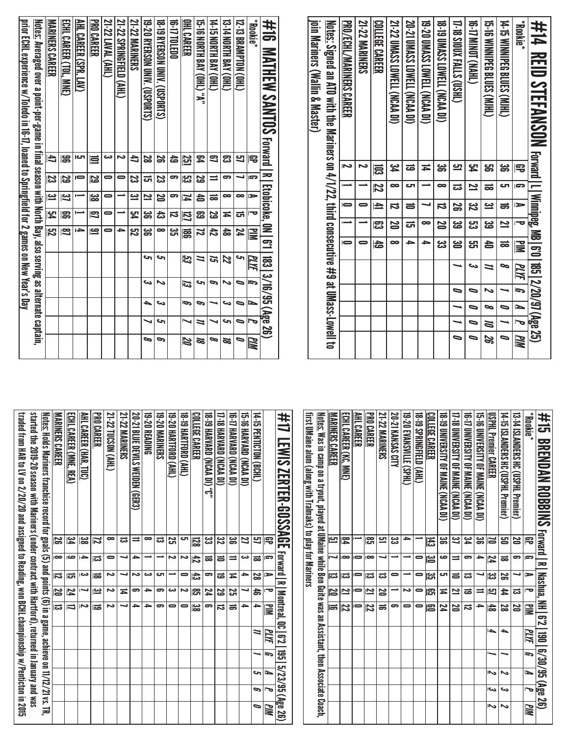| join Mariners (Wallin & Master) | <u>Notes:</u> Signed an ATO with the Maximus consecutive #9 at UMass-Lowell to | PRO/ECHL/MARINERS CAREER<br>Z | <b>21-22 MARINERS</b> | <b>COLLEGE CAREER</b><br>忌 | <b>21-22 UMASS LOWELL (NCAA DI)</b><br>ین<br>4 | <b>20-21 UMASS LOWELL (NCAA DI)</b><br>ಹ | <b>19-20 DIMASS LOWELL (NCAA DI)</b><br>≖ | <b>18-19 DINASS LOWELL (NCAA DI)</b><br>ఴౢ | 17-18 SIOUX FALLS (USHL)<br><u>다</u> | <b>(NNN) TOMING (NAHL)</b><br>54 | 15-16 WINNPEG BLUES (MHL)<br><mark>ය</mark> ු | 14-15 WINNIPEG BIOLES (MHL)<br>ఴ | <b>Rookie*</b><br>宅 | #14 REID STEFANSON Forward  L  Winnipeg, MB   6'0   185   2/20/97 (Age 25) |
|---------------------------------|--------------------------------------------------------------------------------|-------------------------------|-----------------------|----------------------------|------------------------------------------------|------------------------------------------|-------------------------------------------|--------------------------------------------|--------------------------------------|----------------------------------|-----------------------------------------------|----------------------------------|---------------------|----------------------------------------------------------------------------|
|                                 |                                                                                |                               |                       | 72                         | ∞                                              | ى                                        |                                           | œ                                          | ದ                                    | $\overline{\mathbf{z}}$          | ಹ                                             | دت                               | Ģ                   |                                                                            |
|                                 |                                                                                | $\overline{\phantom{0}}$      |                       | $\overline{\mathbf{4}}$    | ನ                                              | ᇹ                                        |                                           | ದ                                          | မ္တ                                  | <u>ین</u>                        | <u>يە</u>                                     | ಕ                                | N                   |                                                                            |
|                                 |                                                                                |                               |                       | ස                          | 2                                              | ದ                                        | œ                                         | S                                          | ಜ                                    | ಚ                                | یج<br>ڪ                                       | $\overline{\mathbf{z}}$          |                     |                                                                            |
|                                 |                                                                                |                               |                       | lâ                         | ∞                                              | ∍                                        | ÷                                         | ట్ట                                        | <u>ین</u>                            | <mark>س</mark>                   | <b>습</b>                                      | ಹ                                | $\geq$              |                                                                            |
|                                 |                                                                                |                               |                       |                            |                                                |                                          |                                           |                                            |                                      | دى                               | Ħ                                             | p                                | PLYF                |                                                                            |
|                                 |                                                                                |                               |                       |                            |                                                |                                          |                                           |                                            | $\bullet$                            | 0                                | Z                                             |                                  | $\overline{5}$      |                                                                            |
|                                 |                                                                                |                               |                       |                            |                                                |                                          |                                           |                                            |                                      | $\overline{\phantom{0}}$         | 9                                             | $\overline{\phantom{0}}$         | $\blacksquare$      |                                                                            |
|                                 |                                                                                |                               |                       |                            |                                                |                                          |                                           |                                            |                                      | $\overline{\phantom{a}}$         | $\frac{1}{2}$                                 |                                  | $\overline{r}$      |                                                                            |
|                                 |                                                                                |                               |                       |                            |                                                |                                          |                                           |                                            | $\overline{\phantom{0}}$             | $\dot{\bullet}$                  | $\overline{s}$                                | $\dot{\bullet}$                  | WM                  |                                                                            |

| ## 16 MATHEW SANT0S rexard                                                                                      |        | $\equiv$       |                  |                         | Ltopicoke, ON   6'1     | 183 3/16/95 (Age 26) |    |    |                |          |
|-----------------------------------------------------------------------------------------------------------------|--------|----------------|------------------|-------------------------|-------------------------|----------------------|----|----|----------------|----------|
| <b>Rookie</b>                                                                                                   | 导      | G.             | $\triangleright$ | ਚ                       | $\mathbf{u}$            | PLYF                 | ſ, | И  |                | ЖМ       |
| [2-13 BRAMPTON (OHL)                                                                                            | 5      |                | $\bullet$        | ದ                       | 74                      | حہ                   | 0  |    | 0              |          |
| <b>(THO) AND HINOM 71-SI</b>                                                                                    | ఔ      | 5              | $\bullet$        | Ħ                       | $\frac{4}{8}$           | 22                   | ぃ  | دے | حە             | Ø        |
| [THO) AV8 H1N0N S1-71                                                                                           | 9      |                | ಹ                | <u>یع</u>               | 42                      | ল                    | P  |    |                | p        |
| 15-16 NORTH BAY (OHL) "A"                                                                                       | 54     | 5g             | 4                | සි                      | $\overline{z}$          | 4                    | حە | P  | $\overline{u}$ | Ø        |
| OHL CAREER                                                                                                      | 55     | ပ္ပာ           | 4                | IJ                      | $\overrightarrow{33}$   | 53                   | ಡ  | Ģ  |                | <b>Z</b> |
| 16-17 TOLEDO                                                                                                    | 숩      | 9              | ణ                | $\vec{v}$               | دى<br>آگ                |                      |    |    |                |          |
| <b>18-19 AYERSON ONIV. (USPORTS)</b>                                                                            | S      | ಜ              | 2                | $t\overline{3}$         | ∞                       | c                    | ぃ  | دے | حە             | P        |
| 19-20 RYERSON UNIV (USPORTS)                                                                                    | 8<br>8 | ದ              | $\overline{2}$   | ఴ                       | ఴ                       | Ŝ                    | در | ь  |                | ∞        |
| <b>21-22 MARINERS</b>                                                                                           | đ      | 33             | <u>يە</u>        | <u>بہ</u>               | <u>بہ</u>               |                      |    |    |                |          |
| 21-22 SPRINGFIELD (AHL)                                                                                         | N      | 0              |                  |                         |                         |                      |    |    |                |          |
| <b>21-22 LAVAL (AHL)</b>                                                                                        | دى     |                |                  | 0                       |                         |                      |    |    |                |          |
| PRO CAREER                                                                                                      | 巨      | 3ā             | ယ္တ              | $\overline{\mathbf{c}}$ | <u> صر</u>              |                      |    |    |                |          |
| AHL CAREER (SPR, LAV)                                                                                           | ات     | $\overline{ }$ |                  |                         | LÞ.                     |                      |    |    |                |          |
| ECHL CAREER (TOL) INNE                                                                                          | န္တ    | 59             | یع               | 133                     | $\overline{\mathbf{S}}$ |                      |    |    |                |          |
| <b>MARINERS CAREER</b>                                                                                          | đ      | ပ္ပ            | <u>س</u>         | <u>بہ</u>               | ឌី                      |                      |    |    |                |          |
| <u>Notes:</u> Averaged over a point-per-game in final season with North Bay, also serving as alternate captain, |        |                |                  |                         |                         |                      |    |    |                |          |
| prior ECHL experience w/Toledo in 16-17, loaned to Springrield for 2 games on New Year's Day                    |        |                |                  |                         |                         |                      |    |    |                |          |

| #15 BRENDAN ROBBINS Forward I R   Nashua, NH   6:2   190   6/30/95 (Age 26)                                     |          |           |          |                         |               |      |    |   |      |     |
|-----------------------------------------------------------------------------------------------------------------|----------|-----------|----------|-------------------------|---------------|------|----|---|------|-----|
| *Blookie*                                                                                                       | 宅        | l gra     | ∍        | гe                      | <b>MId</b>    | PLIF | l. | E |      | PIM |
| 13-14 ISLANDERS HC (ISPHI Premier)                                                                              | 20       | 5         |          | ದ                       | N             |      |    |   |      |     |
| 14-15 ISLANDERS HC (USPHL Premier)                                                                              | ഋ        | ಹ         | S        | 44                      | 28            | ▵    |    | ↖ | دما  | ∾   |
| <b>USPHL Premier CAREER</b>                                                                                     | ă        | 74        | یں<br>دن | 5                       | $\frac{4}{5}$ | 4    |    | N | اورع | い   |
| 10-15 DAINERSTIN OF MAINE (NCAN DI)                                                                             | ఴౢ       | ∍         |          |                         | ٠             |      |    |   |      |     |
| 16-17 DNVERSITY OF MANE (NCAN DI)                                                                               | ین<br>4  | 5         | ದ        | ಹ                       | ವ             |      |    |   |      |     |
| 17-18 GMANERSILY OF MARINERS UNIVERSITY                                                                         | ݺ        | ⋍         | $\equiv$ | 2                       | 20            |      |    |   |      |     |
| 19-19 DINERSITY OF MAINE (NCAP DI)                                                                              | ఴ        | ص         | cл       | Ħ                       | 74            |      |    |   |      |     |
| COLLEGE CAREER                                                                                                  | 푾        | မြ        | یں<br>ات | ဌာ                      | ၉၁            |      |    |   |      |     |
| <b>UHP (THEILD CAHL)</b>                                                                                        |          |           | 0        |                         |               |      |    |   |      |     |
| 19-20 EVANSVILLE (SPHL)                                                                                         | -        |           |          | N                       |               |      |    |   |      |     |
| <b>20-21 KANSAS CITY</b>                                                                                        | జ        |           | 0        |                         | 5             |      |    |   |      |     |
| <b>21-22 MARINERS</b>                                                                                           | 므        |           | ದ        | 20                      | ಹ             |      |    |   |      |     |
| <b>PRO CAREER</b>                                                                                               | ႜႜၟ      | $\bullet$ | ದ        | Ľ                       | 12            |      |    |   |      |     |
| AHL CAREER                                                                                                      |          | 0         | 0        |                         |               |      |    |   |      |     |
| ECHL CAREER (KC, MNE)                                                                                           | ≆        | $\bullet$ | ದ        | 2                       | 22            |      |    |   |      |     |
| <b>MARINERS CAREER</b>                                                                                          | <u>س</u> |           | ದ        | $\overline{\mathbf{z}}$ |               |      |    |   |      |     |
| <u>Notes:</u> Was in camp on a tryout, played at UMaine while Ben Guite was an Assistant, then Associate Coach, |          |           |          |                         |               |      |    |   |      |     |
| first UMaine alum (along with Tralmaks) to play for Mariners                                                    |          |           |          |                         |               |      |    |   |      |     |
|                                                                                                                 |          |           |          |                         |               |      |    |   |      |     |

| traded from HAR to LV on 2/20/20 and assigned to Reading, won BCHL championship w/Penticton in 2015 | started the 2019-20 season with Mariners (under contract with Hartford), returned in January and was | <u>Notes:</u> Holds Mariners franchise record for goals (5) and points (6) in a game, achieve on 11/12/21 vs. TR, | <b>NARINERS CAREER</b>  | ECHL CAREER (MNE, REA)  | <b>ZHL CAREER (HAR. TUC)</b> | PRO CAREER              | 21-22 TUCSON (AHL) | <b>21-22 MARINERS</b> | <b>20-21 BILDEN STINED ENGINED ERG</b> | <b>19-20 READING</b> | <b>19-20 MARINERS</b> | 19-20 HARTFORD (AHL) | <b>CHAR DROFFORD (AHL)</b> | COLLEGE CAREER |         | 17-18 HARVARD (NCAA DI) | <b>16-TJ HARVARD (NCAA DI)</b> | <b>15-T6 HARVARD (NCAA DI)</b> | 14-15 PENTICTON (BCHL) |                         | #17 LENIS ZNENHEP-800920EL Formatil Flamstreal GlosSQSQS (Age 26) |
|-----------------------------------------------------------------------------------------------------|------------------------------------------------------------------------------------------------------|-------------------------------------------------------------------------------------------------------------------|-------------------------|-------------------------|------------------------------|-------------------------|--------------------|-----------------------|----------------------------------------|----------------------|-----------------------|----------------------|----------------------------|----------------|---------|-------------------------|--------------------------------|--------------------------------|------------------------|-------------------------|-------------------------------------------------------------------|
|                                                                                                     |                                                                                                      |                                                                                                                   | S                       | $\overline{\mathbf{r}}$ | జ                            | 2                       | ∞                  | ದ                     |                                        | ∞                    | ದ                     | 32<br>Sa             | ౮                          | <u> 23</u>     | دع<br>د | <u>ین</u>               | ఴ                              | 21                             | 9                      | ş                       |                                                                   |
|                                                                                                     |                                                                                                      |                                                                                                                   | $\bullet$               | صەر                     | ŀ                            | ವ                       | 0                  |                       | ∍                                      |                      |                       | Ν                    | N                          | 42             | ಹ       | ᇹ                       | =                              | دى                             | ಹ                      | œ                       |                                                                   |
|                                                                                                     |                                                                                                      |                                                                                                                   | $\overline{a}$          | ದ                       | دى                           | ಹ                       | د                  |                       | د٦                                     | دے                   | ى                     |                      |                            | 럲              | ౚ       | ಹ                       | Ħ                              | →                              | 28                     | $\Rightarrow$           |                                                                   |
|                                                                                                     |                                                                                                      |                                                                                                                   | $\overline{\mathbf{S}}$ | 74                      |                              | $\overline{\mathbf{2}}$ | N                  | Ħ                     | 5                                      | ≏                    | 5                     | دى                   | N                          | ္ဟြ            | 74      | ಜ                       | S                              |                                | ਛੇ                     | ਚ                       |                                                                   |
|                                                                                                     |                                                                                                      |                                                                                                                   | ಹ                       | ū                       | Z                            | ౹ౚ                      | د                  |                       | ∍                                      | ᆋ                    | 5                     |                      |                            | မ္တ            | ణ       | $\overline{a}$          | ಹ                              | )}                             | ≖                      | $\overline{\mathbb{R}}$ |                                                                   |
|                                                                                                     |                                                                                                      |                                                                                                                   |                         |                         |                              |                         |                    |                       |                                        |                      |                       |                      |                            |                |         |                         |                                |                                | Ħ                      | ТП                      |                                                                   |
|                                                                                                     |                                                                                                      |                                                                                                                   |                         |                         |                              |                         |                    |                       |                                        |                      |                       |                      |                            |                |         |                         |                                |                                |                        | G                       |                                                                   |
|                                                                                                     |                                                                                                      |                                                                                                                   |                         |                         |                              |                         |                    |                       |                                        |                      |                       |                      |                            |                |         |                         |                                |                                | c                      | ∍                       |                                                                   |
|                                                                                                     |                                                                                                      |                                                                                                                   |                         |                         |                              |                         |                    |                       |                                        |                      |                       |                      |                            |                |         |                         |                                |                                | c                      |                         |                                                                   |
|                                                                                                     |                                                                                                      |                                                                                                                   |                         |                         |                              |                         |                    |                       |                                        |                      |                       |                      |                            |                |         |                         |                                |                                | D                      | ЫM                      |                                                                   |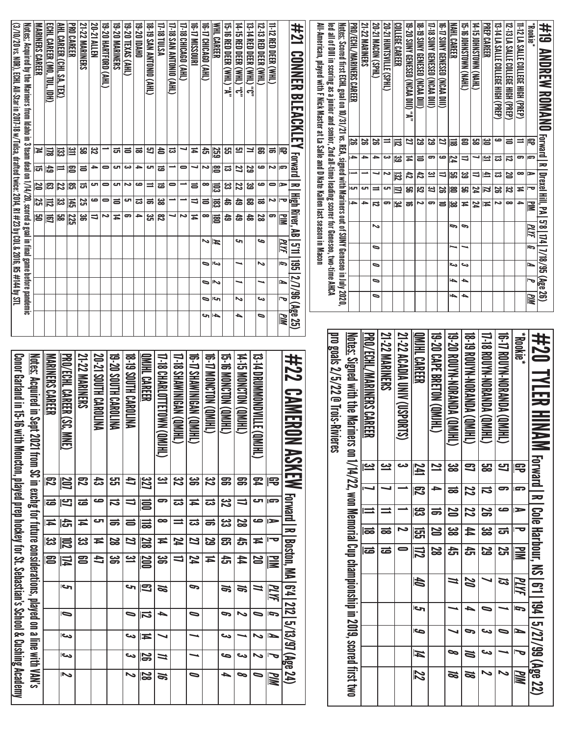| (3/10/20 vs. NOR), ECHL All-Star in 2017-18 w/Tulsa, drafted twice: 2014, R1 #23 by COL & 2016, R5 #144 by STL | <u>Notes:</u> Acquired by the Mariners from Idaho in 3 team deal on 1/14/20, scored a goal in final game before pandemic<br>MARINERS CAREER<br>4<br>25 | ECHL CAREER (MO, TUL, IDH)<br>圖<br>ದ∥ದ<br>ಜ∥ಜ<br>$\overline{\overline{5}}$<br>$\Xi$ $\Xi$ | AHL CAREER (CHI, SA, TEX)<br>ౙ<br>$\equiv$<br>$\overline{z}$<br>ین<br>د<br>မ္ထ | <b>21-22 MARINERS</b><br><b>PRO CAREER</b><br>$\Xi$<br>အ<br>13<br>ᇹ<br>ႜႜ<br>ದ<br>局<br>25<br>225<br>ౢ | 20-21 ALLEN<br>32<br>4<br>రా<br>ص<br>υ | 19-20 HARTFORD (AHL)<br>$\bullet$<br>$\bullet$<br>$\bullet$<br>Ζ | 19-20 MARINERS<br>ದ<br>G<br>ال<br>$\equiv$<br>Ħ | 19-20 TEXAS (AHL)<br>$\equiv$<br>دە<br>ىم<br>cл<br>ြ | (THY) OINOLINY NYS 61-81<br><b>19-20 DAHO</b><br>57<br>ಹ<br>$\rightarrow$<br>cл<br>$\equiv$<br>ص<br>ಪ<br>$\vec{a}$<br>→<br>ပ္ပ | 17-18 TULSA<br>$\bullet$<br>$\vec{a}$<br>ಹ<br>జ<br>$\overline{a}$ | <b>17-18 SAN ANTONIO (AHL)</b><br>ಪ<br>۰<br>0<br>┙ | 17-18 CHICAGO (AHL)<br>0<br>N | 16-17 MISSOURI<br>16-T7 CHICAGO (AHL)<br>$\overline{4}$<br>đ<br>┙<br>Z<br>5<br>$\bullet$<br>$\overline{\phantom{0}}$<br>$\equiv$<br>Ħ<br>∞<br>N | <b><i>MHL CAREER</i></b><br>259<br>18<br>昆<br>ē<br>扈<br>И | 15-18 RED DEER (NHL) "A"<br><u>بہ</u><br>ಪ<br>జ<br>お<br>đ | <b>14-15 RED DEER (WHL)</b> "0"<br><u>س</u><br>27<br>22<br>숩<br>đ<br>ىم | <b>13. THED DEER (WHL) .0.</b><br>≍<br>29<br>39<br>G<br>æ<br>$\frac{1}{60}$ | 12-13 RED DEER (WHL)<br>g<br>ڡ<br>ڡ<br>$\vec{a}$<br>22<br>ص | 11-12 RED DEER (WHL)<br>$\Rightarrow$<br>Ζ<br>0<br>N<br>9 | #21<br><b>CONNEX</b><br><b>BLEACKLEY Forward</b><br> 宅<br>Ģ<br>$\equiv$<br>►<br><b>High River, AB   511   195</b><br>ᅮ<br>鼍<br>PLYF | All-American, played with F Nick Master at La Salle and D Nate Kallen last season in Macon | led all of Dill in scoring as a junior and senior, 2nd all-time leading scorer for Genesse, two-time AHCA | <u>Notes:</u> Scored first ECHL goal on 10/31/21 vs. REA, signed with Mariners out of SUNY Geneseo in July 2020, | <u>PRO/ECHL/MARINERS CAREER</u><br><u>ទ្រ</u><br>$\blacktriangle$<br>CΠ<br>$\blacktriangle$ | <b>21-22 MARINERS</b><br>20-21 MACON (SPHL)<br>œ<br>25<br>$\rightarrow$<br>$\ddot{}$<br>ات  <br>$\equiv$<br>$\rightarrow$<br>ವ<br>ゝ<br>D | 20-21 HONTSVILLE (SPHL)<br>$\equiv$<br>دى<br>N<br>cл<br>5 | <b>COLLEGE CAREER</b><br>局<br>ಜ<br>$\overline{32}$<br>$\equiv$<br>$\frac{2}{4}$ | 19-20 SUNY GENESEO (NCAA DIII) "A"<br>21<br>Ħ<br>42<br>ឌូ<br>ಹ | 18-19 SUNY GENESEO (NCAA DIII)<br>29<br>ᇹ<br>$t\overline{t}$<br>79<br>N | 17-18 SUNY GENESED (NCAA DIII)<br>53<br>9<br><u>یہ</u><br><u>ین</u><br>ౚ | <b>MAHL CAREER</b><br>IG-17 SUNY GENESEO (NCAA DIII)<br>21<br>ј≣<br>ص<br>74<br>မ္တ<br>⋼<br>18<br>25<br>မ္ထ<br>$\equiv$ | Ģ   | (THYN) NMOLSNHOI 91-91<br>$\Xi$<br>⇒<br>జ<br>g<br>$\overline{4}$<br>c | (THYN) NMOLSNHOI SI-ti<br>ឌ<br>$\Rightarrow$<br>74<br>74 | <b>PREP CAREER</b><br>౹౾<br>یے<br>₫.<br>2<br>Ħ | 12-13 LA SALLE COLLEGE HIGH (PREP)<br>13-14 LA SALLE COLLEGE HIGH (PREP)<br>ڡ<br>ᇹ<br>ದ<br>局<br>ಪ<br><b>SQ</b><br>32<br>S<br>∞<br>ى | 11-12 LA SALLE COLLEGE HIGH (PREP)<br>$\equiv$<br>ော<br>∞<br>$\sharp$<br>$\ddot{}$ | *Blookie<br>#19<br><b>ANDREW ROMANO</b> Forward   RI Deexel Hill, PA   5'8   174   7/18/95 (Age 26)<br>Ģ<br>≧<br>PLYF<br>G |
|----------------------------------------------------------------------------------------------------------------|--------------------------------------------------------------------------------------------------------------------------------------------------------|-------------------------------------------------------------------------------------------|--------------------------------------------------------------------------------|-------------------------------------------------------------------------------------------------------|----------------------------------------|------------------------------------------------------------------|-------------------------------------------------|------------------------------------------------------|--------------------------------------------------------------------------------------------------------------------------------|-------------------------------------------------------------------|----------------------------------------------------|-------------------------------|-------------------------------------------------------------------------------------------------------------------------------------------------|-----------------------------------------------------------|-----------------------------------------------------------|-------------------------------------------------------------------------|-----------------------------------------------------------------------------|-------------------------------------------------------------|-----------------------------------------------------------|-------------------------------------------------------------------------------------------------------------------------------------|--------------------------------------------------------------------------------------------|-----------------------------------------------------------------------------------------------------------|------------------------------------------------------------------------------------------------------------------|---------------------------------------------------------------------------------------------|------------------------------------------------------------------------------------------------------------------------------------------|-----------------------------------------------------------|---------------------------------------------------------------------------------|----------------------------------------------------------------|-------------------------------------------------------------------------|--------------------------------------------------------------------------|------------------------------------------------------------------------------------------------------------------------|-----|-----------------------------------------------------------------------|----------------------------------------------------------|------------------------------------------------|-------------------------------------------------------------------------------------------------------------------------------------|------------------------------------------------------------------------------------|----------------------------------------------------------------------------------------------------------------------------|
|                                                                                                                |                                                                                                                                                        |                                                                                           |                                                                                |                                                                                                       |                                        |                                                                  |                                                 |                                                      |                                                                                                                                |                                                                   |                                                    |                               | ∍<br>⋼<br>∍                                                                                                                                     | احد<br>∾<br>احى                                           |                                                           | ∾                                                                       |                                                                             | N<br>ص                                                      |                                                           | G<br>2/7/96 (Age 25)<br>ь                                                                                                           |                                                                                            |                                                                                                           |                                                                                                                  |                                                                                             | $\bullet$<br>$\overline{\phantom{0}}$<br>$\overline{\phantom{0}}$                                                                        |                                                           |                                                                                 |                                                                |                                                                         |                                                                          | $\overline{\phantom{a}}$<br>$\overline{\phantom{a}}$                                                                   | احى | دى<br>┶<br>┶                                                          |                                                          |                                                |                                                                                                                                     |                                                                                    | <b>MIN</b>                                                                                                                 |
|                                                                                                                |                                                                                                                                                        |                                                                                           |                                                                                |                                                                                                       |                                        |                                                                  |                                                 |                                                      |                                                                                                                                |                                                                   |                                                    |                               |                                                                                                                                                 | ↳<br>ה                                                    |                                                           | ▲                                                                       |                                                                             | ٥                                                           |                                                           | <u>РМ</u>                                                                                                                           |                                                                                            |                                                                                                           |                                                                                                                  |                                                                                             |                                                                                                                                          | <b>21-22 MARINERS</b>                                     |                                                                                 |                                                                | OMIHL CAREER                                                            |                                                                          |                                                                                                                        |     |                                                                       |                                                          |                                                |                                                                                                                                     | *Bookie*                                                                           | #20                                                                                                                        |
| Conor Garland in 15-16                                                                                         | <u>Notes:</u> Acquired in Sep                                                                                                                          | <b>MARINERS CAREER</b>                                                                    |                                                                                | <b>21-22 MARINERS</b>                                                                                 |                                        |                                                                  |                                                 |                                                      |                                                                                                                                |                                                                   |                                                    |                               |                                                                                                                                                 |                                                           |                                                           |                                                                         |                                                                             |                                                             |                                                           | #22                                                                                                                                 |                                                                                            |                                                                                                           |                                                                                                                  |                                                                                             |                                                                                                                                          |                                                           |                                                                                 |                                                                |                                                                         |                                                                          |                                                                                                                        |     |                                                                       |                                                          |                                                |                                                                                                                                     |                                                                                    |                                                                                                                            |
|                                                                                                                |                                                                                                                                                        |                                                                                           | <u>PRO/ECHL CAREER (SC,</u><br><b>NNE</b>                                      |                                                                                                       |                                        | 20-21 SOUTH CAROLINA                                             | 19-20 SOUTH CARDLINA                            | <b>DRIVER SOUTH CAROLINA</b>                         | <u>QMJHL CAREER</u>                                                                                                            | I7-18 CHARLOTTETOWN<br>(THIND)                                    | I7-18 SHAWINIGAN (QM                               | €                             | IG-17 SHAWINIGAN (QMI.<br>辵                                                                                                                     | <b>IHIND) NOLONOW 4-91</b>                                | <b>THIND) NOLONGER</b>                                    | 14-YO MONCTON (QMIHL                                                    |                                                                             | 13-TH DRUMMONDVILLE<br>(THIND)                              |                                                           | <b>CAMERI</b><br>呈                                                                                                                  |                                                                                            | pro goals 2/5/22 @ Trois-Ri<br>IVIEres                                                                    |                                                                                                                  | Notes: Signed with the Mari                                                                 | <u>PRO/ECHL/MARINERS CAREER</u>                                                                                                          |                                                           | 21-22 ACADIA UNIV (USPORT<br>ؿ                                                  |                                                                |                                                                         | 19-20 CAPE BRETON (QMJHL                                                 | I9-20 ROUYN-NORANDA (QM<br>邑                                                                                           |     | IND) VONVYON-NANDY 61-81<br>π                                         |                                                          | <b>IND) PONYW-NORANDA (QMI</b><br>兲            | <b>GINAGE AND ANGELER STATE</b><br>き                                                                                                |                                                                                    | 以压入用<br>NN                                                                                                                 |
|                                                                                                                |                                                                                                                                                        | 尼                                                                                         |                                                                                | 73                                                                                                    |                                        | ದ                                                                | 모.                                              | đ                                                    |                                                                                                                                | <u>یت</u>                                                         | 32                                                 |                               | ఊ                                                                                                                                               | $\boldsymbol{\mathcal{Z}}$                                | ஐ                                                         | 8                                                                       |                                                                             | 54                                                          | 厇                                                         |                                                                                                                                     |                                                                                            |                                                                                                           |                                                                                                                  |                                                                                             | <u>یہ</u>                                                                                                                                | <u>ین</u>                                                 | دى                                                                              |                                                                | <u>741</u>                                                              | 21                                                                       | ၼ                                                                                                                      |     | 9                                                                     |                                                          | င္ထာ                                           | 9                                                                                                                                   | 宅                                                                                  |                                                                                                                            |
|                                                                                                                |                                                                                                                                                        | ಹ                                                                                         | <u>207</u><br><u>ප</u>                                                         | ಹ                                                                                                     |                                        | ص                                                                | ನ                                               | ゠                                                    | $\overline{22}$<br>扈                                                                                                           | ా                                                                 | ಪ                                                  |                               | ≖                                                                                                                                               | ದ                                                         | 32                                                        | 11                                                                      |                                                                             | ŢΩ                                                          | ဌာ                                                        | <b>ASKEW</b>                                                                                                                        |                                                                                            |                                                                                                           |                                                                                                                  |                                                                                             | ┙                                                                                                                                        | ┙                                                         |                                                                                 |                                                                | 冈                                                                       | →                                                                        | ಹ                                                                                                                      |     | 22                                                                    |                                                          | 12                                             | 9<br>ص                                                                                                                              | Ģ                                                                                  | <b>Forward   R</b>                                                                                                         |
|                                                                                                                |                                                                                                                                                        | Ħ                                                                                         | ⊯                                                                              | Ħ                                                                                                     |                                        | cл                                                               | ಹ                                               | $\equiv$                                             | ≣                                                                                                                              | ∞                                                                 | $\equiv$                                           |                               | ಪ                                                                                                                                               | $\Rightarrow$                                             | జ                                                         | 22                                                                      |                                                                             | ٩                                                           | ⊫                                                         | <b>Forward</b><br>$\overline{\phantom{0}}$                                                                                          |                                                                                            |                                                                                                           |                                                                                                                  |                                                                                             | ⋍                                                                                                                                        | ≡                                                         | ى                                                                               |                                                                | ္ဟ                                                                      | ᇹ                                                                        | N                                                                                                                      |     | 22                                                                    |                                                          | S                                              |                                                                                                                                     | ►<br>ᅮ                                                                             |                                                                                                                            |
|                                                                                                                |                                                                                                                                                        | ္က                                                                                        | 启                                                                              | జ                                                                                                     |                                        | Ħ                                                                | R                                               | 22                                                   | $\frac{20}{10}$                                                                                                                | Ħ                                                                 | 24                                                 |                               | Z                                                                                                                                               | 53                                                        | <u>යි</u>                                                 | 슩                                                                       |                                                                             | Ħ                                                           | ᅮ                                                         |                                                                                                                                     |                                                                                            |                                                                                                           |                                                                                                                  |                                                                                             | ಹ<br>ಹ                                                                                                                                   | ಹ<br>ಹ                                                    | 0                                                                               |                                                                | 뎘                                                                       | 20                                                                       | ၼ                                                                                                                      |     | 44<br>෫                                                               |                                                          | ၼ                                              | ದ                                                                                                                                   |                                                                                    |                                                                                                                            |
|                                                                                                                |                                                                                                                                                        | 23                                                                                        | $\mathbb H$                                                                    | 8                                                                                                     |                                        | 4                                                                | မ္တ                                             | <u>يە</u>                                            | $\underline{\overline{00}}$                                                                                                    | မ္တ                                                               |                                                    | $\overline{\phantom{0}}$      | 74                                                                                                                                              | Ħ                                                         | 승                                                         | 44                                                                      |                                                                             | N                                                           | ŠΜ                                                        | Boston, MA                                                                                                                          |                                                                                            |                                                                                                           |                                                                                                                  |                                                                                             |                                                                                                                                          |                                                           |                                                                                 |                                                                | 凨                                                                       | 2g                                                                       | 읁                                                                                                                      |     |                                                                       |                                                          | 29                                             | 25                                                                                                                                  | 量                                                                                  |                                                                                                                            |
|                                                                                                                |                                                                                                                                                        |                                                                                           | احى                                                                            |                                                                                                       |                                        |                                                                  |                                                 |                                                      | ⇔∥ದ                                                                                                                            | ಹ                                                                 |                                                    |                               | G                                                                                                                                               |                                                           | ಹ                                                         | <b>S</b>                                                                |                                                                             | $\overline{u}$                                              | PLYF                                                      |                                                                                                                                     |                                                                                            |                                                                                                           |                                                                                                                  |                                                                                             |                                                                                                                                          |                                                           |                                                                                 |                                                                | tØ                                                                      |                                                                          | $\overline{u}$                                                                                                         |     | 22                                                                    |                                                          | ↘                                              | 13                                                                                                                                  | PLYF                                                                               |                                                                                                                            |
|                                                                                                                |                                                                                                                                                        |                                                                                           | $\bullet$                                                                      |                                                                                                       |                                        |                                                                  |                                                 | D                                                    | ⊫ವ                                                                                                                             | ┶                                                                 |                                                    |                               | $\bullet$                                                                                                                                       |                                                           | G                                                         | $\sim$                                                                  |                                                                             | $\bullet$                                                   |                                                           | 64 212                                                                                                                              |                                                                                            |                                                                                                           |                                                                                                                  |                                                                                             |                                                                                                                                          |                                                           |                                                                                 |                                                                | احى                                                                     |                                                                          |                                                                                                                        |     | ┶                                                                     |                                                          | ∍                                              |                                                                                                                                     | G                                                                                  |                                                                                                                            |
|                                                                                                                |                                                                                                                                                        |                                                                                           | احى                                                                            |                                                                                                       |                                        |                                                                  |                                                 | ص                                                    | ∥≖                                                                                                                             | ↘                                                                 |                                                    |                               |                                                                                                                                                 |                                                           | ىي                                                        |                                                                         |                                                                             | ゝ                                                           | I                                                         |                                                                                                                                     |                                                                                            |                                                                                                           |                                                                                                                  |                                                                                             |                                                                                                                                          |                                                           |                                                                                 |                                                                | ح                                                                       |                                                                          |                                                                                                                        | ↘   | G                                                                     |                                                          | دى                                             | $\bullet$                                                                                                                           | Ñ                                                                                  |                                                                                                                            |
| <u>with Moncton, played prep hockey for St. Sebastian's School &amp; Cushing Academy</u>                       | t 2021 from SC in exchg for the withree considerations, played on a line with VAN's                                                                    |                                                                                           | احد                                                                            |                                                                                                       |                                        |                                                                  |                                                 | ص                                                    | $\Xi$                                                                                                                          | ≍                                                                 |                                                    |                               |                                                                                                                                                 |                                                           | ص                                                         | ىى                                                                      |                                                                             | ゝ                                                           | ত                                                         | 5/13/97 (Age 24)                                                                                                                    |                                                                                            |                                                                                                           |                                                                                                                  | ners on 1/4/22, won Memorial Cup championship in 2019, scored first two                     |                                                                                                                                          |                                                           |                                                                                 |                                                                | И<br>72                                                                 |                                                                          | 8<br>Ø                                                                                                                 |     | N<br>Ø                                                                |                                                          | ص<br>ゝ                                         | 2                                                                                                                                   | ص۱<br>PIM                                                                          | Cole Harbour, NS   6'1   194   5/27/99 (Age 22)                                                                            |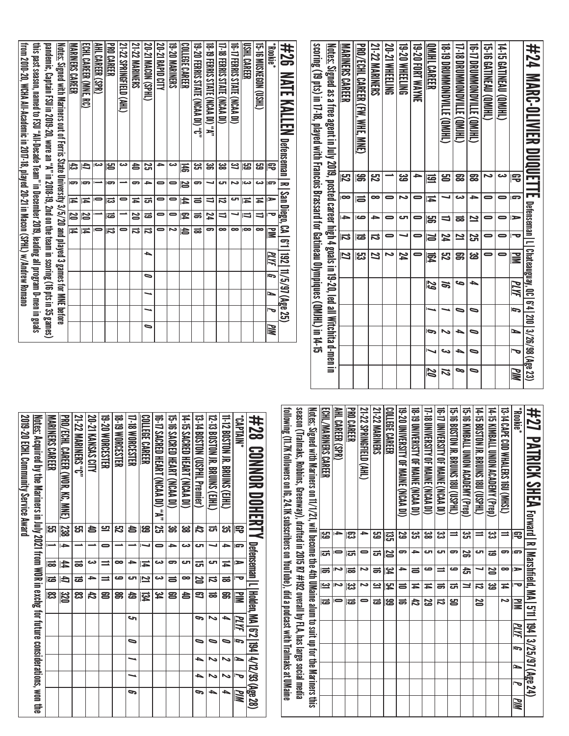| from 2010-20, WCHA All-Academic in 2017-18, played 20-21 in Macon (SPHL) w/Andrew Romano<br>this past season, named to FSU "All-Decade Team" in December 2019, leading all program D-men in goals | pandemic, Captain FSU in 2019-20, wore an "A" in 2018-19, 2nd on the team in scoring (16 pts in 35 games) | <u>Notes:</u> Signed with Mariners out of Ferris State University 3/5/20 and played 3 games for MNE before | <b>MARINERS CAREER</b><br>に<br>$\overline{\mathbf{5}}$<br>Ħ | ECHL CAREER (MNE,<br>కె<br>đ<br>$\overline{c}$<br>Ħ | AHL CAREER (SPR)<br>دى<br>$\bullet$ | <b>PRO CAREER</b><br>ဠ<br>5<br>ದ | 21-22 SPRINGFIELD (AHL)<br>دى<br>0 | <b>21-22 MARINERS</b><br>송<br>9<br>Ħ | 20-21 MACON (SPHL)<br>Σ,<br>$\rightarrow$<br>ᇘ | 20-21 RAPID CITY<br>4<br>$\bullet$<br>$\bullet$ | 19-20 MARINERS<br>دى<br>$\blacksquare$<br>$\blacksquare$ | <u>COLLEGE CAREER</u><br>禹<br>N<br>4 | 19 - 20 FERRIS STATE (NCAA DI) "C"<br>ಜ<br>9<br>$\equiv$ | 18 - 19 FERRIS STATE (NCAA DI) "A"<br>ၼ<br>┙<br>U | 17-18 FERRIS STATE (NCAA DI)<br>జ<br>CΠ<br>12 | 16-17 FERRIS STATE (NCAA DI)<br>31<br>2<br>చా | USHL CAREER<br>125<br>دى<br>Ħ | 15-T6 MUSKEGDN (USHL)<br>53<br>دى<br>Ħ | "Bookie"<br>宅<br><b>G</b><br>► | #26<br><b>NATE KALLEN</b><br>Defenseman<br>$\overline{\phantom{1}}$<br>  San Diego, | scoring (19 pts) in 17-18, played with Francois Brassard for Gatineau Olympiques (QMJHL) in 14-15 | <u>Notes:</u> Signed as a free agent in July 2019, posted career high 4 goals in 19-20, led all Witchita d-men in | <b>MARINERS CAREER</b><br>ξg<br>$\infty$ | PRO/ECHL CAREER (FW, WHE, MNE)<br>န္တ<br>15 | <b>21-22 MARINERS</b><br><b>ZS</b><br>$\bullet$ | <b>20-21 WHEELING</b><br>0 | 19-20 WHEELING<br><u>ပ္ပ</u><br>N | 19-20 FORT WAYNE<br>÷<br>0 | QMIHL CAREER<br><u>ය</u><br>≖ | <b>18. JONDRON MONOROW COMPLE</b><br>ട്ട | 17-18 DROMONONDVILLE (QM1H-)<br>53<br>دى | <b>UPIN MONONDRUM (ON)HT.</b><br>53<br>→ | <b>15-16 GATINEAU (QMJHL)</b><br>Σ<br>$\bullet$ | <b>14-T5 GATINEAU (QMJHL)</b><br>دى<br>$\bullet$ | Β<br>$\overline{a}$      | #24<br><b>MARC-DLIVIER</b><br><b>DUQUET</b><br>m                |
|---------------------------------------------------------------------------------------------------------------------------------------------------------------------------------------------------|-----------------------------------------------------------------------------------------------------------|------------------------------------------------------------------------------------------------------------|-------------------------------------------------------------|-----------------------------------------------------|-------------------------------------|----------------------------------|------------------------------------|--------------------------------------|------------------------------------------------|-------------------------------------------------|----------------------------------------------------------|--------------------------------------|----------------------------------------------------------|---------------------------------------------------|-----------------------------------------------|-----------------------------------------------|-------------------------------|----------------------------------------|--------------------------------|-------------------------------------------------------------------------------------|---------------------------------------------------------------------------------------------------|-------------------------------------------------------------------------------------------------------------------|------------------------------------------|---------------------------------------------|-------------------------------------------------|----------------------------|-----------------------------------|----------------------------|-------------------------------|------------------------------------------|------------------------------------------|------------------------------------------|-------------------------------------------------|--------------------------------------------------|--------------------------|-----------------------------------------------------------------|
|                                                                                                                                                                                                   |                                                                                                           |                                                                                                            | N                                                           | N                                                   |                                     | ౹ಹ                               |                                    | N                                    | ಹ                                              | $\bullet$                                       | $\bullet$                                                | 【                                    | ಹ                                                        | 24                                                | $\Rightarrow$                                 | ┙                                             | $\overline{\phantom{a}}$      | $\Rightarrow$                          | ᠊ᢦ                             |                                                                                     |                                                                                                   |                                                                                                                   | $\rightarrow$                            | صا                                          | ≏                                               | 0                          | Γک                                | $\blacksquare$             | န္တ                           | ⇒                                        | ಹ                                        | 2                                        | $\bullet$                                       | $\bullet$                                        | $\triangleright$         |                                                                 |
|                                                                                                                                                                                                   |                                                                                                           |                                                                                                            | Ħ                                                           | Ħ                                                   | $\bullet$                           | $\overline{\mathbf{u}}$          | 0                                  | 12                                   | ド                                              | 0                                               | ∽                                                        | 启                                    | ಹ                                                        | ణ                                                 | $\bullet$                                     | $\bullet$                                     | $\overline{\phantom{a}}$      | $\infty$                               | N                              | $\Xi$<br><u>ာ</u>                                                                   |                                                                                                   |                                                                                                                   | IJ                                       | ౹ౚ                                          | 12                                              | 0                          |                                   | 0                          | N                             | 24                                       | 21                                       | 25                                       | $\bullet$                                       | $\bullet$                                        | $\overline{\phantom{a}}$ |                                                                 |
|                                                                                                                                                                                                   |                                                                                                           |                                                                                                            |                                                             |                                                     |                                     |                                  |                                    |                                      | ┶<br>$\bullet$                                 |                                                 |                                                          |                                      |                                                          |                                                   |                                               |                                               |                               |                                        | <u>РИ</u><br>ā                 | 192   11/5/97 (Age 25)                                                              |                                                                                                   |                                                                                                                   | 21                                       | ္လာ                                         | 77                                              | د                          | 74                                | 0                          | 霓                             | <b>ឌុ</b>                                | 8                                        | <u>မ</u>                                 | 0                                               | $\bullet$                                        | ≧                        | Defenseman   L   Chateauguay, QC   6'4   210   3/26/98 (Age 23) |
|                                                                                                                                                                                                   |                                                                                                           |                                                                                                            |                                                             |                                                     |                                     |                                  |                                    |                                      | ⊸                                              |                                                 |                                                          |                                      |                                                          |                                                   |                                               |                                               |                               |                                        | Ł                              |                                                                                     |                                                                                                   |                                                                                                                   |                                          |                                             |                                                 |                            |                                   |                            | 29                            | <b>S</b>                                 | G                                        | ┶                                        |                                                 |                                                  | PLYF                     |                                                                 |
|                                                                                                                                                                                                   |                                                                                                           |                                                                                                            |                                                             |                                                     |                                     |                                  |                                    |                                      | ◡                                              |                                                 |                                                          |                                      |                                                          |                                                   |                                               |                                               |                               |                                        | ᢇ                              |                                                                                     |                                                                                                   |                                                                                                                   |                                          |                                             |                                                 |                            |                                   |                            |                               |                                          | ∍                                        | $\bullet$                                |                                                 |                                                  | ā                        |                                                                 |
|                                                                                                                                                                                                   |                                                                                                           |                                                                                                            |                                                             |                                                     |                                     |                                  |                                    |                                      | ∍                                              |                                                 |                                                          |                                      |                                                          |                                                   |                                               |                                               |                               |                                        | MМ                             |                                                                                     |                                                                                                   |                                                                                                                   |                                          |                                             |                                                 |                            |                                   |                            | P                             | $\tilde{\phantom{a}}$                    | ┶                                        | $\bullet$                                |                                                 |                                                  | N                        |                                                                 |
|                                                                                                                                                                                                   |                                                                                                           |                                                                                                            |                                                             |                                                     |                                     |                                  |                                    |                                      |                                                |                                                 |                                                          |                                      |                                                          |                                                   |                                               |                                               |                               |                                        |                                |                                                                                     |                                                                                                   |                                                                                                                   |                                          |                                             |                                                 |                            |                                   |                            |                               | دى                                       | ┶                                        | $\bullet$                                |                                                 |                                                  | ত                        |                                                                 |
|                                                                                                                                                                                                   |                                                                                                           |                                                                                                            |                                                             |                                                     |                                     |                                  |                                    |                                      |                                                |                                                 |                                                          |                                      |                                                          |                                                   |                                               |                                               |                               |                                        |                                |                                                                                     |                                                                                                   |                                                                                                                   |                                          |                                             |                                                 |                            |                                   |                            | Z                             | 12                                       | 9                                        | $\bullet$                                |                                                 |                                                  | WМ                       |                                                                 |

| <b>10 ANDERSTINE (NORM DE MAINE CONVERSION)</b><br>18 - 19 DNIVERISTY OF MAINE (NCAA DI)<br>17-18 DNNERSILY OF MAINE (NCAA DI)<br>19-10 XIMBALL DXOLA ACADEMY (Prep)<br>14-15 BOSTON IS BRITNS 180 (USPHL)<br>15-16 BOSTON JR. BRUINS 18U (USPHL)<br>14-15 KIMBALL UNION ACADEMY (Pren)<br><b>13-14 CAAL COD WHALERS 160 UNEST</b><br><b>Rookie*</b><br>#27 PATRICK SHEA recreter Langue in Malpharan 24) | ಜ<br>ی<br>د<br>چي<br>آگ<br>జ<br>یئ<br>$\equiv$<br>⋍<br>弔<br>⋍ | ای<br>⇒<br>ای<br>S<br>cл<br>ಹ<br>5<br>ິ<br>œ | $\equiv$<br>N<br>ص<br>صه<br>た<br>∞<br>►<br>$\equiv$ | జ్ఞ<br>$\bar{\textbf{t}}$<br>ವ<br>ಹ<br>ದ<br>⊒<br>Ħ<br>Ħ<br>≍ | <b>NIN</b><br>29<br>ವ<br>د<br>42<br>ឌ<br>20 | PLYF | $\overline{5}$ | Ł | J | <u>РМ</u> |
|-----------------------------------------------------------------------------------------------------------------------------------------------------------------------------------------------------------------------------------------------------------------------------------------------------------------------------------------------------------------------------------------------------------|---------------------------------------------------------------|----------------------------------------------|-----------------------------------------------------|--------------------------------------------------------------|---------------------------------------------|------|----------------|---|---|-----------|
|                                                                                                                                                                                                                                                                                                                                                                                                           |                                                               |                                              |                                                     |                                                              |                                             |      |                |   |   |           |
|                                                                                                                                                                                                                                                                                                                                                                                                           |                                                               |                                              |                                                     |                                                              |                                             |      |                |   |   |           |
| 19-20 DNNERSILL OF MAINE (NCAA DI)<br>COLLEGE CAREER                                                                                                                                                                                                                                                                                                                                                      | 5g<br>ឌូ                                                      | 20<br>ິ                                      | <u>يو</u><br>≏                                      | 内<br>ᇹ                                                       | န္မ<br>ಹ                                    |      |                |   |   |           |
| <b>21-22 MARINERS</b>                                                                                                                                                                                                                                                                                                                                                                                     | مع<br>ڪ                                                       | ದ                                            | ಹ                                                   | $\mathbf{z}$                                                 | ಹ                                           |      |                |   |   |           |
| 21-22 SPRINGFIELD (AHL)<br>PRO CAREER                                                                                                                                                                                                                                                                                                                                                                     | င္လာ                                                          | ದ                                            | Z<br>ಹ                                              | یع<br>ما<br>د                                                | ಹ                                           |      |                |   |   |           |
| AHL CAREER (SPR)                                                                                                                                                                                                                                                                                                                                                                                          | ∸                                                             |                                              | Z                                                   | Σ                                                            | 0                                           |      |                |   |   |           |
| <u>Notes:</u> Signed with Mariners on 11/17/11, will become the 4th UMaine alum to suit up for the Mariners this<br>ECHL/MARINERS CAREER                                                                                                                                                                                                                                                                  | မ္မာ                                                          | lត                                           | $\Rightarrow$                                       | <u>یہ</u>                                                    |                                             |      |                |   |   |           |
| season (Tralmaks, Robbins, Greemway), drafted in 2015 R7 #192 overall by FLA, has large social media                                                                                                                                                                                                                                                                                                      |                                                               |                                              |                                                     |                                                              |                                             |      |                |   |   |           |
| following (11.7K followers on IG, 24.1K subscribers on YouTube), did a podcast with Tralmaks at UMaine                                                                                                                                                                                                                                                                                                    |                                                               |                                              |                                                     |                                                              |                                             |      |                |   |   |           |
| $\frac{1}{2}$<br>AAAIINA フィニュブリー                                                                                                                                                                                                                                                                                                                                                                          |                                                               |                                              |                                                     |                                                              |                                             |      |                |   |   |           |

| #28 CONNOR DOHLENTY Defenseman   Linneen, NA [6] [472/33(3&98)                                           |           |                |                |                          |                   |      |           |   |   |    |
|----------------------------------------------------------------------------------------------------------|-----------|----------------|----------------|--------------------------|-------------------|------|-----------|---|---|----|
| "NINIJA".                                                                                                | 宅         | G              | ⋗              | $\overline{\phantom{a}}$ | ≧                 | PLYF |           | ⊵ | ত | WМ |
| 11-12 BOSTON JR. BRUNS (C)HL)                                                                            | دے<br>ات  | ≏              | $\overline{4}$ | ಹ                        | g                 | ▵    | 0         | N | N | ٠  |
| 12-13 BOSTON JR. BRUINS (CIHL)                                                                           | ದ         |                | ى              | 급                        | ಹ                 | N    | 0         | N | N | ٠  |
| 13-14 BOSTON (CSPHL Premier)                                                                             | 42        | ای             | ಪ              | <b>DZ</b>                | 3                 | 9    | $\bullet$ | ٠ | ┶ | G  |
| 14-15 SACRED HEART (NCAA DI)                                                                             | జ         | دت             | cл             | $\bullet$                | 5                 |      |           |   |   |    |
| 15-16 SACRED HEART (NCAA DI)                                                                             | ఴ         | ٩              | ອ              | $\equiv$                 | 2                 |      |           |   |   |    |
| 16-17 SACRED HEART (NCAA DI) "A"   25                                                                    |           | 0              | دے             | دے                       | ین<br>4           |      |           |   |   |    |
| COLLEGE CAREER                                                                                           | ස         |                | Ħ              | $\overline{\mathbf{z}}$  | <b>134</b>        |      |           |   |   |    |
| <b>17-18 WORCESTER</b>                                                                                   | 5         |                | ≏              | cл                       | 49                | حہ   | $\bullet$ |   |   | c  |
| <b>18-19 WORCESTER</b>                                                                                   | <u>یع</u> |                | ∞              | ده                       | ၼ                 |      |           |   |   |    |
| 19-20 WORCESTER                                                                                          | <u>س</u>  |                | ≐              | $\equiv$                 | 2                 |      |           |   |   |    |
| 20-21 KANSAS CITY                                                                                        | 5         |                | دت             | ٩                        | 42                |      |           |   |   |    |
| 21-22 MARINERS "C"                                                                                       | لى<br>س   |                | ಹ              | ಹ                        | జ                 |      |           |   |   |    |
| PRO/ECHL CAREER (WOR, KC, MNE)   238                                                                     |           | $\overline{4}$ | $\sharp$       | E                        | $\overline{1320}$ |      |           |   |   |    |
| <b>NARINERS CAREER</b>                                                                                   | لى<br>م   |                | ಹ              | ಹ                        | န္ကြ              |      |           |   |   |    |
| <u>Notes:</u> Acquired by the Mariners in July 2021 from WOR in exchg for future considerations, won the |           |                |                |                          |                   |      |           |   |   |    |
| 2019-20 ECHL Commity Service Award                                                                       |           |                |                |                          |                   |      |           |   |   |    |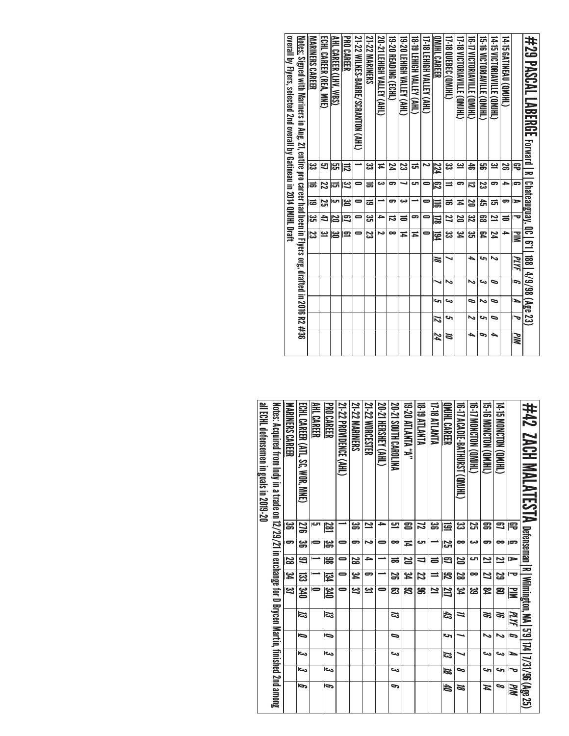| overall by Flyers, selected 2nd overall by Gatineau in 2014 QMJHL Draft | <u>Notes:</u> Signed with Mariners in Aug. 21, entire pro career had been in Flyers org, drafted in 2016 R2 #36 | MARINERS CAREER<br>ಜ | ECHL CAREER (REA, MNE)<br>಼ | AHL CAREER (LHV. WBS)<br>ပ္မာ | <b>PRO CAREER</b><br>忌 | 21-22 WILKES-BARE/SCRES-BARTION (AHL) | 21-22 MARINERS<br>یئ | 20-21 LEHIGH VALLEY (AHL)<br>≖ | <b>19-20 READING (ECHL)</b><br>24 | 19-20 LEHIGH VALLEY (AHL)<br>ಜ | 18-19 LEHIGH VALLEY (AHL)<br>ದ | I7-18 LEHIGH VALLEY (AHL) | DMHL CARER<br>224 | <b>17-18 QUEBEC (QMHL)</b><br>జ | I7-18 VICTORIAVILLE (QMJHL)<br>یئ | 16-17 VICTORIANILE (QMJHL)<br>4 | 15-16 VICTORIAVILLE (QMHL)<br>ട്ട | 14-15 VICTORIAVILLE (QMJHL)<br>یئ | 14-15 GATINEAU (QMIHL)<br>55 | 宅             | #29 PASCAL LABERGE Eward     |
|-------------------------------------------------------------------------|-----------------------------------------------------------------------------------------------------------------|----------------------|-----------------------------|-------------------------------|------------------------|---------------------------------------|----------------------|--------------------------------|-----------------------------------|--------------------------------|--------------------------------|---------------------------|-------------------|---------------------------------|-----------------------------------|---------------------------------|-----------------------------------|-----------------------------------|------------------------------|---------------|------------------------------|
|                                                                         |                                                                                                                 |                      |                             |                               | ݺ                      | 0                                     |                      | دە                             | ິ                                 | ┙                              | اک                             |                           |                   | =                               | ິ                                 |                                 |                                   | 5                                 | ᆋ                            | G             |                              |
|                                                                         |                                                                                                                 | Б                    | 22                          | ದ                             |                        |                                       | ಹ                    |                                |                                   |                                |                                |                           | ಔ                 |                                 |                                   | ನ                               | ಜ                                 |                                   |                              |               |                              |
|                                                                         |                                                                                                                 | ಹ                    | S                           | cл                            | ఴ                      | 0                                     | ಹ                    |                                | 5                                 | دى                             |                                | 0                         | 冨                 | ಹ                               | ≖                                 | 20                              | đ                                 | ದ                                 | 5                            | $\Rightarrow$ |                              |
|                                                                         |                                                                                                                 | ಜ                    | 4                           | 20                            | 3                      | 0                                     | یئ                   | ≏                              | ನ                                 | ᇹ                              | ິ                              |                           | 딣                 | Z                               | 20                                | <u>یع</u>                       | ౙ                                 | 2                                 | ᇹ                            | ত             |                              |
|                                                                         |                                                                                                                 | ಜ                    | <u>س</u>                    | မြ                            | 요                      | 0                                     | ಜ                    | N                              | ∞                                 | Ħ                              | Ħ                              |                           | FØ4               | ಜ                               | بر<br>4                           | یع                              | ጄ                                 | 74                                | ۵                            | ≧             | <b>Chateauguay, QC   6'1</b> |
|                                                                         |                                                                                                                 |                      |                             |                               |                        |                                       |                      |                                |                                   |                                |                                |                           | 16                |                                 |                                   | ▲                               | حہ                                | ぃ                                 |                              | PLYF          | 188 4/9/98 (Age 23)          |
|                                                                         |                                                                                                                 |                      |                             |                               |                        |                                       |                      |                                |                                   |                                |                                |                           | ↘                 | N                               |                                   | N                               | ص                                 | ∍                                 |                              | G             |                              |
|                                                                         |                                                                                                                 |                      |                             |                               |                        |                                       |                      |                                |                                   |                                |                                |                           | اح                | ده                              |                                   | ∍                               | ぃ                                 | ∍                                 |                              | ⊵             |                              |
|                                                                         |                                                                                                                 |                      |                             |                               |                        |                                       |                      |                                |                                   |                                |                                |                           | 12                | s                               |                                   | N                               | حہ                                | ∍                                 |                              | 宝             |                              |
|                                                                         |                                                                                                                 |                      |                             |                               |                        |                                       |                      |                                |                                   |                                |                                |                           | 74                | Z                               |                                   | ▲                               | ๑                                 | ▲                                 |                              | PIM           |                              |

| all ECHL defensemen in goals in 2019-20 | <u>Notes:</u> Acquired from Indy in a trade on 12/29/21 in exchange for D Brycen Martin, finished 2nd among | MARINERS CAREER | ECHL CAREER (ATL, SC, WOR, MNE) | AHL CAREER<br>ای | <b>PRO CAREER</b>  | 21-22 PROVIDENCE (AHL) | <b>21-22 MARNERS</b><br>ၼ | 21-22 WORCESTER<br>2 | 20-21 HERSHEY (AHL)<br>→ | 20-21 SOUTH CAROLINA<br>므 | <b>19-20 ATLANTA "A"</b><br>ຂ | <b>18-19 ATLANTA</b><br>22 | <b>17-18 ATLANTA</b><br>ౢ | QMIHL CAREER            | <b>19-17 ACADIL-BATHURST (OM)HL</b><br>یئ | <b>CHIMO NOTON COMHL)</b><br>Σ, | G-16 MONCITON (QMHL)<br>ສ | (THIND) NOLONOM (JHT)<br>కె |                         | #42 ZACH MALATESTA Defenseman R Wilmington, MA 5'9 174 7/31/96 (Age 25) |
|-----------------------------------------|-------------------------------------------------------------------------------------------------------------|-----------------|---------------------------------|------------------|--------------------|------------------------|---------------------------|----------------------|--------------------------|---------------------------|-------------------------------|----------------------------|---------------------------|-------------------------|-------------------------------------------|---------------------------------|---------------------------|-----------------------------|-------------------------|-------------------------------------------------------------------------|
|                                         |                                                                                                             | ౢ               | 276                             |                  | 281                |                        |                           |                      |                          |                           |                               |                            |                           | 弖                       |                                           |                                 |                           |                             | 雩                       |                                                                         |
|                                         |                                                                                                             | 5               | မ္တ                             |                  | မ္တ                | 0                      | ౼                         | N                    | 0                        | ∞                         | Ħ                             | ى                          |                           | ΣS                      | $\bullet$                                 | دت                              | 5                         | $\infty$                    | G                       |                                                                         |
|                                         |                                                                                                             | 82              | 9)                              |                  | န္တ                | 0                      | S                         | )}                   |                          | ಹ                         | N                             | $\overline{\phantom{0}}$   | ᇹ                         | Ρ                       | S                                         | ى                               | 2                         | $\overline{\mathbf{z}}$     | $\Rightarrow$           |                                                                         |
|                                         |                                                                                                             | <u>یع</u>       | ಔ                               |                  | <b>134</b>         |                        | <u>يو</u>                 | ິ                    |                          | S                         | بر<br>4                       | 22                         | $\equiv$                  | $\overline{\mathbb{Z}}$ | S                                         | ∞                               | Z                         | 5g                          | ᅮ                       |                                                                         |
|                                         |                                                                                                             | <u>یع</u>       | <b>OFE</b>                      |                  | $0$ <sub>k</sub> e | 0                      | <u>ದ</u>                  | یے                   | 0                        | ఔ                         | ಜ                             | ൠ                          | $\overline{\mathbf{z}}$   | 217                     | بر<br>44                                  | ఴ                               | 54<br>第                   | පි                          | $\overline{\mathbf{M}}$ |                                                                         |
|                                         |                                                                                                             |                 | 53                              |                  | 53                 |                        |                           |                      |                          | ದ                         |                               |                            |                           | 43                      | ≒                                         |                                 | S,                        | J)                          | <u>РИГ</u>              |                                                                         |
|                                         |                                                                                                             |                 | Ō                               |                  | $\bullet$          |                        |                           |                      |                          | ∍                         |                               |                            |                           | حا                      |                                           |                                 | ゝ                         | ゝ                           | Ī,                      |                                                                         |
|                                         |                                                                                                             |                 | احد                             |                  | دے                 |                        |                           |                      |                          | ىئ                        |                               |                            |                           | ಡ                       |                                           |                                 | دے                        | ىئ                          | L                       |                                                                         |
|                                         |                                                                                                             |                 | احد                             |                  | احى                |                        |                           |                      |                          | دے                        |                               |                            |                           | 70                      | ∞                                         |                                 | حہ                        | حە                          | $\bar{t}$               |                                                                         |
|                                         |                                                                                                             |                 | Ģ                               |                  | P                  |                        |                           |                      |                          | c                         |                               |                            |                           | t                       | z                                         |                                 | И                         | 9                           | Шd                      |                                                                         |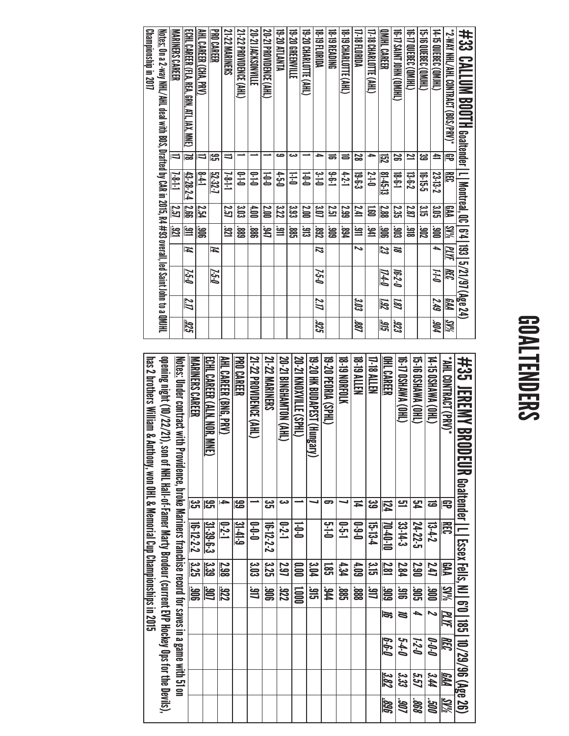# GOALTENDERS

| #33 CALLUM BOOTH searcent Li Menten of 0.1 a31 272/87 (3/88 24)                                                  |                         |                |                     |            |           |                         |      |            |
|------------------------------------------------------------------------------------------------------------------|-------------------------|----------------|---------------------|------------|-----------|-------------------------|------|------------|
| *2-WAY NHL/AHL CDNTRACT (BOS/SPRV)*                                                                              | 号                       | 甬              | 罗                   | $5W_0$     | ЩF        | $\overline{\mathbb{R}}$ | ИÅ   | <b>SV%</b> |
| (THIND) 338300 SL*t                                                                                              | ≞                       | 23-13-2        | 3.DS                | ions:      | ٠         | 0-1-1                   | 549  | MG.        |
| <b>15-TO QUEBEC (QMIHL)</b>                                                                                      | జ                       | 하<br>아이        | ده<br><del>ات</del> | 206        |           |                         |      |            |
| <b>16-T) QUEBEC (QMHL)</b>                                                                                       | 2                       | ដ-<br>2-9-2    | 287                 | ឌី         |           |                         |      |            |
| THIMD) NHOI JNNS (J-91).                                                                                         | జ                       | ե-6-1<br>1-6-1 | 235                 | មិន        | 55        | 16-2-0                  | 181  | 323        |
| QMHL CAREER                                                                                                      | <u>දි</u>               | $8 - 45 - 13$  | 2.88                | 906        | 23        | 174-0                   | 782  | 315        |
| 17-18 CHARLOTTE (AHL)                                                                                            |                         | $S-1$          | 冨                   | 와.<br>문    |           |                         |      |            |
| 17-18 FLORIDA                                                                                                    | 22                      | ಕ್ಕ<br>ಕೈ      | 741                 | 얼          | ゝ         |                         | 303  | .88        |
| 18-19 CHARLOTTE (AHL)                                                                                            | ᇹ                       | $+2 - 1$       | 2.99                | 168        |           |                         |      |            |
| <b>18-19 READING</b>                                                                                             | ᇹ                       | $-6 - 1$       | <b>251</b>          | 606        |           |                         |      |            |
| 18-19 FLORIDA                                                                                                    |                         | ىبە<br>خا      | 3.O7                | 282        | 2         | 7-5-0                   | 7.17 | 325        |
| 19-20 CHARLOTTE (AHL)                                                                                            |                         | $0 - 0$        | <b>2.00</b>         | ៖          |           |                         |      |            |
| 19-20 GREENVILLE                                                                                                 | دے                      | FF1            | း<br>သ              | ទី<br>អូ   |           |                         |      |            |
| 19-20 ATLANTA                                                                                                    | ص                       | $0 - 2 - 0$    | 322                 | 얼          |           |                         |      |            |
| 20-21 PROVIDENCE (AHL)                                                                                           |                         | $0 - 0$        | <b>2.00</b>         | ĴЩ         |           |                         |      |            |
| 20-21 ACKSONVILLE                                                                                                |                         | $0 - 1 - 0$    | 00 <sup>†</sup>     | ີ່ສູ       |           |                         |      |            |
| 21-22 PROVIDENCE (AHL)                                                                                           |                         | $0 - 1 - 0$    | း<br>၁၁             | 688°       |           |                         |      |            |
| 21-22 MARINERS                                                                                                   | ╛                       | $1-8-1$        | 257                 | <b>121</b> |           |                         |      |            |
| PRO CAREER                                                                                                       | ႊ                       | 52-32-7        |                     |            | И         | 7-5-0                   |      |            |
| AHL CAREER (CHA, PRV)                                                                                            | ═                       | $1 + 8$        | 2.54                | <b>SOC</b> |           |                         |      |            |
| <u>echl Career (Fla, Rea, Grn, Atl, Jax, Mne)</u>                                                                | $\overline{\mathbf{a}}$ | 43-28-2-4      | 12.66               | 읨          | $\vec{ }$ | 7-5-0                   | 71   | 325        |
| <b>MARINERS CAREER</b>                                                                                           | ゠                       | $1 - 8 - 1$    | 257                 | <b>121</b> |           |                         |      |            |
| <u>Notes:</u> On a 2-way NHL/AHL deal with BOS, Drafted by CAR in 2015, R4 #93 overall, led Saint John to a QMHL |                         |                |                     |            |           |                         |      |            |
| Championship in 2017                                                                                             |                         |                |                     |            |           |                         |      |            |
|                                                                                                                  |                         |                |                     |            |           |                         |      |            |

| #35 JEREMY BRODEUR Goaltender   L_Essex Fells, N_6'0   185   10/29/96 (Age 26)                               |                      |                      |                     |                        |                          |                  |                    |                   |
|--------------------------------------------------------------------------------------------------------------|----------------------|----------------------|---------------------|------------------------|--------------------------|------------------|--------------------|-------------------|
| * (YHL CONTRACT (PRV)*                                                                                       | ₽                    | 甬                    | <b>RAA</b>          | <b>SW%</b>             | PLYF                     | REC              | <b>FAA</b>         | SV%               |
| (THO) VMVM3 031-71                                                                                           | ಹ                    | $13-2$               | 44                  | <b>ions</b>            | $\overline{\phantom{0}}$ | 0-0-0            | 344                | <b>OOS</b>        |
| <b>CHO) MWN (OHI)</b><br>(THO) VMVHSO 41-91                                                                  | ۲J<br>P<br><u>ت</u>  | 24-22-5<br>33-14-3   | <b>S.SO</b><br>2.84 | SOG:<br>$\frac{21}{3}$ | 4<br>Z                   | $6 - 6$<br>1-2-0 | ಬೆನೆ<br><u>קיף</u> | 898<br><b>COS</b> |
| OHL CAREER                                                                                                   | 124                  | $01 - 00 - 01$       | 2.81                | 606                    | 15                       | 6-6-0            | 382                | 309.              |
| 17-18 ALLEN                                                                                                  | دە<br>ھ              | $15 - 13 - 4$        | ده<br><del>ان</del> | گا                     |                          |                  |                    |                   |
| <b>18-19 ALLEN</b>                                                                                           | Ħ                    | $0 - 3 - 0$          | 4.09                | 88                     |                          |                  |                    |                   |
| <b>18-TO NORFOLK</b>                                                                                         |                      | $\overline{1}$ -2-1  | 4.34                | <u>ន្ត្រ</u>           |                          |                  |                    |                   |
| 19-20 PEORIA (SPHL)                                                                                          | 5                    | $\ddot{q}$ -0        | ຼີສ                 | <b>ht</b>              |                          |                  |                    |                   |
| 19-20 HK BUDAPEST (Hungary)                                                                                  |                      |                      | 3.D4                | عاً<br>أت              |                          |                  |                    |                   |
| 20-21 KNOXVILLE (SPHL)                                                                                       |                      | $\overline{1}$       | <b>00°</b>          | <b>SOOT</b>            |                          |                  |                    |                   |
| 20-21 BINGHAMTON (AHL)                                                                                       | دى                   | $0 - 2 - 1$          | 797                 | 222                    |                          |                  |                    |                   |
| 21-22 MARINERS                                                                                               | یب<br><del>ا</del> ت | $16-12-2$            | 375<br>525          | 906                    |                          |                  |                    |                   |
| 21-22 PROVIDENCE (AHL)                                                                                       |                      | $0-0-0$              | ូន                  | 일<br>니                 |                          |                  |                    |                   |
| <b>PRO CAREER</b>                                                                                            | န္ထ                  | $3 - 41 - 9$         |                     |                        |                          |                  |                    |                   |
| AHL CAREER (BNG, PRV)                                                                                        | →                    | $-2 - 1$             | 2.98                | 322                    |                          |                  |                    |                   |
| ECHL CAREER (ALN. NOR. MAN.)                                                                                 | ဌာ                   | 31-39-5-3            | ا ج:<br>53          | <b>106</b>             |                          |                  |                    |                   |
| MARINERS CAREER                                                                                              | ပ္ပ                  | $16 - 12 - 2 = 3.25$ |                     | $\overline{\Xi}$       |                          |                  |                    |                   |
| <u>Notes:</u> Under contract with Providence, broke Mariners franchise record for saves in a game with 51 on |                      |                      |                     |                        |                          |                  |                    |                   |
| opening night (10/22/21), son of NHL Hall-of-Famer Marty Brodeur (current EVP Hockey Ops for the Devils),    |                      |                      |                     |                        |                          |                  |                    |                   |
| has 2 brothers William & Anthony, won OHL & Memorial Cup Championships in 2015                               |                      |                      |                     |                        |                          |                  |                    |                   |
|                                                                                                              |                      |                      |                     |                        |                          |                  |                    |                   |